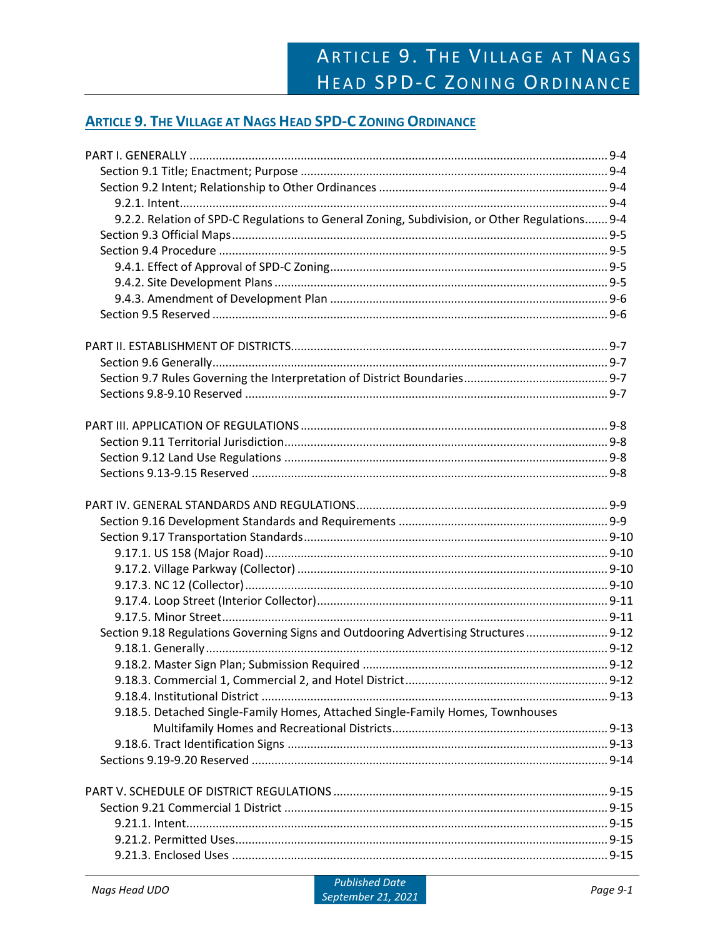# **ARTICLE 9. THE VILLAGE AT NAGS HEAD SPD-C ZONING ORDINANCE**

| 9.2.2. Relation of SPD-C Regulations to General Zoning, Subdivision, or Other Regulations 9-4 |  |
|-----------------------------------------------------------------------------------------------|--|
|                                                                                               |  |
|                                                                                               |  |
|                                                                                               |  |
|                                                                                               |  |
|                                                                                               |  |
|                                                                                               |  |
|                                                                                               |  |
|                                                                                               |  |
|                                                                                               |  |
|                                                                                               |  |
|                                                                                               |  |
|                                                                                               |  |
|                                                                                               |  |
|                                                                                               |  |
|                                                                                               |  |
|                                                                                               |  |
|                                                                                               |  |
|                                                                                               |  |
|                                                                                               |  |
|                                                                                               |  |
|                                                                                               |  |
|                                                                                               |  |
| Section 9.18 Regulations Governing Signs and Outdooring Advertising Structures 9-12           |  |
|                                                                                               |  |
|                                                                                               |  |
|                                                                                               |  |
|                                                                                               |  |
| 9.18.5. Detached Single-Family Homes, Attached Single-Family Homes, Townhouses                |  |
|                                                                                               |  |
|                                                                                               |  |
|                                                                                               |  |
|                                                                                               |  |
|                                                                                               |  |
|                                                                                               |  |
|                                                                                               |  |
|                                                                                               |  |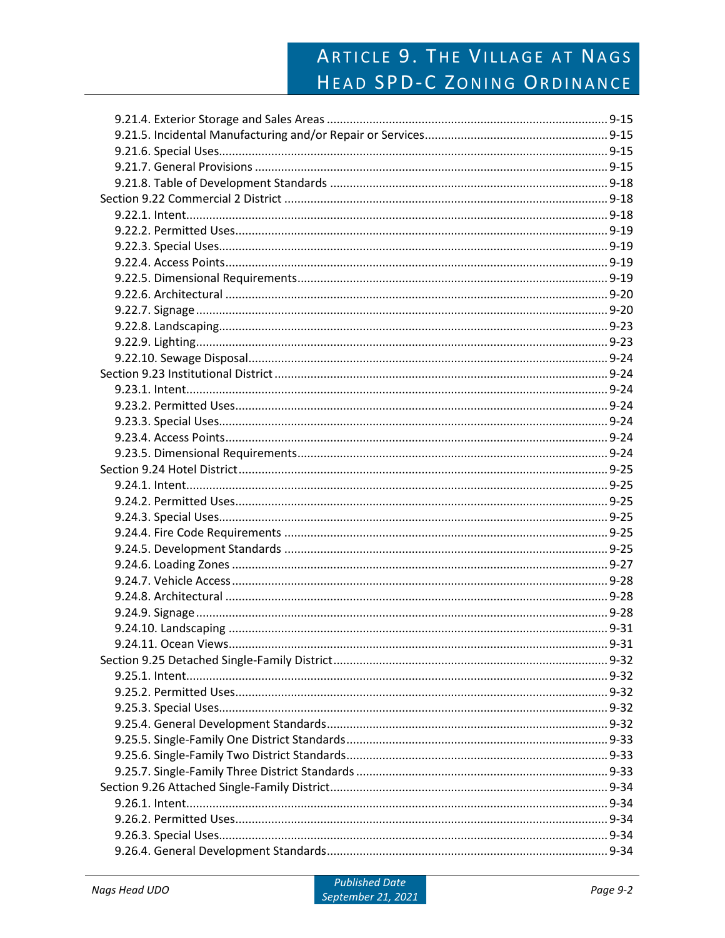# ARTICLE 9. THE VILLAGE AT NAGS HEAD SPD-C ZONING ORDINANCE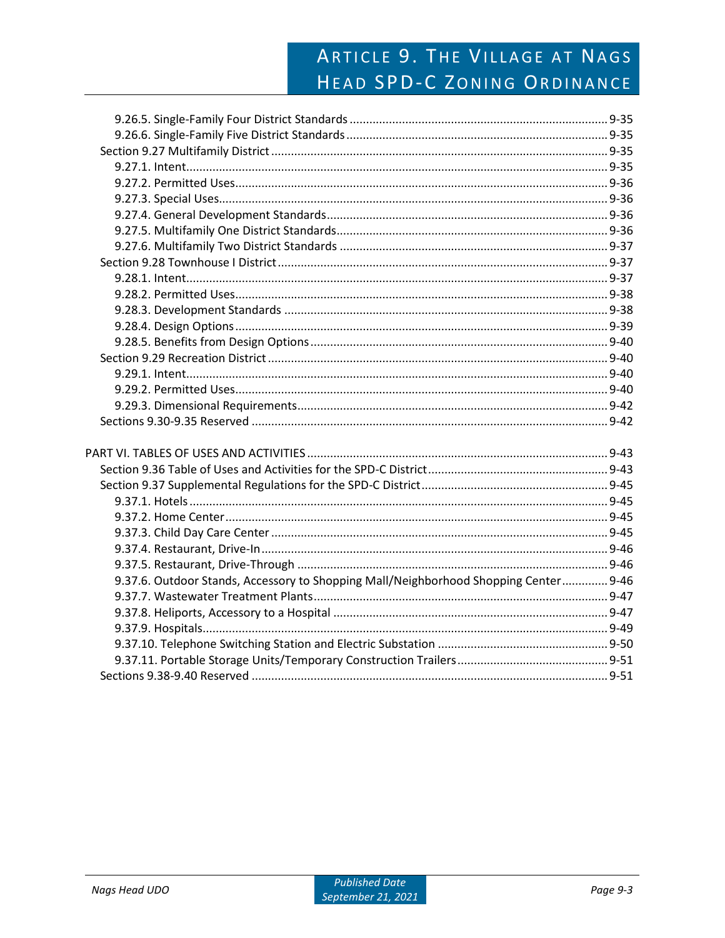# ARTICLE 9. THE VILLAGE AT NAGS HEAD SPD-C ZONING ORDINANCE

| 9.37.6. Outdoor Stands, Accessory to Shopping Mall/Neighborhood Shopping Center 9-46 |  |
|--------------------------------------------------------------------------------------|--|
|                                                                                      |  |
|                                                                                      |  |
|                                                                                      |  |
|                                                                                      |  |
|                                                                                      |  |
|                                                                                      |  |
|                                                                                      |  |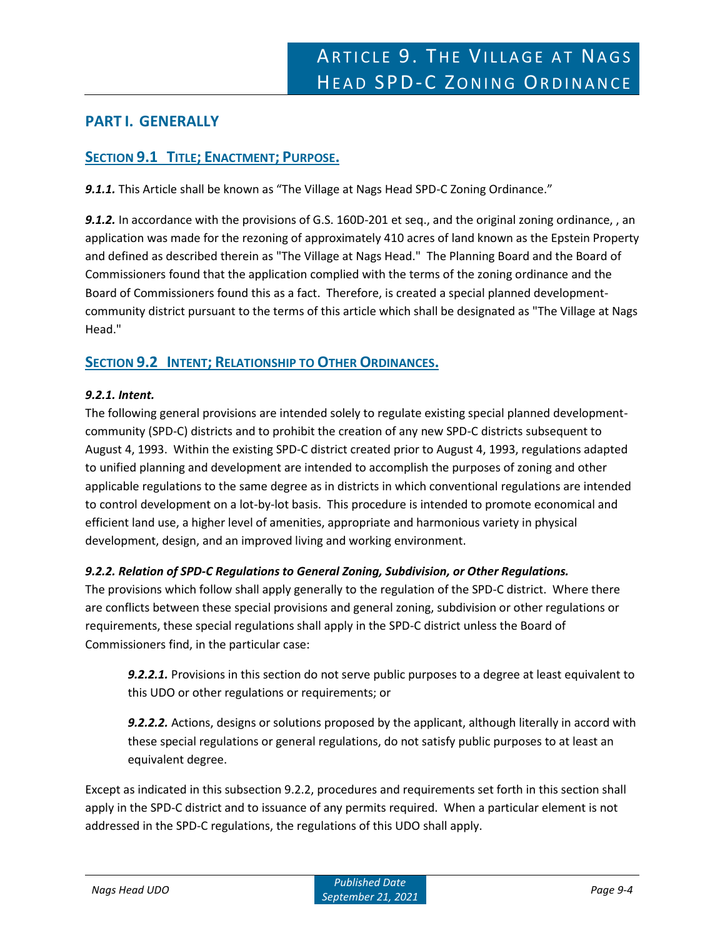# **PART I. GENERALLY**

# **SECTION 9.1 TITLE; ENACTMENT; PURPOSE.**

*9.1.1.* This Article shall be known as "The Village at Nags Head SPD-C Zoning Ordinance."

*9.1.2.* In accordance with the provisions of G.S. 160D-201 et seq., and the original zoning ordinance, , an application was made for the rezoning of approximately 410 acres of land known as the Epstein Property and defined as described therein as "The Village at Nags Head." The Planning Board and the Board of Commissioners found that the application complied with the terms of the zoning ordinance and the Board of Commissioners found this as a fact. Therefore, is created a special planned developmentcommunity district pursuant to the terms of this article which shall be designated as "The Village at Nags Head."

# **SECTION 9.2 INTENT; RELATIONSHIP TO OTHER ORDINANCES.**

# *9.2.1. Intent.*

The following general provisions are intended solely to regulate existing special planned developmentcommunity (SPD-C) districts and to prohibit the creation of any new SPD-C districts subsequent to August 4, 1993. Within the existing SPD-C district created prior to August 4, 1993, regulations adapted to unified planning and development are intended to accomplish the purposes of zoning and other applicable regulations to the same degree as in districts in which conventional regulations are intended to control development on a lot-by-lot basis. This procedure is intended to promote economical and efficient land use, a higher level of amenities, appropriate and harmonious variety in physical development, design, and an improved living and working environment.

# *9.2.2. Relation of SPD-C Regulations to General Zoning, Subdivision, or Other Regulations.*

The provisions which follow shall apply generally to the regulation of the SPD-C district. Where there are conflicts between these special provisions and general zoning, subdivision or other regulations or requirements, these special regulations shall apply in the SPD-C district unless the Board of Commissioners find, in the particular case:

*9.2.2.1.* Provisions in this section do not serve public purposes to a degree at least equivalent to this UDO or other regulations or requirements; or

*9.2.2.2.* Actions, designs or solutions proposed by the applicant, although literally in accord with these special regulations or general regulations, do not satisfy public purposes to at least an equivalent degree.

Except as indicated in this subsection 9.2.2, procedures and requirements set forth in this section shall apply in the SPD-C district and to issuance of any permits required. When a particular element is not addressed in the SPD-C regulations, the regulations of this UDO shall apply.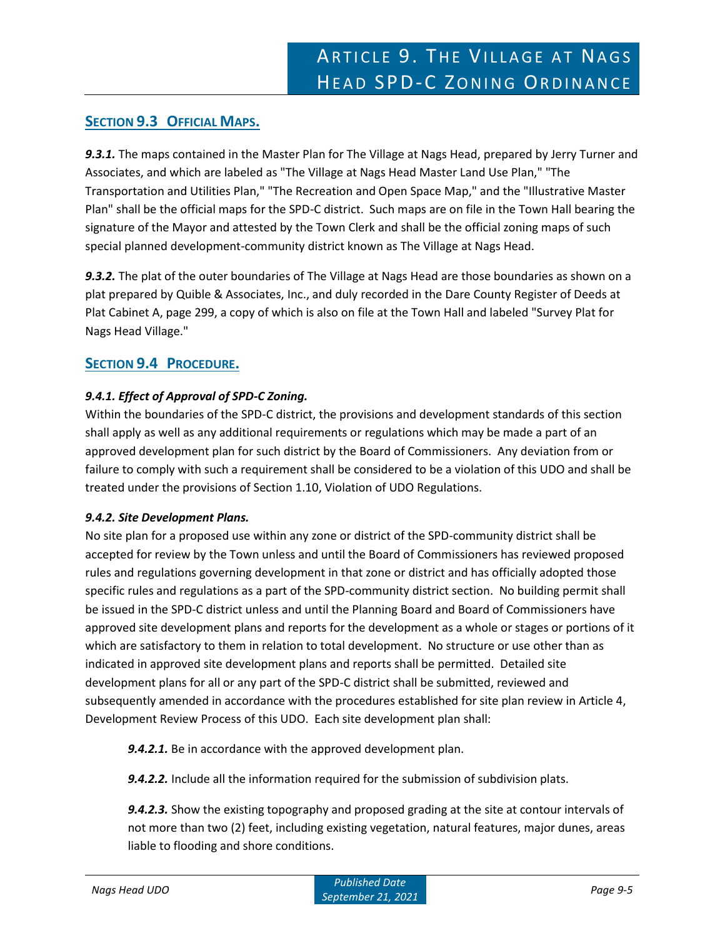# **SECTION 9.3 OFFICIAL MAPS.**

*9.3.1.* The maps contained in the Master Plan for The Village at Nags Head, prepared by Jerry Turner and Associates, and which are labeled as "The Village at Nags Head Master Land Use Plan," "The Transportation and Utilities Plan," "The Recreation and Open Space Map," and the "Illustrative Master Plan" shall be the official maps for the SPD-C district. Such maps are on file in the Town Hall bearing the signature of the Mayor and attested by the Town Clerk and shall be the official zoning maps of such special planned development-community district known as The Village at Nags Head.

*9.3.2.* The plat of the outer boundaries of The Village at Nags Head are those boundaries as shown on a plat prepared by Quible & Associates, Inc., and duly recorded in the Dare County Register of Deeds at Plat Cabinet A, page 299, a copy of which is also on file at the Town Hall and labeled "Survey Plat for Nags Head Village."

# **SECTION 9.4 PROCEDURE.**

# *9.4.1. Effect of Approval of SPD-C Zoning.*

Within the boundaries of the SPD-C district, the provisions and development standards of this section shall apply as well as any additional requirements or regulations which may be made a part of an approved development plan for such district by the Board of Commissioners. Any deviation from or failure to comply with such a requirement shall be considered to be a violation of this UDO and shall be treated under the provisions of Section 1.10, Violation of UDO Regulations.

# *9.4.2. Site Development Plans.*

No site plan for a proposed use within any zone or district of the SPD-community district shall be accepted for review by the Town unless and until the Board of Commissioners has reviewed proposed rules and regulations governing development in that zone or district and has officially adopted those specific rules and regulations as a part of the SPD-community district section. No building permit shall be issued in the SPD-C district unless and until the Planning Board and Board of Commissioners have approved site development plans and reports for the development as a whole or stages or portions of it which are satisfactory to them in relation to total development. No structure or use other than as indicated in approved site development plans and reports shall be permitted. Detailed site development plans for all or any part of the SPD-C district shall be submitted, reviewed and subsequently amended in accordance with the procedures established for site plan review in Article 4, Development Review Process of this UDO. Each site development plan shall:

*9.4.2.1.* Be in accordance with the approved development plan.

*9.4.2.2.* Include all the information required for the submission of subdivision plats.

*9.4.2.3.* Show the existing topography and proposed grading at the site at contour intervals of not more than two (2) feet, including existing vegetation, natural features, major dunes, areas liable to flooding and shore conditions.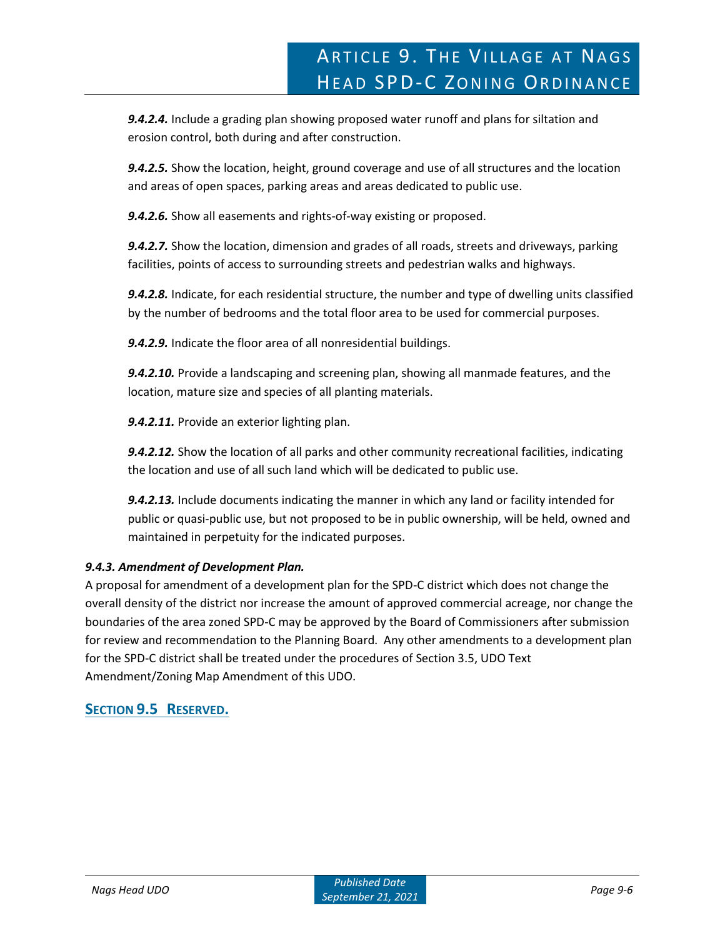*9.4.2.4.* Include a grading plan showing proposed water runoff and plans for siltation and erosion control, both during and after construction.

*9.4.2.5.* Show the location, height, ground coverage and use of all structures and the location and areas of open spaces, parking areas and areas dedicated to public use.

*9.4.2.6.* Show all easements and rights-of-way existing or proposed.

*9.4.2.7.* Show the location, dimension and grades of all roads, streets and driveways, parking facilities, points of access to surrounding streets and pedestrian walks and highways.

*9.4.2.8.* Indicate, for each residential structure, the number and type of dwelling units classified by the number of bedrooms and the total floor area to be used for commercial purposes.

*9.4.2.9.* Indicate the floor area of all nonresidential buildings.

*9.4.2.10.* Provide a landscaping and screening plan, showing all manmade features, and the location, mature size and species of all planting materials.

*9.4.2.11.* Provide an exterior lighting plan.

*9.4.2.12.* Show the location of all parks and other community recreational facilities, indicating the location and use of all such land which will be dedicated to public use.

*9.4.2.13.* Include documents indicating the manner in which any land or facility intended for public or quasi-public use, but not proposed to be in public ownership, will be held, owned and maintained in perpetuity for the indicated purposes.

# *9.4.3. Amendment of Development Plan.*

A proposal for amendment of a development plan for the SPD-C district which does not change the overall density of the district nor increase the amount of approved commercial acreage, nor change the boundaries of the area zoned SPD-C may be approved by the Board of Commissioners after submission for review and recommendation to the Planning Board. Any other amendments to a development plan for the SPD-C district shall be treated under the procedures of Section 3.5, UDO Text Amendment/Zoning Map Amendment of this UDO.

# **SECTION 9.5 RESERVED.**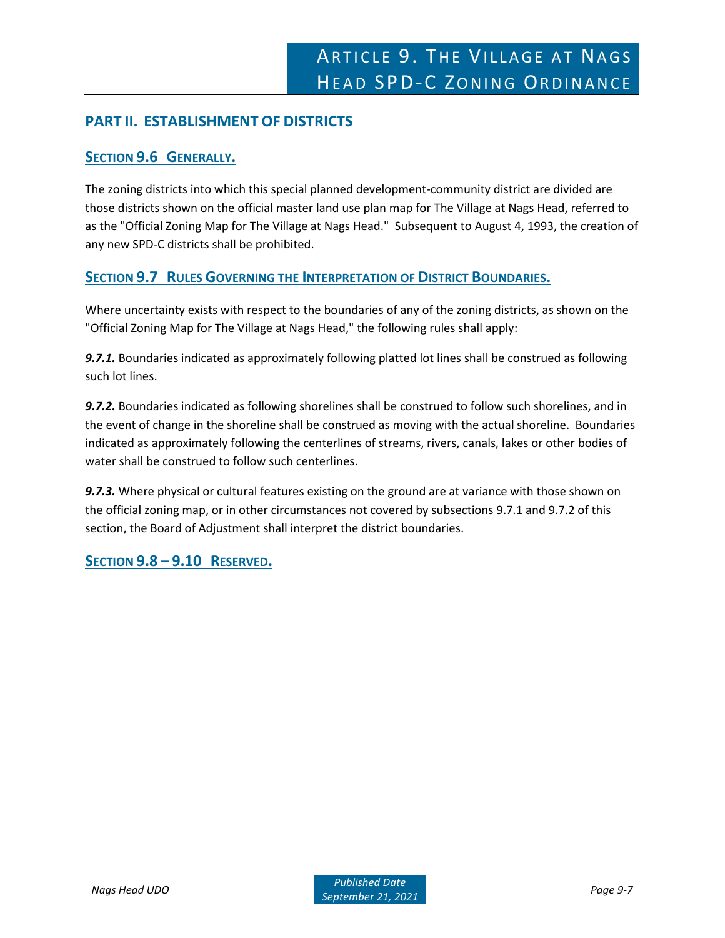# **PART II. ESTABLISHMENT OF DISTRICTS**

# **SECTION 9.6 GENERALLY.**

The zoning districts into which this special planned development-community district are divided are those districts shown on the official master land use plan map for The Village at Nags Head, referred to as the "Official Zoning Map for The Village at Nags Head." Subsequent to August 4, 1993, the creation of any new SPD-C districts shall be prohibited.

# **SECTION 9.7 RULES GOVERNING THE INTERPRETATION OF DISTRICT BOUNDARIES.**

Where uncertainty exists with respect to the boundaries of any of the zoning districts, as shown on the "Official Zoning Map for The Village at Nags Head," the following rules shall apply:

*9.7.1.* Boundaries indicated as approximately following platted lot lines shall be construed as following such lot lines.

*9.7.2.* Boundaries indicated as following shorelines shall be construed to follow such shorelines, and in the event of change in the shoreline shall be construed as moving with the actual shoreline. Boundaries indicated as approximately following the centerlines of streams, rivers, canals, lakes or other bodies of water shall be construed to follow such centerlines.

*9.7.3.* Where physical or cultural features existing on the ground are at variance with those shown on the official zoning map, or in other circumstances not covered by subsections 9.7.1 and 9.7.2 of this section, the Board of Adjustment shall interpret the district boundaries.

**SECTION 9.8 – 9.10 RESERVED.**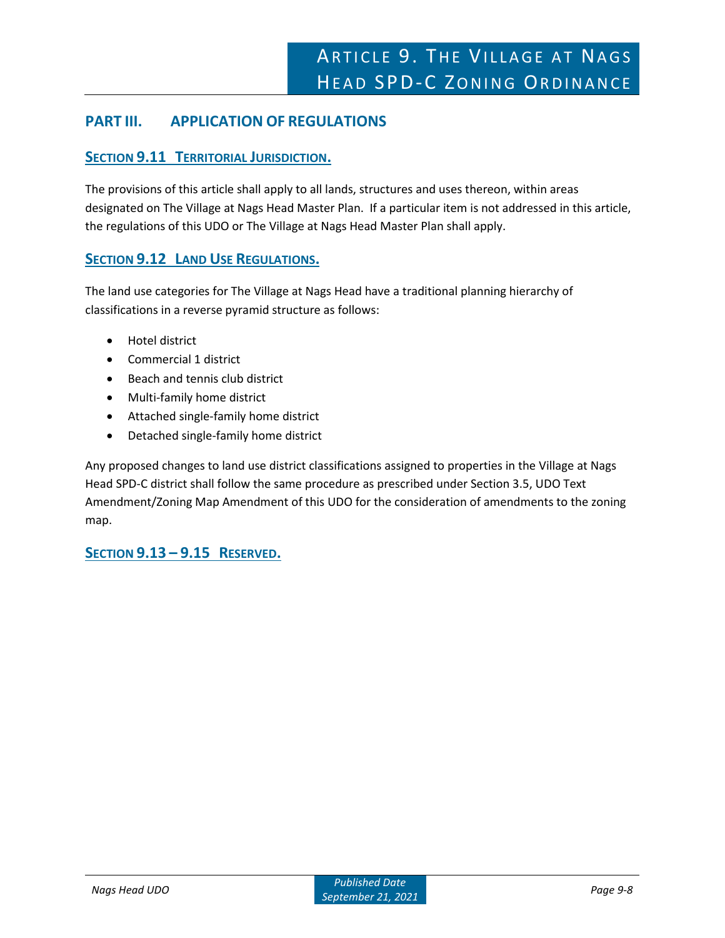# **PART III. APPLICATION OF REGULATIONS**

# **SECTION 9.11 TERRITORIAL JURISDICTION.**

The provisions of this article shall apply to all lands, structures and uses thereon, within areas designated on The Village at Nags Head Master Plan. If a particular item is not addressed in this article, the regulations of this UDO or The Village at Nags Head Master Plan shall apply.

# **SECTION 9.12 LAND USE REGULATIONS.**

The land use categories for The Village at Nags Head have a traditional planning hierarchy of classifications in a reverse pyramid structure as follows:

- Hotel district
- Commercial 1 district
- Beach and tennis club district
- Multi-family home district
- Attached single-family home district
- Detached single-family home district

Any proposed changes to land use district classifications assigned to properties in the Village at Nags Head SPD-C district shall follow the same procedure as prescribed under Section 3.5, UDO Text Amendment/Zoning Map Amendment of this UDO for the consideration of amendments to the zoning map.

**SECTION 9.13 – 9.15 RESERVED.**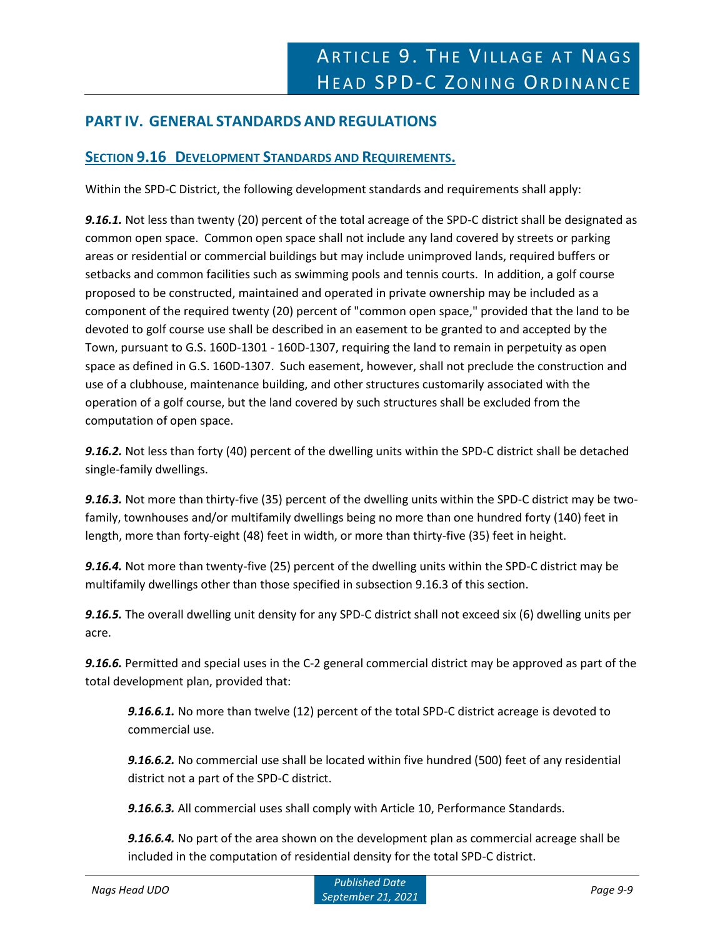# **PART IV. GENERAL STANDARDS AND REGULATIONS**

# **SECTION 9.16 DEVELOPMENT STANDARDS AND REQUIREMENTS.**

Within the SPD-C District, the following development standards and requirements shall apply:

*9.16.1.* Not less than twenty (20) percent of the total acreage of the SPD-C district shall be designated as common open space. Common open space shall not include any land covered by streets or parking areas or residential or commercial buildings but may include unimproved lands, required buffers or setbacks and common facilities such as swimming pools and tennis courts. In addition, a golf course proposed to be constructed, maintained and operated in private ownership may be included as a component of the required twenty (20) percent of "common open space," provided that the land to be devoted to golf course use shall be described in an easement to be granted to and accepted by the Town, pursuant to G.S. 160D-1301 - 160D-1307, requiring the land to remain in perpetuity as open space as defined in G.S. 160D-1307. Such easement, however, shall not preclude the construction and use of a clubhouse, maintenance building, and other structures customarily associated with the operation of a golf course, but the land covered by such structures shall be excluded from the computation of open space.

*9.16.2.* Not less than forty (40) percent of the dwelling units within the SPD-C district shall be detached single-family dwellings.

*9.16.3.* Not more than thirty-five (35) percent of the dwelling units within the SPD-C district may be twofamily, townhouses and/or multifamily dwellings being no more than one hundred forty (140) feet in length, more than forty-eight (48) feet in width, or more than thirty-five (35) feet in height.

*9.16.4.* Not more than twenty-five (25) percent of the dwelling units within the SPD-C district may be multifamily dwellings other than those specified in subsection 9.16.3 of this section.

*9.16.5.* The overall dwelling unit density for any SPD-C district shall not exceed six (6) dwelling units per acre.

*9.16.6.* Permitted and special uses in the C-2 general commercial district may be approved as part of the total development plan, provided that:

*9.16.6.1.* No more than twelve (12) percent of the total SPD-C district acreage is devoted to commercial use.

*9.16.6.2.* No commercial use shall be located within five hundred (500) feet of any residential district not a part of the SPD-C district.

*9.16.6.3.* All commercial uses shall comply with Article 10, Performance Standards.

*9.16.6.4.* No part of the area shown on the development plan as commercial acreage shall be included in the computation of residential density for the total SPD-C district.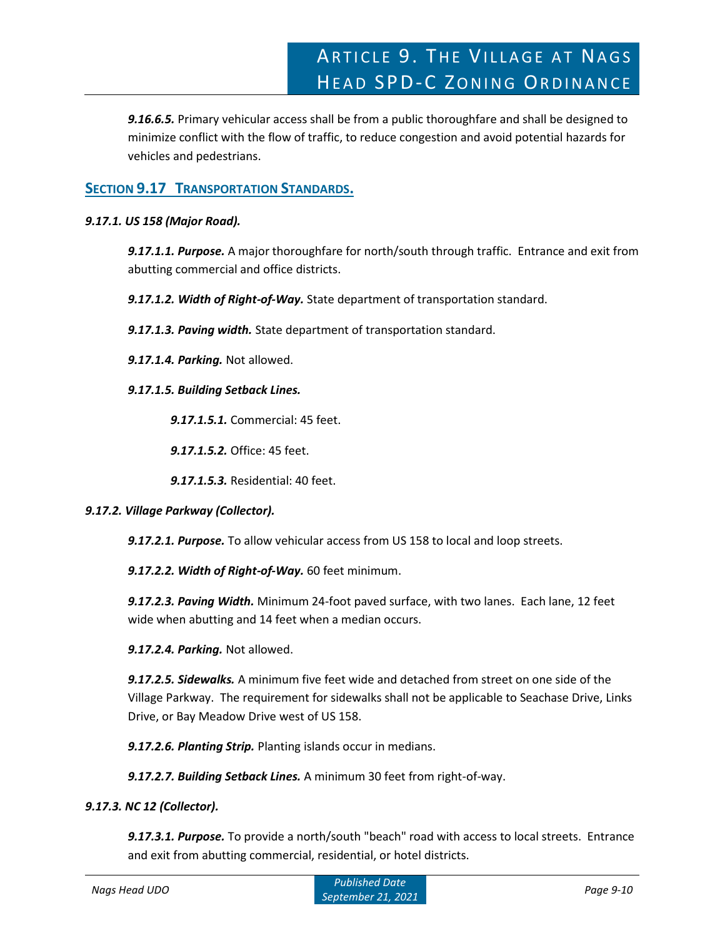*9.16.6.5.* Primary vehicular access shall be from a public thoroughfare and shall be designed to minimize conflict with the flow of traffic, to reduce congestion and avoid potential hazards for vehicles and pedestrians.

# **SECTION 9.17 TRANSPORTATION STANDARDS.**

# *9.17.1. US 158 (Major Road).*

*9.17.1.1. Purpose.* A major thoroughfare for north/south through traffic. Entrance and exit from abutting commercial and office districts.

*9.17.1.2. Width of Right-of-Way.* State department of transportation standard.

*9.17.1.3. Paving width.* State department of transportation standard.

*9.17.1.4. Parking.* Not allowed.

*9.17.1.5. Building Setback Lines.*

*9.17.1.5.1.* Commercial: 45 feet.

*9.17.1.5.2.* Office: 45 feet.

*9.17.1.5.3.* Residential: 40 feet.

# *9.17.2. Village Parkway (Collector).*

*9.17.2.1. Purpose.* To allow vehicular access from US 158 to local and loop streets.

*9.17.2.2. Width of Right-of-Way.* 60 feet minimum.

*9.17.2.3. Paving Width.* Minimum 24-foot paved surface, with two lanes. Each lane, 12 feet wide when abutting and 14 feet when a median occurs.

*9.17.2.4. Parking.* Not allowed.

*9.17.2.5. Sidewalks.* A minimum five feet wide and detached from street on one side of the Village Parkway. The requirement for sidewalks shall not be applicable to Seachase Drive, Links Drive, or Bay Meadow Drive west of US 158.

*9.17.2.6. Planting Strip.* Planting islands occur in medians.

*9.17.2.7. Building Setback Lines.* A minimum 30 feet from right-of-way.

#### *9.17.3. NC 12 (Collector).*

*9.17.3.1. Purpose.* To provide a north/south "beach" road with access to local streets. Entrance and exit from abutting commercial, residential, or hotel districts.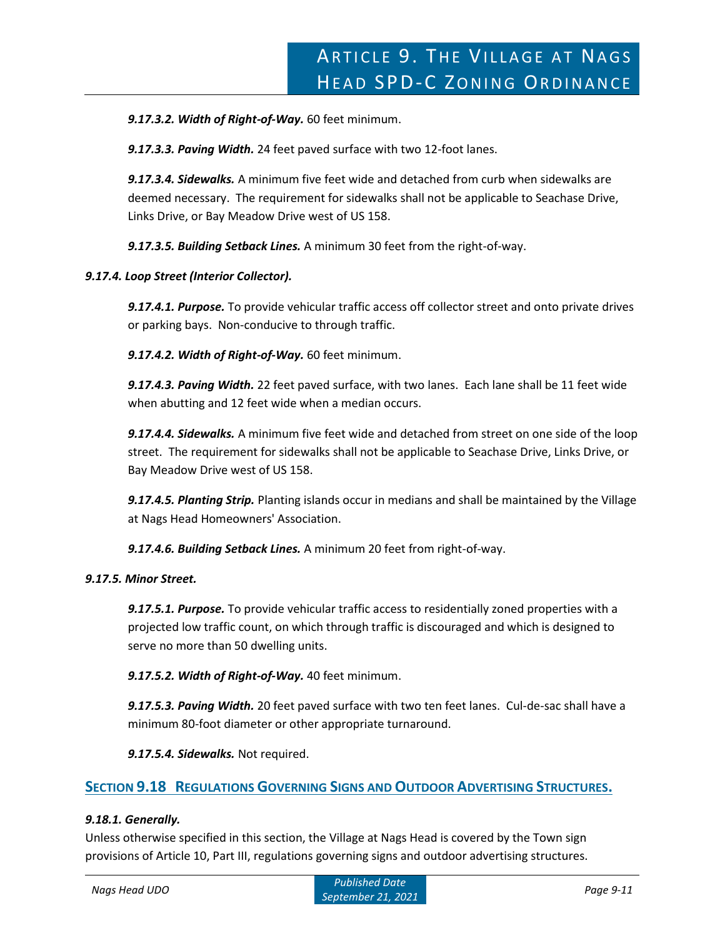*9.17.3.2. Width of Right-of-Way.* 60 feet minimum.

*9.17.3.3. Paving Width.* 24 feet paved surface with two 12-foot lanes.

*9.17.3.4. Sidewalks.* A minimum five feet wide and detached from curb when sidewalks are deemed necessary. The requirement for sidewalks shall not be applicable to Seachase Drive, Links Drive, or Bay Meadow Drive west of US 158.

*9.17.3.5. Building Setback Lines.* A minimum 30 feet from the right-of-way.

# *9.17.4. Loop Street (Interior Collector).*

*9.17.4.1. Purpose.* To provide vehicular traffic access off collector street and onto private drives or parking bays. Non-conducive to through traffic.

*9.17.4.2. Width of Right-of-Way.* 60 feet minimum.

*9.17.4.3. Paving Width.* 22 feet paved surface, with two lanes. Each lane shall be 11 feet wide when abutting and 12 feet wide when a median occurs.

*9.17.4.4. Sidewalks.* A minimum five feet wide and detached from street on one side of the loop street. The requirement for sidewalks shall not be applicable to Seachase Drive, Links Drive, or Bay Meadow Drive west of US 158.

*9.17.4.5. Planting Strip.* Planting islands occur in medians and shall be maintained by the Village at Nags Head Homeowners' Association.

*9.17.4.6. Building Setback Lines.* A minimum 20 feet from right-of-way.

# *9.17.5. Minor Street.*

*9.17.5.1. Purpose.* To provide vehicular traffic access to residentially zoned properties with a projected low traffic count, on which through traffic is discouraged and which is designed to serve no more than 50 dwelling units.

*9.17.5.2. Width of Right-of-Way.* 40 feet minimum.

*9.17.5.3. Paving Width.* 20 feet paved surface with two ten feet lanes. Cul-de-sac shall have a minimum 80-foot diameter or other appropriate turnaround.

*9.17.5.4. Sidewalks.* Not required.

# **SECTION 9.18 REGULATIONS GOVERNING SIGNS AND OUTDOOR ADVERTISING STRUCTURES.**

# *9.18.1. Generally.*

Unless otherwise specified in this section, the Village at Nags Head is covered by the Town sign provisions of Article 10, Part III, regulations governing signs and outdoor advertising structures.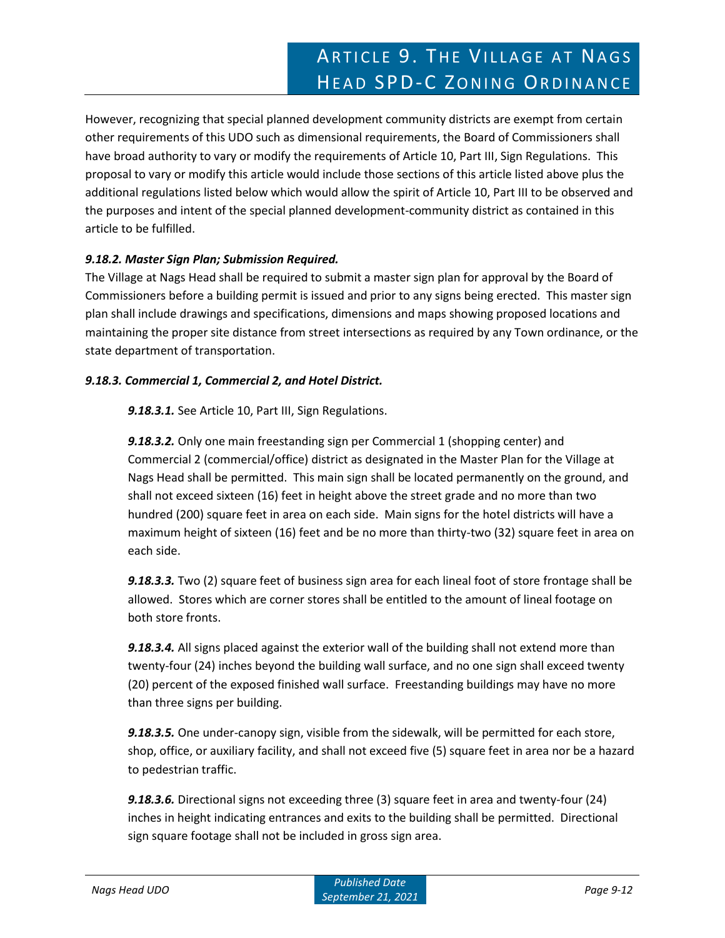However, recognizing that special planned development community districts are exempt from certain other requirements of this UDO such as dimensional requirements, the Board of Commissioners shall have broad authority to vary or modify the requirements of Article 10, Part III, Sign Regulations. This proposal to vary or modify this article would include those sections of this article listed above plus the additional regulations listed below which would allow the spirit of Article 10, Part III to be observed and the purposes and intent of the special planned development-community district as contained in this article to be fulfilled.

# *9.18.2. Master Sign Plan; Submission Required.*

The Village at Nags Head shall be required to submit a master sign plan for approval by the Board of Commissioners before a building permit is issued and prior to any signs being erected. This master sign plan shall include drawings and specifications, dimensions and maps showing proposed locations and maintaining the proper site distance from street intersections as required by any Town ordinance, or the state department of transportation.

# *9.18.3. Commercial 1, Commercial 2, and Hotel District.*

*9.18.3.1.* See Article 10, Part III, Sign Regulations.

*9.18.3.2.* Only one main freestanding sign per Commercial 1 (shopping center) and Commercial 2 (commercial/office) district as designated in the Master Plan for the Village at Nags Head shall be permitted. This main sign shall be located permanently on the ground, and shall not exceed sixteen (16) feet in height above the street grade and no more than two hundred (200) square feet in area on each side. Main signs for the hotel districts will have a maximum height of sixteen (16) feet and be no more than thirty-two (32) square feet in area on each side.

*9.18.3.3.* Two (2) square feet of business sign area for each lineal foot of store frontage shall be allowed. Stores which are corner stores shall be entitled to the amount of lineal footage on both store fronts.

*9.18.3.4.* All signs placed against the exterior wall of the building shall not extend more than twenty-four (24) inches beyond the building wall surface, and no one sign shall exceed twenty (20) percent of the exposed finished wall surface. Freestanding buildings may have no more than three signs per building.

*9.18.3.5.* One under-canopy sign, visible from the sidewalk, will be permitted for each store, shop, office, or auxiliary facility, and shall not exceed five (5) square feet in area nor be a hazard to pedestrian traffic.

*9.18.3.6.* Directional signs not exceeding three (3) square feet in area and twenty-four (24) inches in height indicating entrances and exits to the building shall be permitted. Directional sign square footage shall not be included in gross sign area.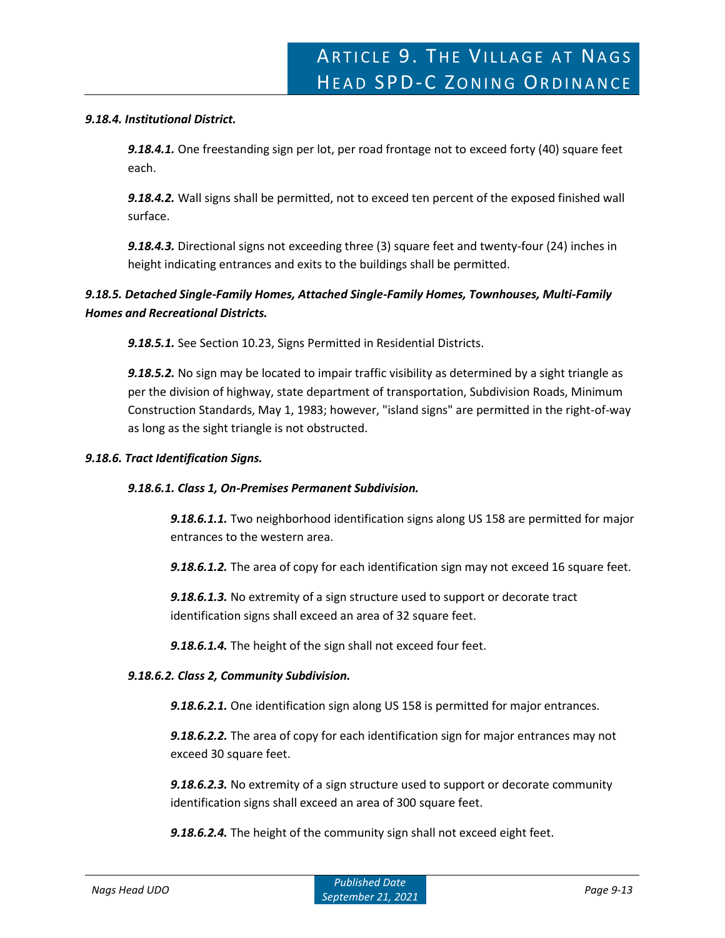#### *9.18.4. Institutional District.*

*9.18.4.1.* One freestanding sign per lot, per road frontage not to exceed forty (40) square feet each.

*9.18.4.2.* Wall signs shall be permitted, not to exceed ten percent of the exposed finished wall surface.

*9.18.4.3.* Directional signs not exceeding three (3) square feet and twenty-four (24) inches in height indicating entrances and exits to the buildings shall be permitted.

# *9.18.5. Detached Single-Family Homes, Attached Single-Family Homes, Townhouses, Multi-Family Homes and Recreational Districts.*

*9.18.5.1.* See Section 10.23, Signs Permitted in Residential Districts.

*9.18.5.2.* No sign may be located to impair traffic visibility as determined by a sight triangle as per the division of highway, state department of transportation, Subdivision Roads, Minimum Construction Standards, May 1, 1983; however, "island signs" are permitted in the right-of-way as long as the sight triangle is not obstructed.

#### *9.18.6. Tract Identification Signs.*

# *9.18.6.1. Class 1, On-Premises Permanent Subdivision.*

*9.18.6.1.1.* Two neighborhood identification signs along US 158 are permitted for major entrances to the western area.

*9.18.6.1.2.* The area of copy for each identification sign may not exceed 16 square feet.

*9.18.6.1.3.* No extremity of a sign structure used to support or decorate tract identification signs shall exceed an area of 32 square feet.

*9.18.6.1.4.* The height of the sign shall not exceed four feet.

# *9.18.6.2. Class 2, Community Subdivision.*

*9.18.6.2.1.* One identification sign along US 158 is permitted for major entrances.

*9.18.6.2.2.* The area of copy for each identification sign for major entrances may not exceed 30 square feet.

*9.18.6.2.3.* No extremity of a sign structure used to support or decorate community identification signs shall exceed an area of 300 square feet.

*9.18.6.2.4.* The height of the community sign shall not exceed eight feet.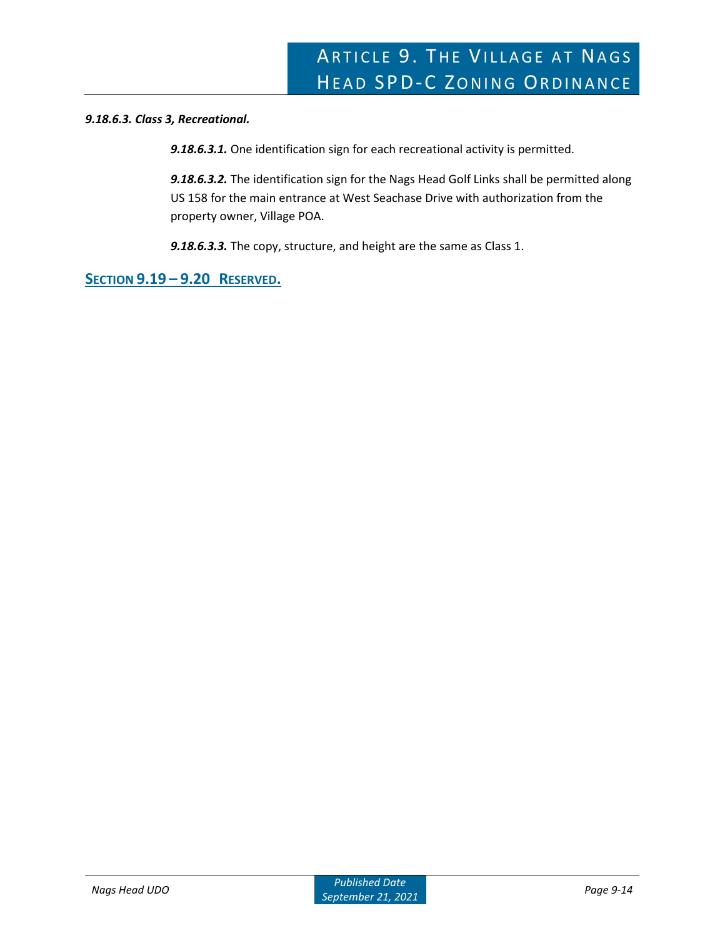# *9.18.6.3. Class 3, Recreational.*

*9.18.6.3.1.* One identification sign for each recreational activity is permitted.

*9.18.6.3.2.* The identification sign for the Nags Head Golf Links shall be permitted along US 158 for the main entrance at West Seachase Drive with authorization from the property owner, Village POA.

*9.18.6.3.3.* The copy, structure, and height are the same as Class 1.

**SECTION 9.19 – 9.20 RESERVED.**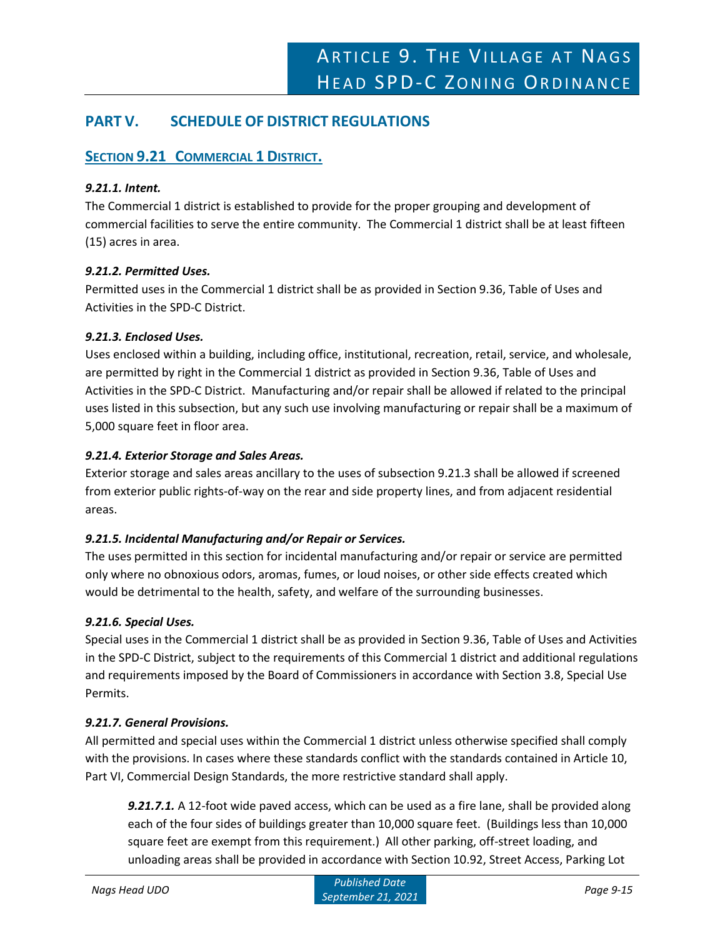# **PART V. SCHEDULE OF DISTRICT REGULATIONS**

# **SECTION 9.21 COMMERCIAL 1 DISTRICT.**

# *9.21.1. Intent.*

The Commercial 1 district is established to provide for the proper grouping and development of commercial facilities to serve the entire community. The Commercial 1 district shall be at least fifteen (15) acres in area.

# *9.21.2. Permitted Uses.*

Permitted uses in the Commercial 1 district shall be as provided in Section 9.36, Table of Uses and Activities in the SPD-C District.

# *9.21.3. Enclosed Uses.*

Uses enclosed within a building, including office, institutional, recreation, retail, service, and wholesale, are permitted by right in the Commercial 1 district as provided in Section 9.36, Table of Uses and Activities in the SPD-C District. Manufacturing and/or repair shall be allowed if related to the principal uses listed in this subsection, but any such use involving manufacturing or repair shall be a maximum of 5,000 square feet in floor area.

# *9.21.4. Exterior Storage and Sales Areas.*

Exterior storage and sales areas ancillary to the uses of subsection 9.21.3 shall be allowed if screened from exterior public rights-of-way on the rear and side property lines, and from adjacent residential areas.

# *9.21.5. Incidental Manufacturing and/or Repair or Services.*

The uses permitted in this section for incidental manufacturing and/or repair or service are permitted only where no obnoxious odors, aromas, fumes, or loud noises, or other side effects created which would be detrimental to the health, safety, and welfare of the surrounding businesses.

# *9.21.6. Special Uses.*

Special uses in the Commercial 1 district shall be as provided in Section 9.36, Table of Uses and Activities in the SPD-C District, subject to the requirements of this Commercial 1 district and additional regulations and requirements imposed by the Board of Commissioners in accordance with Section 3.8, Special Use Permits.

# *9.21.7. General Provisions.*

All permitted and special uses within the Commercial 1 district unless otherwise specified shall comply with the provisions. In cases where these standards conflict with the standards contained in Article 10, Part VI, Commercial Design Standards, the more restrictive standard shall apply.

*9.21.7.1.* A 12-foot wide paved access, which can be used as a fire lane, shall be provided along each of the four sides of buildings greater than 10,000 square feet. (Buildings less than 10,000 square feet are exempt from this requirement.) All other parking, off-street loading, and unloading areas shall be provided in accordance with Section 10.92, Street Access, Parking Lot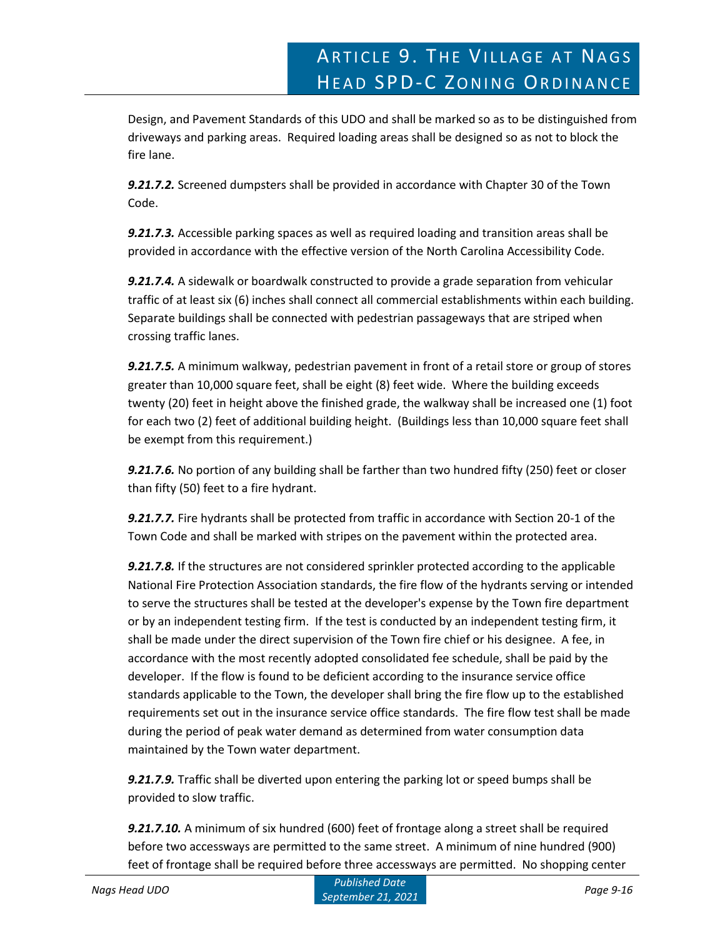Design, and Pavement Standards of this UDO and shall be marked so as to be distinguished from driveways and parking areas. Required loading areas shall be designed so as not to block the fire lane.

*9.21.7.2.* Screened dumpsters shall be provided in accordance with Chapter 30 of the Town Code.

*9.21.7.3.* Accessible parking spaces as well as required loading and transition areas shall be provided in accordance with the effective version of the North Carolina Accessibility Code.

*9.21.7.4.* A sidewalk or boardwalk constructed to provide a grade separation from vehicular traffic of at least six (6) inches shall connect all commercial establishments within each building. Separate buildings shall be connected with pedestrian passageways that are striped when crossing traffic lanes.

*9.21.7.5.* A minimum walkway, pedestrian pavement in front of a retail store or group of stores greater than 10,000 square feet, shall be eight (8) feet wide. Where the building exceeds twenty (20) feet in height above the finished grade, the walkway shall be increased one (1) foot for each two (2) feet of additional building height. (Buildings less than 10,000 square feet shall be exempt from this requirement.)

*9.21.7.6.* No portion of any building shall be farther than two hundred fifty (250) feet or closer than fifty (50) feet to a fire hydrant.

*9.21.7.7.* Fire hydrants shall be protected from traffic in accordance with Section 20-1 of the Town Code and shall be marked with stripes on the pavement within the protected area.

*9.21.7.8.* If the structures are not considered sprinkler protected according to the applicable National Fire Protection Association standards, the fire flow of the hydrants serving or intended to serve the structures shall be tested at the developer's expense by the Town fire department or by an independent testing firm. If the test is conducted by an independent testing firm, it shall be made under the direct supervision of the Town fire chief or his designee. A fee, in accordance with the most recently adopted consolidated fee schedule, shall be paid by the developer. If the flow is found to be deficient according to the insurance service office standards applicable to the Town, the developer shall bring the fire flow up to the established requirements set out in the insurance service office standards. The fire flow test shall be made during the period of peak water demand as determined from water consumption data maintained by the Town water department.

*9.21.7.9.* Traffic shall be diverted upon entering the parking lot or speed bumps shall be provided to slow traffic.

*9.21.7.10.* A minimum of six hundred (600) feet of frontage along a street shall be required before two accessways are permitted to the same street. A minimum of nine hundred (900) feet of frontage shall be required before three accessways are permitted. No shopping center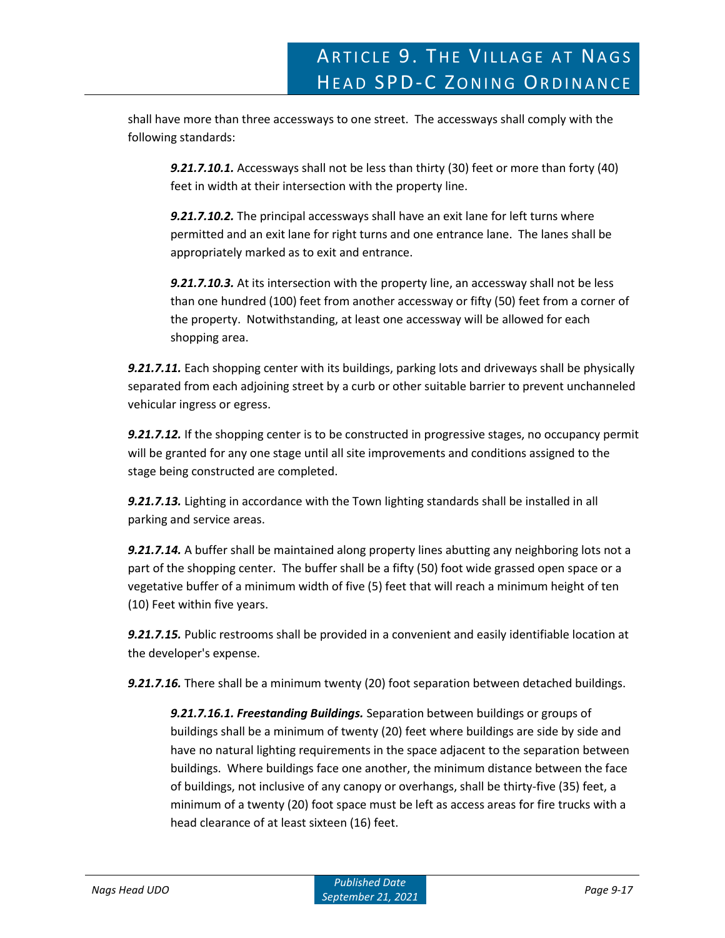shall have more than three accessways to one street. The accessways shall comply with the following standards:

*9.21.7.10.1.* Accessways shall not be less than thirty (30) feet or more than forty (40) feet in width at their intersection with the property line.

*9.21.7.10.2.* The principal accessways shall have an exit lane for left turns where permitted and an exit lane for right turns and one entrance lane. The lanes shall be appropriately marked as to exit and entrance.

*9.21.7.10.3.* At its intersection with the property line, an accessway shall not be less than one hundred (100) feet from another accessway or fifty (50) feet from a corner of the property. Notwithstanding, at least one accessway will be allowed for each shopping area.

*9.21.7.11.* Each shopping center with its buildings, parking lots and driveways shall be physically separated from each adjoining street by a curb or other suitable barrier to prevent unchanneled vehicular ingress or egress.

*9.21.7.12.* If the shopping center is to be constructed in progressive stages, no occupancy permit will be granted for any one stage until all site improvements and conditions assigned to the stage being constructed are completed.

*9.21.7.13.* Lighting in accordance with the Town lighting standards shall be installed in all parking and service areas.

*9.21.7.14.* A buffer shall be maintained along property lines abutting any neighboring lots not a part of the shopping center. The buffer shall be a fifty (50) foot wide grassed open space or a vegetative buffer of a minimum width of five (5) feet that will reach a minimum height of ten (10) Feet within five years.

*9.21.7.15.* Public restrooms shall be provided in a convenient and easily identifiable location at the developer's expense.

*9.21.7.16.* There shall be a minimum twenty (20) foot separation between detached buildings.

*9.21.7.16.1. Freestanding Buildings.* Separation between buildings or groups of buildings shall be a minimum of twenty (20) feet where buildings are side by side and have no natural lighting requirements in the space adjacent to the separation between buildings. Where buildings face one another, the minimum distance between the face of buildings, not inclusive of any canopy or overhangs, shall be thirty-five (35) feet, a minimum of a twenty (20) foot space must be left as access areas for fire trucks with a head clearance of at least sixteen (16) feet.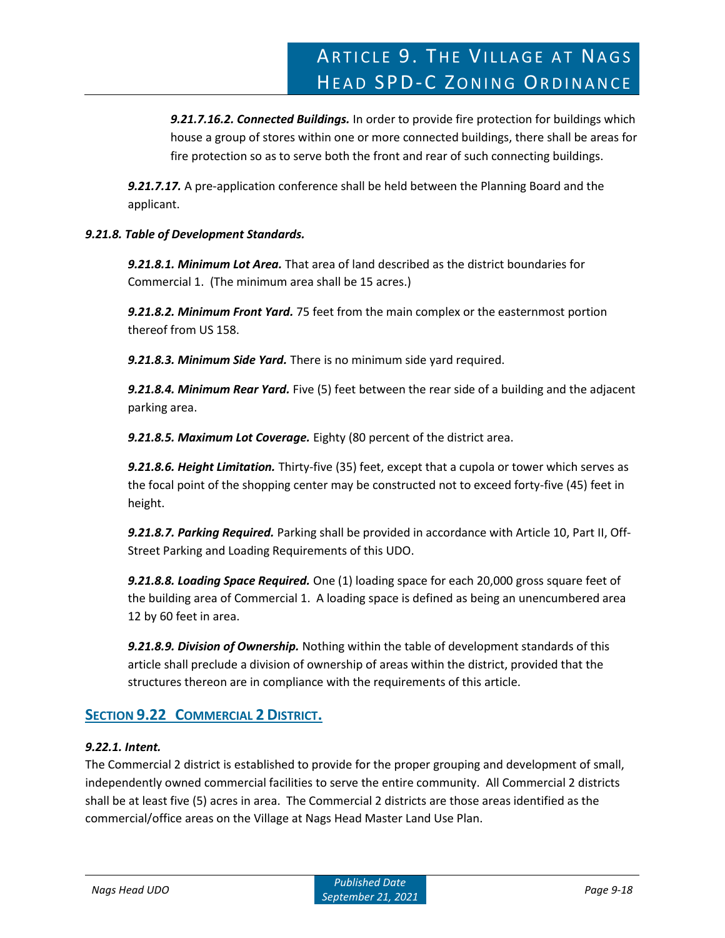*9.21.7.16.2. Connected Buildings.* In order to provide fire protection for buildings which house a group of stores within one or more connected buildings, there shall be areas for fire protection so as to serve both the front and rear of such connecting buildings.

*9.21.7.17.* A pre-application conference shall be held between the Planning Board and the applicant.

# *9.21.8. Table of Development Standards.*

*9.21.8.1. Minimum Lot Area.* That area of land described as the district boundaries for Commercial 1. (The minimum area shall be 15 acres.)

*9.21.8.2. Minimum Front Yard.* 75 feet from the main complex or the easternmost portion thereof from US 158.

*9.21.8.3. Minimum Side Yard.* There is no minimum side yard required.

*9.21.8.4. Minimum Rear Yard.* Five (5) feet between the rear side of a building and the adjacent parking area.

*9.21.8.5. Maximum Lot Coverage.* Eighty (80 percent of the district area.

*9.21.8.6. Height Limitation.* Thirty-five (35) feet, except that a cupola or tower which serves as the focal point of the shopping center may be constructed not to exceed forty-five (45) feet in height.

*9.21.8.7. Parking Required.* Parking shall be provided in accordance with Article 10, Part II, Off-Street Parking and Loading Requirements of this UDO.

*9.21.8.8. Loading Space Required.* One (1) loading space for each 20,000 gross square feet of the building area of Commercial 1. A loading space is defined as being an unencumbered area 12 by 60 feet in area.

*9.21.8.9. Division of Ownership.* Nothing within the table of development standards of this article shall preclude a division of ownership of areas within the district, provided that the structures thereon are in compliance with the requirements of this article.

# **SECTION 9.22 COMMERCIAL 2 DISTRICT.**

# *9.22.1. Intent.*

The Commercial 2 district is established to provide for the proper grouping and development of small, independently owned commercial facilities to serve the entire community. All Commercial 2 districts shall be at least five (5) acres in area. The Commercial 2 districts are those areas identified as the commercial/office areas on the Village at Nags Head Master Land Use Plan.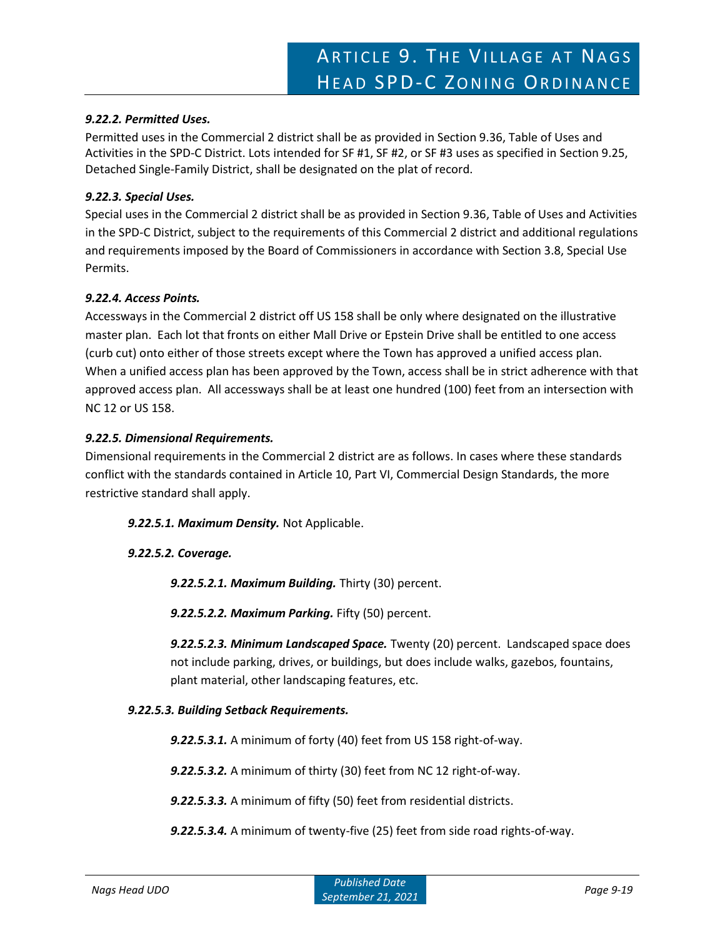# *9.22.2. Permitted Uses.*

Permitted uses in the Commercial 2 district shall be as provided in Section 9.36, Table of Uses and Activities in the SPD-C District. Lots intended for SF #1, SF #2, or SF #3 uses as specified in Section 9.25, Detached Single-Family District, shall be designated on the plat of record.

# *9.22.3. Special Uses.*

Special uses in the Commercial 2 district shall be as provided in Section 9.36, Table of Uses and Activities in the SPD-C District, subject to the requirements of this Commercial 2 district and additional regulations and requirements imposed by the Board of Commissioners in accordance with Section 3.8, Special Use Permits.

# *9.22.4. Access Points.*

Accessways in the Commercial 2 district off US 158 shall be only where designated on the illustrative master plan. Each lot that fronts on either Mall Drive or Epstein Drive shall be entitled to one access (curb cut) onto either of those streets except where the Town has approved a unified access plan. When a unified access plan has been approved by the Town, access shall be in strict adherence with that approved access plan. All accessways shall be at least one hundred (100) feet from an intersection with NC 12 or US 158.

# *9.22.5. Dimensional Requirements.*

Dimensional requirements in the Commercial 2 district are as follows. In cases where these standards conflict with the standards contained in Article 10, Part VI, Commercial Design Standards, the more restrictive standard shall apply.

# *9.22.5.1. Maximum Density.* Not Applicable.

# *9.22.5.2. Coverage.*

*9.22.5.2.1. Maximum Building.* Thirty (30) percent.

*9.22.5.2.2. Maximum Parking.* Fifty (50) percent.

*9.22.5.2.3. Minimum Landscaped Space.* Twenty (20) percent. Landscaped space does not include parking, drives, or buildings, but does include walks, gazebos, fountains, plant material, other landscaping features, etc.

# *9.22.5.3. Building Setback Requirements.*

*9.22.5.3.1.* A minimum of forty (40) feet from US 158 right-of-way.

*9.22.5.3.2.* A minimum of thirty (30) feet from NC 12 right-of-way.

*9.22.5.3.3.* A minimum of fifty (50) feet from residential districts.

*9.22.5.3.4.* A minimum of twenty-five (25) feet from side road rights-of-way.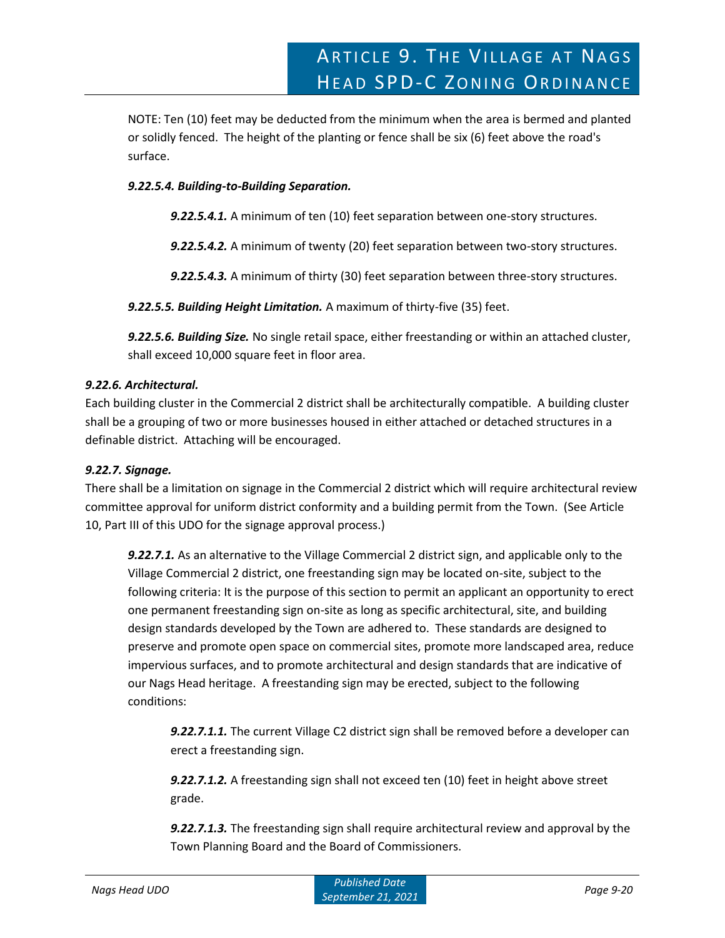NOTE: Ten (10) feet may be deducted from the minimum when the area is bermed and planted or solidly fenced. The height of the planting or fence shall be six (6) feet above the road's surface.

# *9.22.5.4. Building-to-Building Separation.*

*9.22.5.4.1.* A minimum of ten (10) feet separation between one-story structures.

*9.22.5.4.2.* A minimum of twenty (20) feet separation between two-story structures.

*9.22.5.4.3.* A minimum of thirty (30) feet separation between three-story structures.

*9.22.5.5. Building Height Limitation.* A maximum of thirty-five (35) feet.

*9.22.5.6. Building Size.* No single retail space, either freestanding or within an attached cluster, shall exceed 10,000 square feet in floor area.

# *9.22.6. Architectural.*

Each building cluster in the Commercial 2 district shall be architecturally compatible. A building cluster shall be a grouping of two or more businesses housed in either attached or detached structures in a definable district. Attaching will be encouraged.

# *9.22.7. Signage.*

There shall be a limitation on signage in the Commercial 2 district which will require architectural review committee approval for uniform district conformity and a building permit from the Town. (See Article 10, Part III of this UDO for the signage approval process.)

*9.22.7.1.* As an alternative to the Village Commercial 2 district sign, and applicable only to the Village Commercial 2 district, one freestanding sign may be located on-site, subject to the following criteria: It is the purpose of this section to permit an applicant an opportunity to erect one permanent freestanding sign on-site as long as specific architectural, site, and building design standards developed by the Town are adhered to. These standards are designed to preserve and promote open space on commercial sites, promote more landscaped area, reduce impervious surfaces, and to promote architectural and design standards that are indicative of our Nags Head heritage. A freestanding sign may be erected, subject to the following conditions:

*9.22.7.1.1.* The current Village C2 district sign shall be removed before a developer can erect a freestanding sign.

*9.22.7.1.2.* A freestanding sign shall not exceed ten (10) feet in height above street grade.

*9.22.7.1.3.* The freestanding sign shall require architectural review and approval by the Town Planning Board and the Board of Commissioners.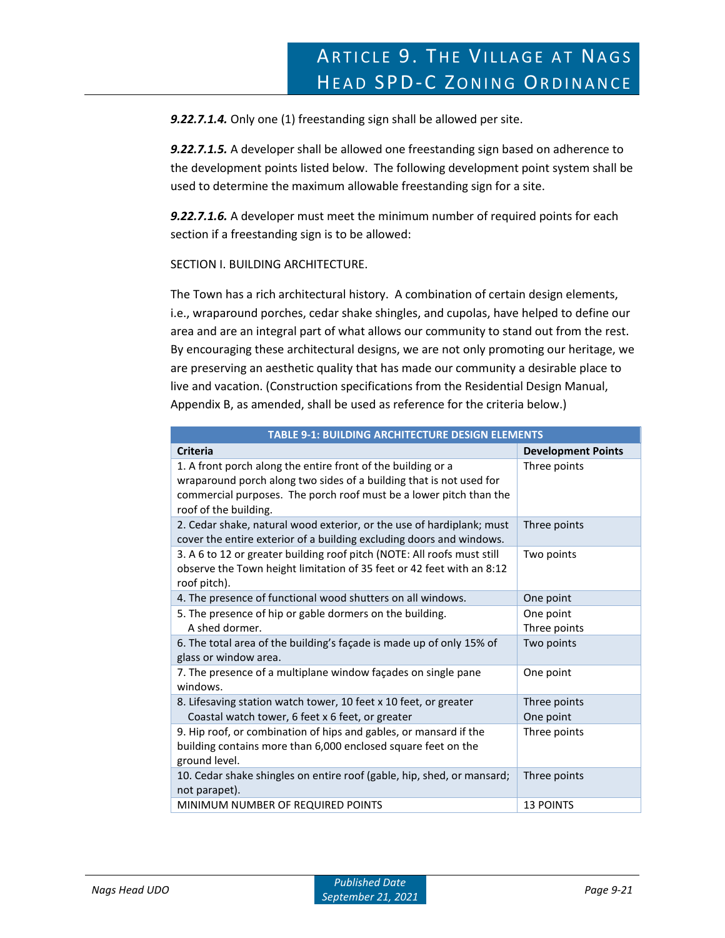*9.22.7.1.4.* Only one (1) freestanding sign shall be allowed per site.

*9.22.7.1.5.* A developer shall be allowed one freestanding sign based on adherence to the development points listed below. The following development point system shall be used to determine the maximum allowable freestanding sign for a site.

*9.22.7.1.6.* A developer must meet the minimum number of required points for each section if a freestanding sign is to be allowed:

# SECTION I. BUILDING ARCHITECTURE.

The Town has a rich architectural history. A combination of certain design elements, i.e., wraparound porches, cedar shake shingles, and cupolas, have helped to define our area and are an integral part of what allows our community to stand out from the rest. By encouraging these architectural designs, we are not only promoting our heritage, we are preserving an aesthetic quality that has made our community a desirable place to live and vacation. (Construction specifications from the Residential Design Manual, Appendix B, as amended, shall be used as reference for the criteria below.)

| <b>TABLE 9-1: BUILDING ARCHITECTURE DESIGN ELEMENTS</b>                                                                                                                                                                            |                           |  |
|------------------------------------------------------------------------------------------------------------------------------------------------------------------------------------------------------------------------------------|---------------------------|--|
| <b>Criteria</b>                                                                                                                                                                                                                    | <b>Development Points</b> |  |
| 1. A front porch along the entire front of the building or a<br>wraparound porch along two sides of a building that is not used for<br>commercial purposes. The porch roof must be a lower pitch than the<br>roof of the building. | Three points              |  |
| 2. Cedar shake, natural wood exterior, or the use of hardiplank; must<br>cover the entire exterior of a building excluding doors and windows.                                                                                      | Three points              |  |
| 3. A 6 to 12 or greater building roof pitch (NOTE: All roofs must still<br>observe the Town height limitation of 35 feet or 42 feet with an 8:12<br>roof pitch).                                                                   | Two points                |  |
| 4. The presence of functional wood shutters on all windows.                                                                                                                                                                        | One point                 |  |
| 5. The presence of hip or gable dormers on the building.<br>A shed dormer.                                                                                                                                                         | One point<br>Three points |  |
| 6. The total area of the building's façade is made up of only 15% of<br>glass or window area.                                                                                                                                      | Two points                |  |
| 7. The presence of a multiplane window façades on single pane<br>windows.                                                                                                                                                          | One point                 |  |
| 8. Lifesaving station watch tower, 10 feet x 10 feet, or greater<br>Coastal watch tower, 6 feet x 6 feet, or greater                                                                                                               | Three points<br>One point |  |
| 9. Hip roof, or combination of hips and gables, or mansard if the<br>building contains more than 6,000 enclosed square feet on the<br>ground level.                                                                                | Three points              |  |
| 10. Cedar shake shingles on entire roof (gable, hip, shed, or mansard;<br>not parapet).                                                                                                                                            | Three points              |  |
| MINIMUM NUMBER OF REQUIRED POINTS                                                                                                                                                                                                  | <b>13 POINTS</b>          |  |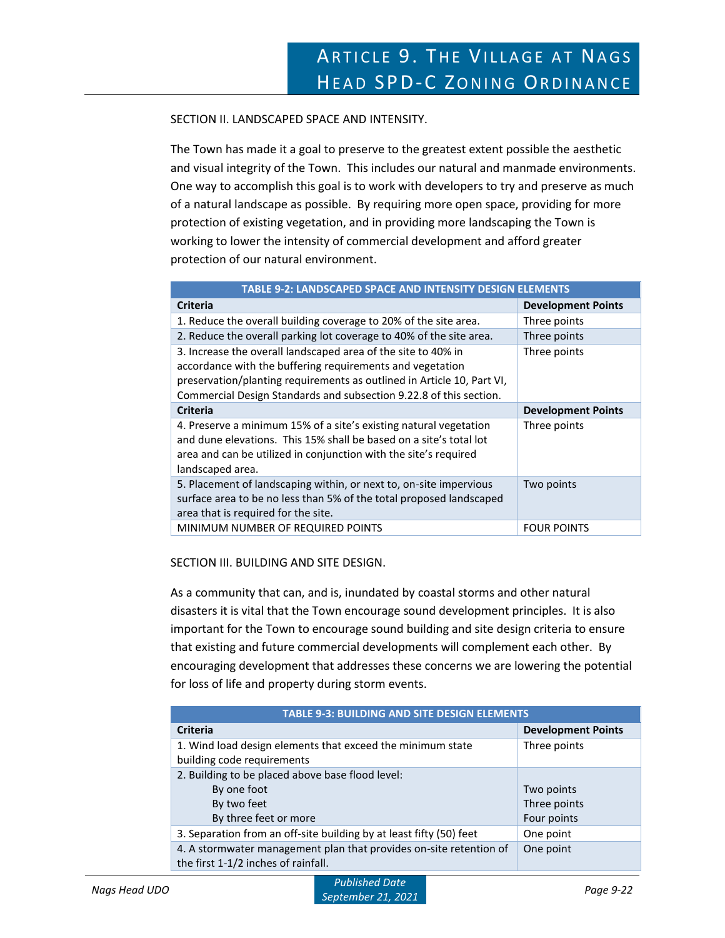SECTION II. LANDSCAPED SPACE AND INTENSITY.

The Town has made it a goal to preserve to the greatest extent possible the aesthetic and visual integrity of the Town. This includes our natural and manmade environments. One way to accomplish this goal is to work with developers to try and preserve as much of a natural landscape as possible. By requiring more open space, providing for more protection of existing vegetation, and in providing more landscaping the Town is working to lower the intensity of commercial development and afford greater protection of our natural environment.

| <b>TABLE 9-2: LANDSCAPED SPACE AND INTENSITY DESIGN ELEMENTS</b>                                                                                                                                                                                                           |                           |  |
|----------------------------------------------------------------------------------------------------------------------------------------------------------------------------------------------------------------------------------------------------------------------------|---------------------------|--|
| <b>Criteria</b>                                                                                                                                                                                                                                                            | <b>Development Points</b> |  |
| 1. Reduce the overall building coverage to 20% of the site area.                                                                                                                                                                                                           | Three points              |  |
| 2. Reduce the overall parking lot coverage to 40% of the site area.                                                                                                                                                                                                        | Three points              |  |
| 3. Increase the overall landscaped area of the site to 40% in<br>accordance with the buffering requirements and vegetation<br>preservation/planting requirements as outlined in Article 10, Part VI,<br>Commercial Design Standards and subsection 9.22.8 of this section. | Three points              |  |
| <b>Criteria</b>                                                                                                                                                                                                                                                            | <b>Development Points</b> |  |
| 4. Preserve a minimum 15% of a site's existing natural vegetation<br>and dune elevations. This 15% shall be based on a site's total lot<br>area and can be utilized in conjunction with the site's required<br>landscaped area.                                            | Three points              |  |
| 5. Placement of landscaping within, or next to, on-site impervious<br>surface area to be no less than 5% of the total proposed landscaped<br>area that is required for the site.                                                                                           | Two points                |  |
| MINIMUM NUMBER OF REQUIRED POINTS                                                                                                                                                                                                                                          | <b>FOUR POINTS</b>        |  |

# SECTION III. BUILDING AND SITE DESIGN.

As a community that can, and is, inundated by coastal storms and other natural disasters it is vital that the Town encourage sound development principles. It is also important for the Town to encourage sound building and site design criteria to ensure that existing and future commercial developments will complement each other. By encouraging development that addresses these concerns we are lowering the potential for loss of life and property during storm events.

| <b>TABLE 9-3: BUILDING AND SITE DESIGN ELEMENTS</b>                                                       |                           |  |
|-----------------------------------------------------------------------------------------------------------|---------------------------|--|
| <b>Criteria</b>                                                                                           | <b>Development Points</b> |  |
| 1. Wind load design elements that exceed the minimum state                                                | Three points              |  |
| building code requirements                                                                                |                           |  |
| 2. Building to be placed above base flood level:                                                          |                           |  |
| By one foot                                                                                               | Two points                |  |
| By two feet                                                                                               | Three points              |  |
| By three feet or more                                                                                     | Four points               |  |
| 3. Separation from an off-site building by at least fifty (50) feet                                       | One point                 |  |
| 4. A stormwater management plan that provides on-site retention of<br>the first 1-1/2 inches of rainfall. | One point                 |  |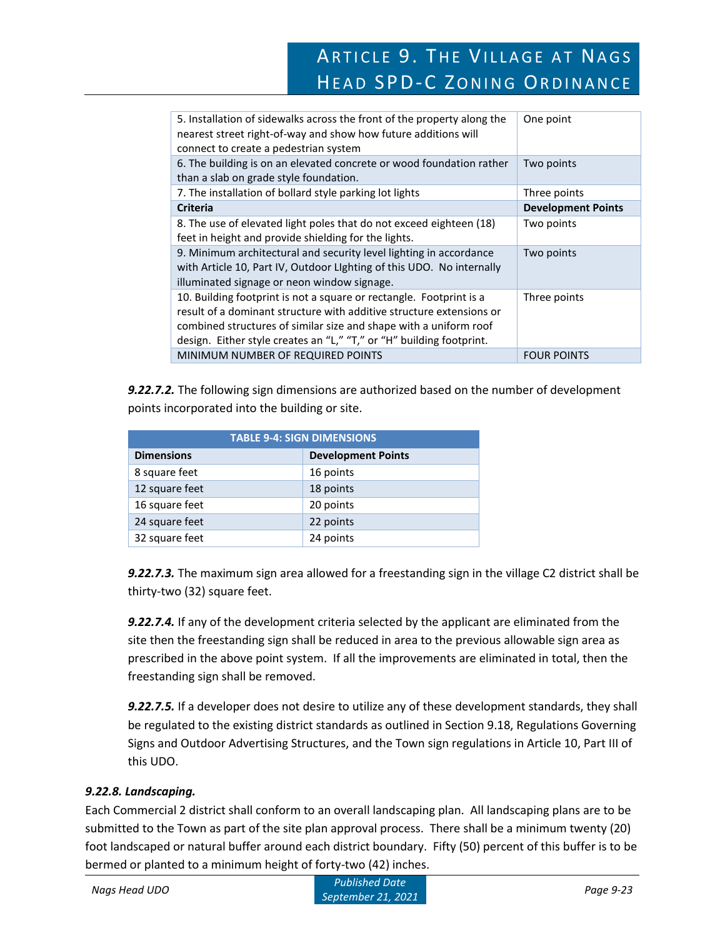# ARTICLE 9. THE VILLAGE AT NAGS HEAD SPD-C ZONING ORDINANCE

| 5. Installation of sidewalks across the front of the property along the<br>nearest street right-of-way and show how future additions will<br>connect to create a pedestrian system                                                                                                       | One point                 |
|------------------------------------------------------------------------------------------------------------------------------------------------------------------------------------------------------------------------------------------------------------------------------------------|---------------------------|
| 6. The building is on an elevated concrete or wood foundation rather<br>than a slab on grade style foundation.                                                                                                                                                                           | Two points                |
| 7. The installation of bollard style parking lot lights                                                                                                                                                                                                                                  | Three points              |
| <b>Criteria</b>                                                                                                                                                                                                                                                                          | <b>Development Points</b> |
| 8. The use of elevated light poles that do not exceed eighteen (18)<br>feet in height and provide shielding for the lights.                                                                                                                                                              | Two points                |
| 9. Minimum architectural and security level lighting in accordance<br>with Article 10, Part IV, Outdoor Lighting of this UDO. No internally<br>illuminated signage or neon window signage.                                                                                               | Two points                |
| 10. Building footprint is not a square or rectangle. Footprint is a<br>result of a dominant structure with additive structure extensions or<br>combined structures of similar size and shape with a uniform roof<br>design. Either style creates an "L," "T," or "H" building footprint. | Three points              |
| MINIMUM NUMBER OF REQUIRED POINTS                                                                                                                                                                                                                                                        | <b>FOUR POINTS</b>        |

*9.22.7.2.* The following sign dimensions are authorized based on the number of development points incorporated into the building or site.

| <b>TABLE 9-4: SIGN DIMENSIONS</b> |                           |  |
|-----------------------------------|---------------------------|--|
| <b>Dimensions</b>                 | <b>Development Points</b> |  |
| 8 square feet                     | 16 points                 |  |
| 12 square feet                    | 18 points                 |  |
| 16 square feet                    | 20 points                 |  |
| 24 square feet                    | 22 points                 |  |
| 32 square feet                    | 24 points                 |  |

*9.22.7.3.* The maximum sign area allowed for a freestanding sign in the village C2 district shall be thirty-two (32) square feet.

*9.22.7.4.* If any of the development criteria selected by the applicant are eliminated from the site then the freestanding sign shall be reduced in area to the previous allowable sign area as prescribed in the above point system. If all the improvements are eliminated in total, then the freestanding sign shall be removed.

*9.22.7.5.* If a developer does not desire to utilize any of these development standards, they shall be regulated to the existing district standards as outlined in Section 9.18, Regulations Governing Signs and Outdoor Advertising Structures, and the Town sign regulations in Article 10, Part III of this UDO.

# *9.22.8. Landscaping.*

Each Commercial 2 district shall conform to an overall landscaping plan. All landscaping plans are to be submitted to the Town as part of the site plan approval process. There shall be a minimum twenty (20) foot landscaped or natural buffer around each district boundary. Fifty (50) percent of this buffer is to be bermed or planted to a minimum height of forty-two (42) inches.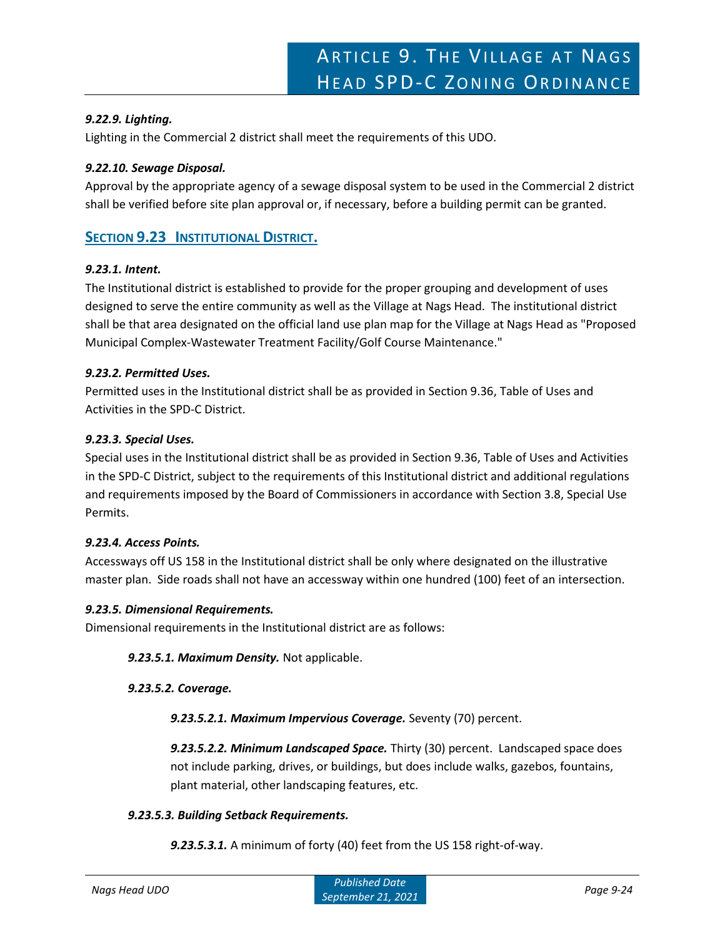# *9.22.9. Lighting.*

Lighting in the Commercial 2 district shall meet the requirements of this UDO.

# *9.22.10. Sewage Disposal.*

Approval by the appropriate agency of a sewage disposal system to be used in the Commercial 2 district shall be verified before site plan approval or, if necessary, before a building permit can be granted.

# **SECTION 9.23 INSTITUTIONAL DISTRICT.**

# *9.23.1. Intent.*

The Institutional district is established to provide for the proper grouping and development of uses designed to serve the entire community as well as the Village at Nags Head. The institutional district shall be that area designated on the official land use plan map for the Village at Nags Head as "Proposed Municipal Complex-Wastewater Treatment Facility/Golf Course Maintenance."

# *9.23.2. Permitted Uses.*

Permitted uses in the Institutional district shall be as provided in Section 9.36, Table of Uses and Activities in the SPD-C District.

# *9.23.3. Special Uses.*

Special uses in the Institutional district shall be as provided in Section 9.36, Table of Uses and Activities in the SPD-C District, subject to the requirements of this Institutional district and additional regulations and requirements imposed by the Board of Commissioners in accordance with Section 3.8, Special Use Permits.

# *9.23.4. Access Points.*

Accessways off US 158 in the Institutional district shall be only where designated on the illustrative master plan. Side roads shall not have an accessway within one hundred (100) feet of an intersection.

# *9.23.5. Dimensional Requirements.*

Dimensional requirements in the Institutional district are as follows:

*9.23.5.1. Maximum Density.* Not applicable.

# *9.23.5.2. Coverage.*

*9.23.5.2.1. Maximum Impervious Coverage.* Seventy (70) percent.

*9.23.5.2.2. Minimum Landscaped Space.* Thirty (30) percent. Landscaped space does not include parking, drives, or buildings, but does include walks, gazebos, fountains, plant material, other landscaping features, etc.

# *9.23.5.3. Building Setback Requirements.*

*9.23.5.3.1.* A minimum of forty (40) feet from the US 158 right-of-way.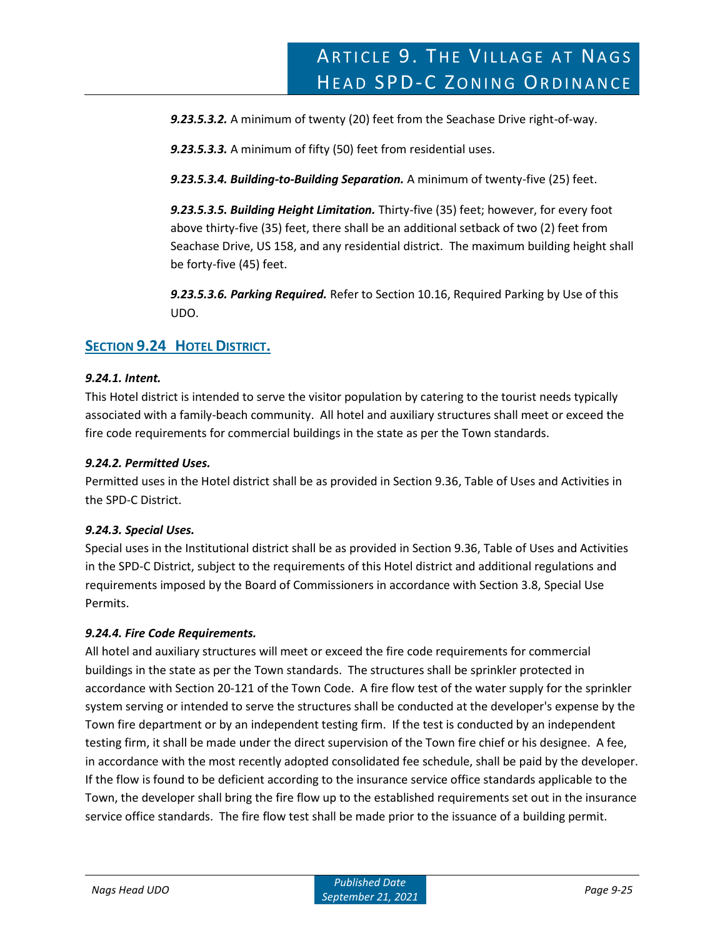*9.23.5.3.2.* A minimum of twenty (20) feet from the Seachase Drive right-of-way.

*9.23.5.3.3.* A minimum of fifty (50) feet from residential uses.

*9.23.5.3.4. Building-to-Building Separation.* A minimum of twenty-five (25) feet.

*9.23.5.3.5. Building Height Limitation.* Thirty-five (35) feet; however, for every foot above thirty-five (35) feet, there shall be an additional setback of two (2) feet from Seachase Drive, US 158, and any residential district. The maximum building height shall be forty-five (45) feet.

*9.23.5.3.6. Parking Required.* Refer to Section 10.16, Required Parking by Use of this UDO.

# **SECTION 9.24 HOTEL DISTRICT.**

# *9.24.1. Intent.*

This Hotel district is intended to serve the visitor population by catering to the tourist needs typically associated with a family-beach community. All hotel and auxiliary structures shall meet or exceed the fire code requirements for commercial buildings in the state as per the Town standards.

# *9.24.2. Permitted Uses.*

Permitted uses in the Hotel district shall be as provided in Section 9.36, Table of Uses and Activities in the SPD-C District.

# *9.24.3. Special Uses.*

Special uses in the Institutional district shall be as provided in Section 9.36, Table of Uses and Activities in the SPD-C District, subject to the requirements of this Hotel district and additional regulations and requirements imposed by the Board of Commissioners in accordance with Section 3.8, Special Use Permits.

# *9.24.4. Fire Code Requirements.*

All hotel and auxiliary structures will meet or exceed the fire code requirements for commercial buildings in the state as per the Town standards. The structures shall be sprinkler protected in accordance with Section 20-121 of the Town Code. A fire flow test of the water supply for the sprinkler system serving or intended to serve the structures shall be conducted at the developer's expense by the Town fire department or by an independent testing firm. If the test is conducted by an independent testing firm, it shall be made under the direct supervision of the Town fire chief or his designee. A fee, in accordance with the most recently adopted consolidated fee schedule, shall be paid by the developer. If the flow is found to be deficient according to the insurance service office standards applicable to the Town, the developer shall bring the fire flow up to the established requirements set out in the insurance service office standards. The fire flow test shall be made prior to the issuance of a building permit.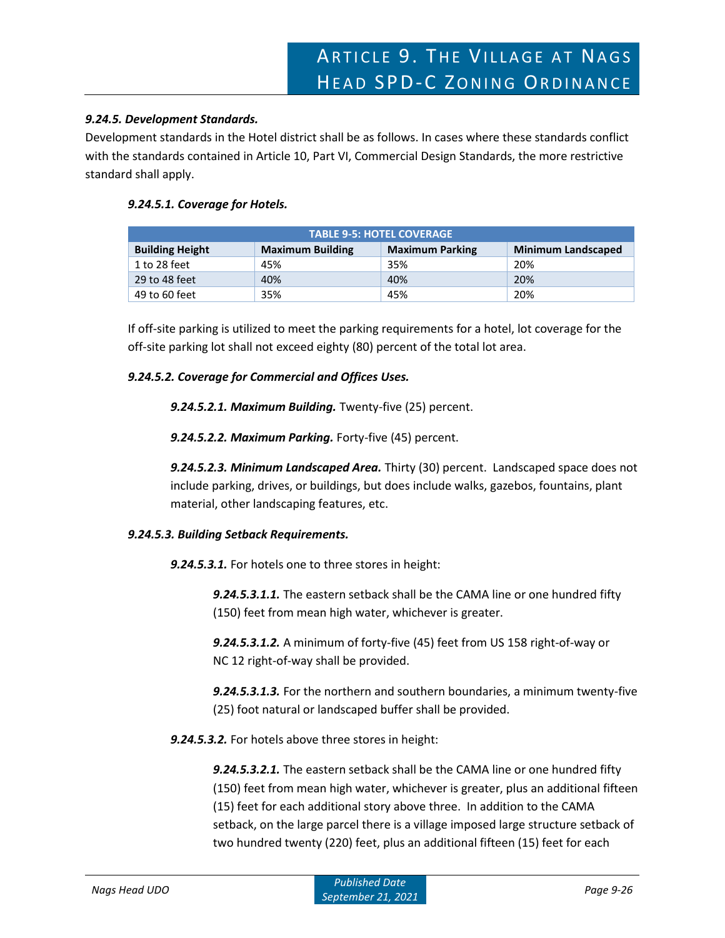#### *9.24.5. Development Standards.*

Development standards in the Hotel district shall be as follows. In cases where these standards conflict with the standards contained in Article 10, Part VI, Commercial Design Standards, the more restrictive standard shall apply.

#### *9.24.5.1. Coverage for Hotels.*

| <b>TABLE 9-5: HOTEL COVERAGE</b> |                         |                        |                           |
|----------------------------------|-------------------------|------------------------|---------------------------|
| <b>Building Height</b>           | <b>Maximum Building</b> | <b>Maximum Parking</b> | <b>Minimum Landscaped</b> |
| 1 to 28 feet                     | 45%                     | 35%                    | 20%                       |
| 29 to 48 feet                    | 40%                     | 40%                    | 20%                       |
| 49 to 60 feet                    | 35%                     | 45%                    | 20%                       |

If off-site parking is utilized to meet the parking requirements for a hotel, lot coverage for the off-site parking lot shall not exceed eighty (80) percent of the total lot area.

#### *9.24.5.2. Coverage for Commercial and Offices Uses.*

*9.24.5.2.1. Maximum Building.* Twenty-five (25) percent.

*9.24.5.2.2. Maximum Parking.* Forty-five (45) percent.

*9.24.5.2.3. Minimum Landscaped Area.* Thirty (30) percent. Landscaped space does not include parking, drives, or buildings, but does include walks, gazebos, fountains, plant material, other landscaping features, etc.

#### *9.24.5.3. Building Setback Requirements.*

*9.24.5.3.1.* For hotels one to three stores in height:

*9.24.5.3.1.1.* The eastern setback shall be the CAMA line or one hundred fifty (150) feet from mean high water, whichever is greater.

*9.24.5.3.1.2.* A minimum of forty-five (45) feet from US 158 right-of-way or NC 12 right-of-way shall be provided.

*9.24.5.3.1.3.* For the northern and southern boundaries, a minimum twenty-five (25) foot natural or landscaped buffer shall be provided.

*9.24.5.3.2.* For hotels above three stores in height:

*9.24.5.3.2.1.* The eastern setback shall be the CAMA line or one hundred fifty (150) feet from mean high water, whichever is greater, plus an additional fifteen (15) feet for each additional story above three. In addition to the CAMA setback, on the large parcel there is a village imposed large structure setback of two hundred twenty (220) feet, plus an additional fifteen (15) feet for each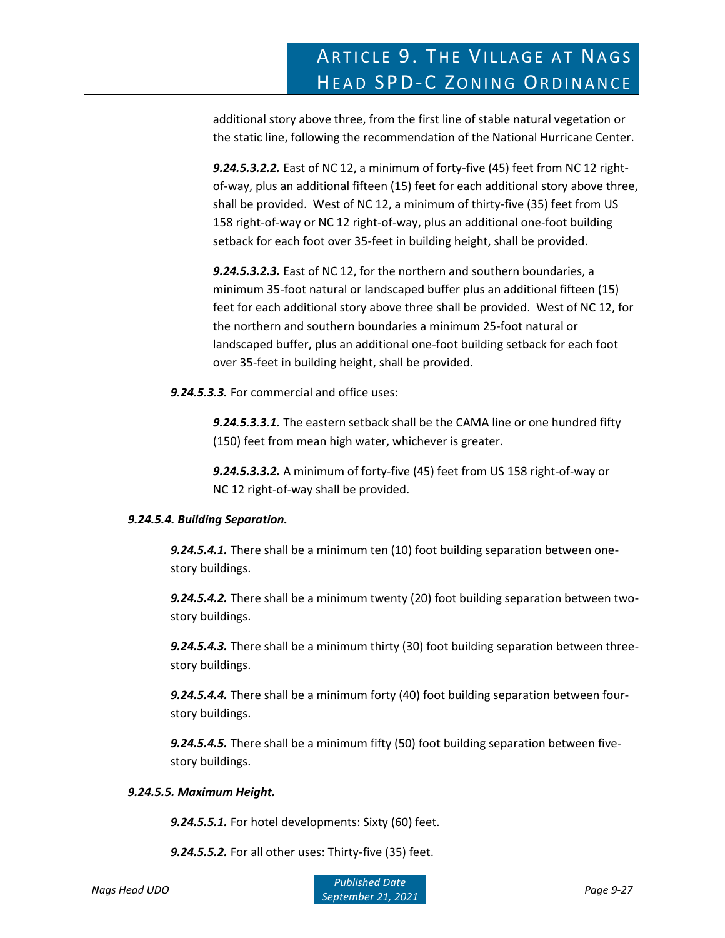additional story above three, from the first line of stable natural vegetation or the static line, following the recommendation of the National Hurricane Center.

*9.24.5.3.2.2.* East of NC 12, a minimum of forty-five (45) feet from NC 12 rightof-way, plus an additional fifteen (15) feet for each additional story above three, shall be provided. West of NC 12, a minimum of thirty-five (35) feet from US 158 right-of-way or NC 12 right-of-way, plus an additional one-foot building setback for each foot over 35-feet in building height, shall be provided.

*9.24.5.3.2.3.* East of NC 12, for the northern and southern boundaries, a minimum 35-foot natural or landscaped buffer plus an additional fifteen (15) feet for each additional story above three shall be provided. West of NC 12, for the northern and southern boundaries a minimum 25-foot natural or landscaped buffer, plus an additional one-foot building setback for each foot over 35-feet in building height, shall be provided.

*9.24.5.3.3.* For commercial and office uses:

*9.24.5.3.3.1.* The eastern setback shall be the CAMA line or one hundred fifty (150) feet from mean high water, whichever is greater.

*9.24.5.3.3.2.* A minimum of forty-five (45) feet from US 158 right-of-way or NC 12 right-of-way shall be provided.

# *9.24.5.4. Building Separation.*

*9.24.5.4.1.* There shall be a minimum ten (10) foot building separation between onestory buildings.

*9.24.5.4.2.* There shall be a minimum twenty (20) foot building separation between twostory buildings.

*9.24.5.4.3.* There shall be a minimum thirty (30) foot building separation between threestory buildings.

*9.24.5.4.4.* There shall be a minimum forty (40) foot building separation between fourstory buildings.

*9.24.5.4.5.* There shall be a minimum fifty (50) foot building separation between fivestory buildings.

# *9.24.5.5. Maximum Height.*

*9.24.5.5.1.* For hotel developments: Sixty (60) feet.

*9.24.5.5.2.* For all other uses: Thirty-five (35) feet.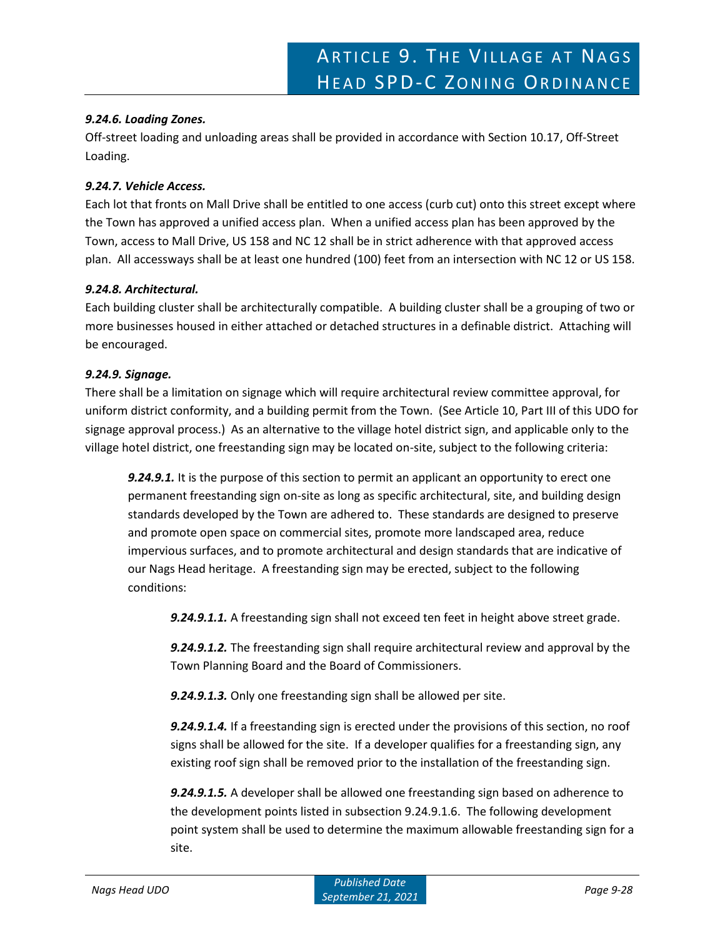### *9.24.6. Loading Zones.*

Off-street loading and unloading areas shall be provided in accordance with Section 10.17, Off-Street Loading.

#### *9.24.7. Vehicle Access.*

Each lot that fronts on Mall Drive shall be entitled to one access (curb cut) onto this street except where the Town has approved a unified access plan. When a unified access plan has been approved by the Town, access to Mall Drive, US 158 and NC 12 shall be in strict adherence with that approved access plan. All accessways shall be at least one hundred (100) feet from an intersection with NC 12 or US 158.

# *9.24.8. Architectural.*

Each building cluster shall be architecturally compatible. A building cluster shall be a grouping of two or more businesses housed in either attached or detached structures in a definable district. Attaching will be encouraged.

#### *9.24.9. Signage.*

There shall be a limitation on signage which will require architectural review committee approval, for uniform district conformity, and a building permit from the Town. (See Article 10, Part III of this UDO for signage approval process.) As an alternative to the village hotel district sign, and applicable only to the village hotel district, one freestanding sign may be located on-site, subject to the following criteria:

*9.24.9.1.* It is the purpose of this section to permit an applicant an opportunity to erect one permanent freestanding sign on-site as long as specific architectural, site, and building design standards developed by the Town are adhered to. These standards are designed to preserve and promote open space on commercial sites, promote more landscaped area, reduce impervious surfaces, and to promote architectural and design standards that are indicative of our Nags Head heritage. A freestanding sign may be erected, subject to the following conditions:

*9.24.9.1.1.* A freestanding sign shall not exceed ten feet in height above street grade.

*9.24.9.1.2.* The freestanding sign shall require architectural review and approval by the Town Planning Board and the Board of Commissioners.

*9.24.9.1.3.* Only one freestanding sign shall be allowed per site.

*9.24.9.1.4.* If a freestanding sign is erected under the provisions of this section, no roof signs shall be allowed for the site. If a developer qualifies for a freestanding sign, any existing roof sign shall be removed prior to the installation of the freestanding sign.

*9.24.9.1.5.* A developer shall be allowed one freestanding sign based on adherence to the development points listed in subsection 9.24.9.1.6. The following development point system shall be used to determine the maximum allowable freestanding sign for a site.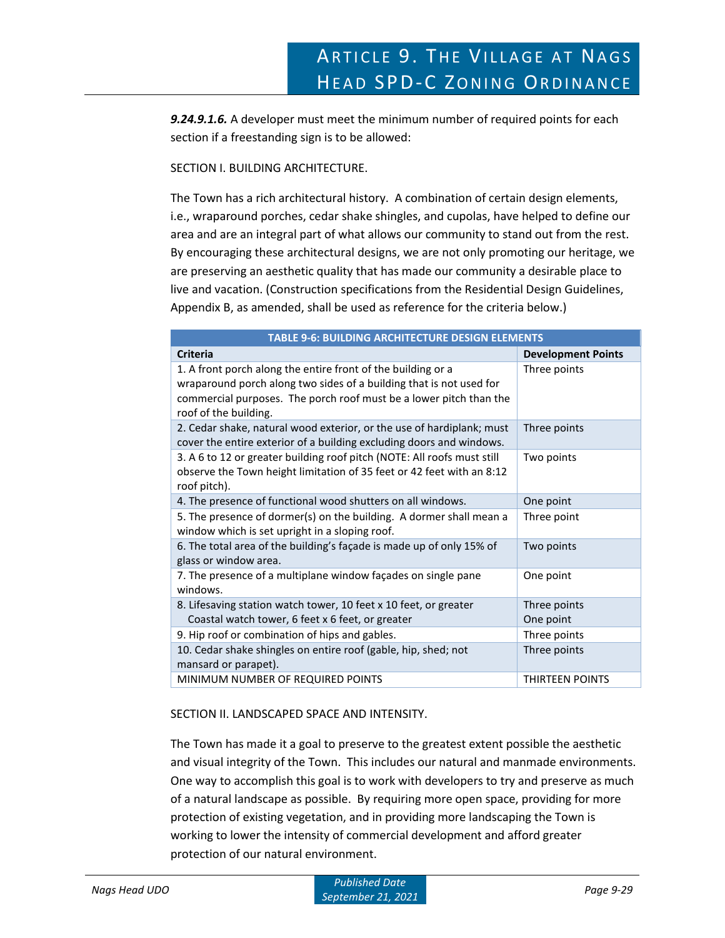*9.24.9.1.6.* A developer must meet the minimum number of required points for each section if a freestanding sign is to be allowed:

### SECTION I. BUILDING ARCHITECTURE.

The Town has a rich architectural history. A combination of certain design elements, i.e., wraparound porches, cedar shake shingles, and cupolas, have helped to define our area and are an integral part of what allows our community to stand out from the rest. By encouraging these architectural designs, we are not only promoting our heritage, we are preserving an aesthetic quality that has made our community a desirable place to live and vacation. (Construction specifications from the Residential Design Guidelines, Appendix B, as amended, shall be used as reference for the criteria below.)

| <b>TABLE 9-6: BUILDING ARCHITECTURE DESIGN ELEMENTS</b>                                                                                                                                                                            |                           |  |
|------------------------------------------------------------------------------------------------------------------------------------------------------------------------------------------------------------------------------------|---------------------------|--|
| <b>Criteria</b>                                                                                                                                                                                                                    | <b>Development Points</b> |  |
| 1. A front porch along the entire front of the building or a<br>wraparound porch along two sides of a building that is not used for<br>commercial purposes. The porch roof must be a lower pitch than the<br>roof of the building. | Three points              |  |
| 2. Cedar shake, natural wood exterior, or the use of hardiplank; must<br>cover the entire exterior of a building excluding doors and windows.                                                                                      | Three points              |  |
| 3. A 6 to 12 or greater building roof pitch (NOTE: All roofs must still<br>observe the Town height limitation of 35 feet or 42 feet with an 8:12<br>roof pitch).                                                                   | Two points                |  |
| 4. The presence of functional wood shutters on all windows.                                                                                                                                                                        | One point                 |  |
| 5. The presence of dormer(s) on the building. A dormer shall mean a<br>window which is set upright in a sloping roof.                                                                                                              | Three point               |  |
| 6. The total area of the building's façade is made up of only 15% of<br>glass or window area.                                                                                                                                      | Two points                |  |
| 7. The presence of a multiplane window façades on single pane<br>windows.                                                                                                                                                          | One point                 |  |
| 8. Lifesaving station watch tower, 10 feet x 10 feet, or greater<br>Coastal watch tower, 6 feet x 6 feet, or greater                                                                                                               | Three points<br>One point |  |
| 9. Hip roof or combination of hips and gables.                                                                                                                                                                                     | Three points              |  |
| 10. Cedar shake shingles on entire roof (gable, hip, shed; not<br>mansard or parapet).                                                                                                                                             | Three points              |  |
| MINIMUM NUMBER OF REQUIRED POINTS                                                                                                                                                                                                  | <b>THIRTEEN POINTS</b>    |  |

# SECTION II. LANDSCAPED SPACE AND INTENSITY.

The Town has made it a goal to preserve to the greatest extent possible the aesthetic and visual integrity of the Town. This includes our natural and manmade environments. One way to accomplish this goal is to work with developers to try and preserve as much of a natural landscape as possible. By requiring more open space, providing for more protection of existing vegetation, and in providing more landscaping the Town is working to lower the intensity of commercial development and afford greater protection of our natural environment.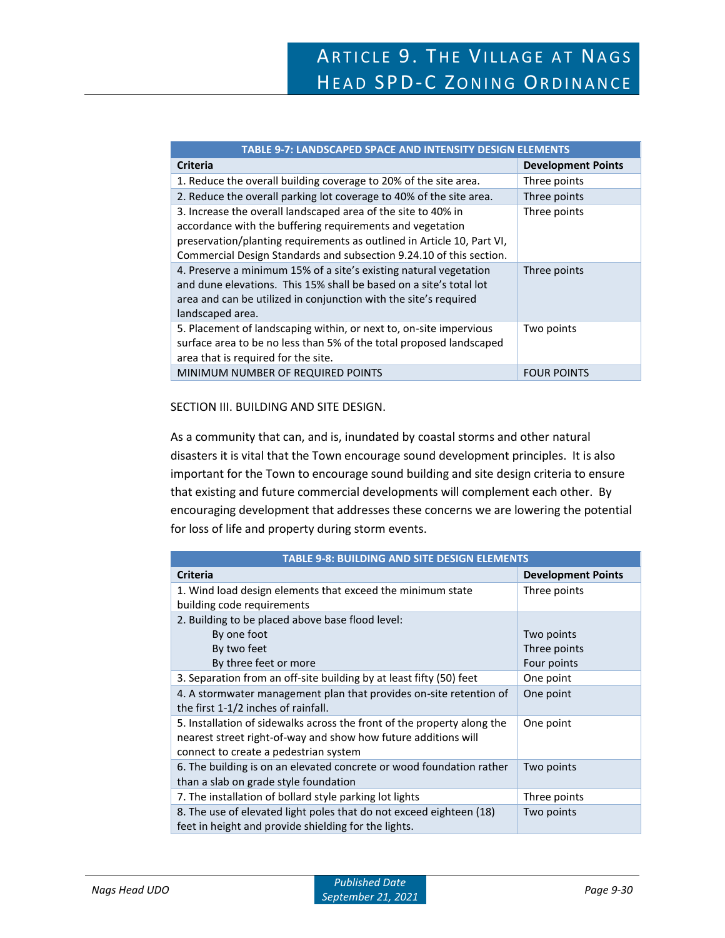| <b>TABLE 9-7: LANDSCAPED SPACE AND INTENSITY DESIGN ELEMENTS</b>                                                                                                                                                                                                            |                           |  |
|-----------------------------------------------------------------------------------------------------------------------------------------------------------------------------------------------------------------------------------------------------------------------------|---------------------------|--|
| <b>Criteria</b>                                                                                                                                                                                                                                                             | <b>Development Points</b> |  |
| 1. Reduce the overall building coverage to 20% of the site area.                                                                                                                                                                                                            | Three points              |  |
| 2. Reduce the overall parking lot coverage to 40% of the site area.                                                                                                                                                                                                         | Three points              |  |
| 3. Increase the overall landscaped area of the site to 40% in<br>accordance with the buffering requirements and vegetation<br>preservation/planting requirements as outlined in Article 10, Part VI,<br>Commercial Design Standards and subsection 9.24.10 of this section. | Three points              |  |
| 4. Preserve a minimum 15% of a site's existing natural vegetation<br>and dune elevations. This 15% shall be based on a site's total lot<br>area and can be utilized in conjunction with the site's required<br>landscaped area.                                             | Three points              |  |
| 5. Placement of landscaping within, or next to, on-site impervious<br>surface area to be no less than 5% of the total proposed landscaped<br>area that is required for the site.                                                                                            | Two points                |  |
| MINIMUM NUMBER OF REQUIRED POINTS                                                                                                                                                                                                                                           | <b>FOUR POINTS</b>        |  |

#### SECTION III. BUILDING AND SITE DESIGN.

As a community that can, and is, inundated by coastal storms and other natural disasters it is vital that the Town encourage sound development principles. It is also important for the Town to encourage sound building and site design criteria to ensure that existing and future commercial developments will complement each other. By encouraging development that addresses these concerns we are lowering the potential for loss of life and property during storm events.

| <b>TABLE 9-8: BUILDING AND SITE DESIGN ELEMENTS</b>                     |                           |  |
|-------------------------------------------------------------------------|---------------------------|--|
| <b>Criteria</b>                                                         | <b>Development Points</b> |  |
| 1. Wind load design elements that exceed the minimum state              | Three points              |  |
| building code requirements                                              |                           |  |
| 2. Building to be placed above base flood level:                        |                           |  |
| By one foot                                                             | Two points                |  |
| By two feet                                                             | Three points              |  |
| By three feet or more                                                   | Four points               |  |
| 3. Separation from an off-site building by at least fifty (50) feet     | One point                 |  |
| 4. A stormwater management plan that provides on-site retention of      | One point                 |  |
| the first 1-1/2 inches of rainfall.                                     |                           |  |
| 5. Installation of sidewalks across the front of the property along the | One point                 |  |
| nearest street right-of-way and show how future additions will          |                           |  |
| connect to create a pedestrian system                                   |                           |  |
| 6. The building is on an elevated concrete or wood foundation rather    | Two points                |  |
| than a slab on grade style foundation                                   |                           |  |
| 7. The installation of bollard style parking lot lights                 | Three points              |  |
| 8. The use of elevated light poles that do not exceed eighteen (18)     | Two points                |  |
| feet in height and provide shielding for the lights.                    |                           |  |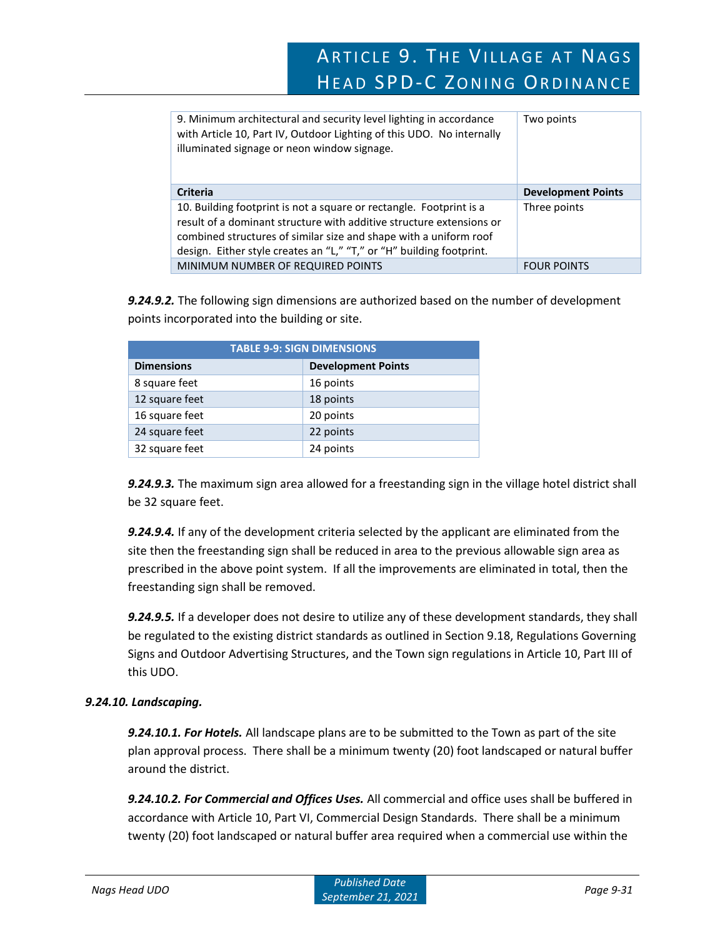# ARTICLE 9. THE VILLAGE AT NAGS HEAD SPD-C ZONING ORDINANCE

| 9. Minimum architectural and security level lighting in accordance<br>with Article 10, Part IV, Outdoor Lighting of this UDO. No internally<br>illuminated signage or neon window signage.                       | Two points                |
|------------------------------------------------------------------------------------------------------------------------------------------------------------------------------------------------------------------|---------------------------|
| <b>Criteria</b>                                                                                                                                                                                                  | <b>Development Points</b> |
| 10. Building footprint is not a square or rectangle. Footprint is a<br>result of a dominant structure with additive structure extensions or<br>combined structures of similar size and shape with a uniform roof | Three points              |
| design. Either style creates an "L," "T," or "H" building footprint.                                                                                                                                             |                           |

*9.24.9.2.* The following sign dimensions are authorized based on the number of development points incorporated into the building or site.

| <b>TABLE 9-9: SIGN DIMENSIONS</b> |                           |  |  |
|-----------------------------------|---------------------------|--|--|
| <b>Dimensions</b>                 | <b>Development Points</b> |  |  |
| 8 square feet                     | 16 points                 |  |  |
| 12 square feet                    | 18 points                 |  |  |
| 16 square feet                    | 20 points                 |  |  |
| 24 square feet                    | 22 points                 |  |  |
| 32 square feet                    | 24 points                 |  |  |

*9.24.9.3.* The maximum sign area allowed for a freestanding sign in the village hotel district shall be 32 square feet.

*9.24.9.4.* If any of the development criteria selected by the applicant are eliminated from the site then the freestanding sign shall be reduced in area to the previous allowable sign area as prescribed in the above point system. If all the improvements are eliminated in total, then the freestanding sign shall be removed.

*9.24.9.5.* If a developer does not desire to utilize any of these development standards, they shall be regulated to the existing district standards as outlined in Section 9.18, Regulations Governing Signs and Outdoor Advertising Structures, and the Town sign regulations in Article 10, Part III of this UDO.

# *9.24.10. Landscaping.*

*9.24.10.1. For Hotels.* All landscape plans are to be submitted to the Town as part of the site plan approval process. There shall be a minimum twenty (20) foot landscaped or natural buffer around the district.

*9.24.10.2. For Commercial and Offices Uses.* All commercial and office uses shall be buffered in accordance with Article 10, Part VI, Commercial Design Standards. There shall be a minimum twenty (20) foot landscaped or natural buffer area required when a commercial use within the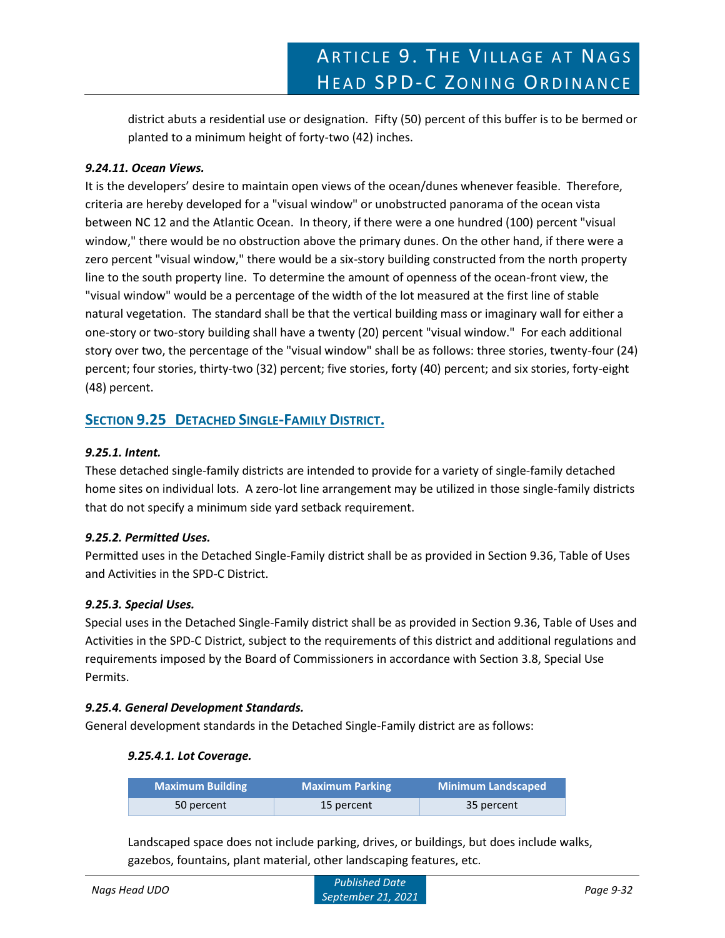district abuts a residential use or designation. Fifty (50) percent of this buffer is to be bermed or planted to a minimum height of forty-two (42) inches.

# *9.24.11. Ocean Views.*

It is the developers' desire to maintain open views of the ocean/dunes whenever feasible. Therefore, criteria are hereby developed for a "visual window" or unobstructed panorama of the ocean vista between NC 12 and the Atlantic Ocean. In theory, if there were a one hundred (100) percent "visual window," there would be no obstruction above the primary dunes. On the other hand, if there were a zero percent "visual window," there would be a six-story building constructed from the north property line to the south property line. To determine the amount of openness of the ocean-front view, the "visual window" would be a percentage of the width of the lot measured at the first line of stable natural vegetation. The standard shall be that the vertical building mass or imaginary wall for either a one-story or two-story building shall have a twenty (20) percent "visual window." For each additional story over two, the percentage of the "visual window" shall be as follows: three stories, twenty-four (24) percent; four stories, thirty-two (32) percent; five stories, forty (40) percent; and six stories, forty-eight (48) percent.

# **SECTION 9.25 DETACHED SINGLE-FAMILY DISTRICT.**

# *9.25.1. Intent.*

These detached single-family districts are intended to provide for a variety of single-family detached home sites on individual lots. A zero-lot line arrangement may be utilized in those single-family districts that do not specify a minimum side yard setback requirement.

# *9.25.2. Permitted Uses.*

Permitted uses in the Detached Single-Family district shall be as provided in Section 9.36, Table of Uses and Activities in the SPD-C District.

# *9.25.3. Special Uses.*

Special uses in the Detached Single-Family district shall be as provided in Section 9.36, Table of Uses and Activities in the SPD-C District, subject to the requirements of this district and additional regulations and requirements imposed by the Board of Commissioners in accordance with Section 3.8, Special Use Permits.

# *9.25.4. General Development Standards.*

General development standards in the Detached Single-Family district are as follows:

# *9.25.4.1. Lot Coverage.*

| <b>Maximum Building</b> | <b>Maximum Parking</b> | <b>Minimum Landscaped</b> |
|-------------------------|------------------------|---------------------------|
| 50 percent              | 15 percent             | 35 percent                |

Landscaped space does not include parking, drives, or buildings, but does include walks, gazebos, fountains, plant material, other landscaping features, etc.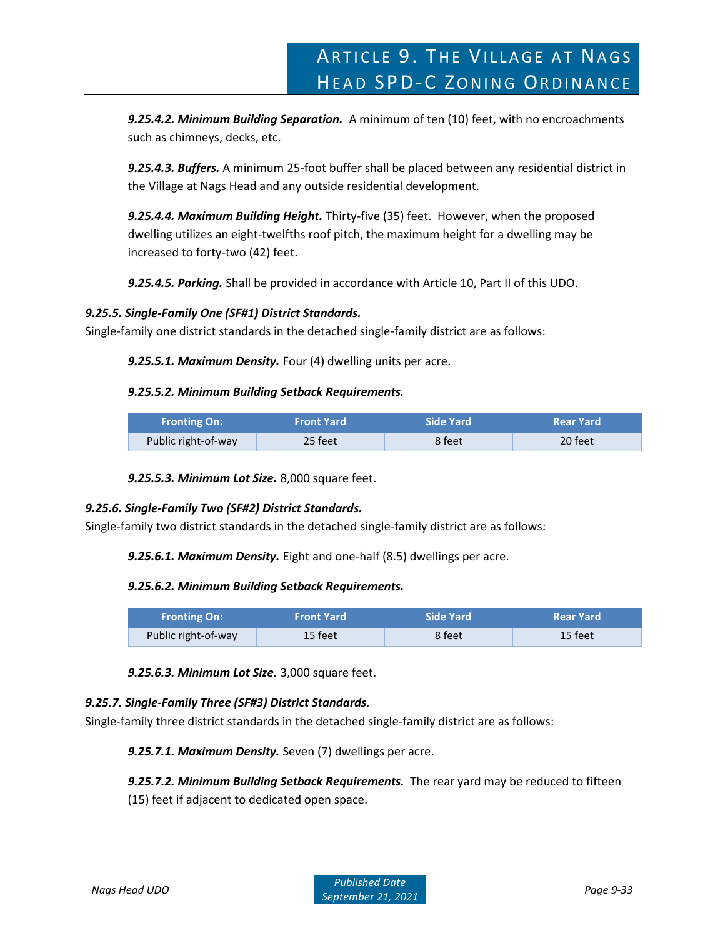*9.25.4.2. Minimum Building Separation.* A minimum of ten (10) feet, with no encroachments such as chimneys, decks, etc.

*9.25.4.3. Buffers.* A minimum 25-foot buffer shall be placed between any residential district in the Village at Nags Head and any outside residential development.

*9.25.4.4. Maximum Building Height.* Thirty-five (35) feet. However, when the proposed dwelling utilizes an eight-twelfths roof pitch, the maximum height for a dwelling may be increased to forty-two (42) feet.

*9.25.4.5. Parking.* Shall be provided in accordance with Article 10, Part II of this UDO.

# *9.25.5. Single-Family One (SF#1) District Standards.*

Single-family one district standards in the detached single-family district are as follows:

*9.25.5.1. Maximum Density.* Four (4) dwelling units per acre.

#### *9.25.5.2. Minimum Building Setback Requirements.*

| <b>Fronting On:</b> | <b>Front Yard</b> | Side Yard | <b>Rear Yard</b> |
|---------------------|-------------------|-----------|------------------|
| Public right-of-way | 25 feet           | 8 feet    | 20 feet          |

*9.25.5.3. Minimum Lot Size.* 8,000 square feet.

# *9.25.6. Single-Family Two (SF#2) District Standards.*

Single-family two district standards in the detached single-family district are as follows:

*9.25.6.1. Maximum Density.* Eight and one-half (8.5) dwellings per acre.

#### *9.25.6.2. Minimum Building Setback Requirements.*

| <b>Fronting On:</b> | <b>Front Yard</b> | Side Yard | <b>Rear Yard</b> |
|---------------------|-------------------|-----------|------------------|
| Public right-of-way | 15 feet           | 8 feet    | 15 feet          |

*9.25.6.3. Minimum Lot Size.* 3,000 square feet.

# *9.25.7. Single-Family Three (SF#3) District Standards.*

Single-family three district standards in the detached single-family district are as follows:

*9.25.7.1. Maximum Density.* Seven (7) dwellings per acre.

*9.25.7.2. Minimum Building Setback Requirements.* The rear yard may be reduced to fifteen (15) feet if adjacent to dedicated open space.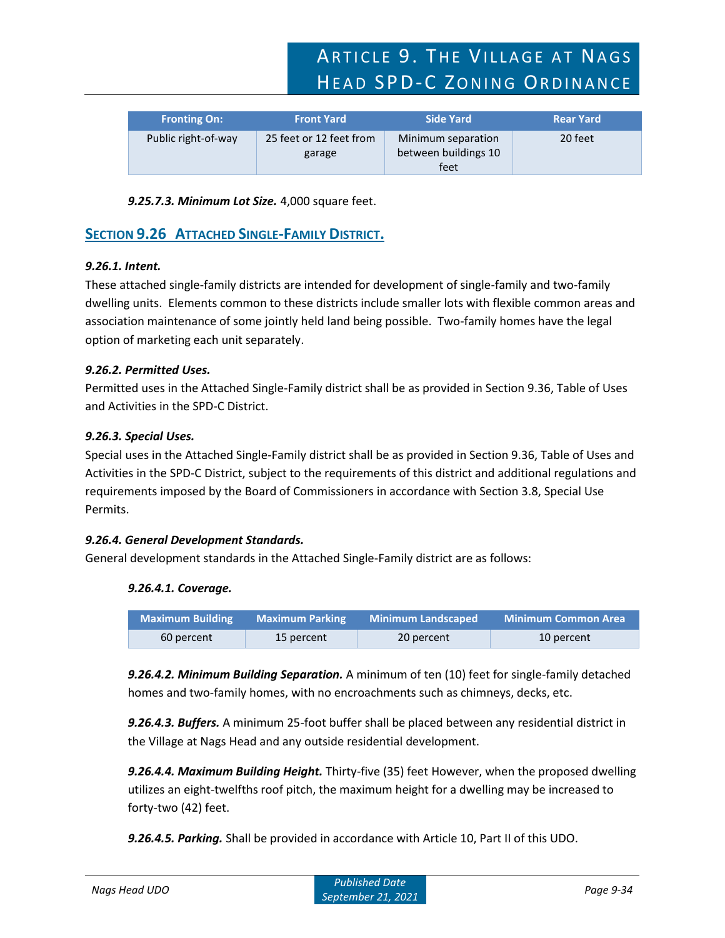ARTICLE 9. THE VILLAGE AT NAGS HEAD SPD-C ZONING ORDINANCE

| <b>Fronting On:</b> | <b>Front Yard</b>                 | <b>Side Yard</b>                                   | <b>Rear Yard</b> |
|---------------------|-----------------------------------|----------------------------------------------------|------------------|
| Public right-of-way | 25 feet or 12 feet from<br>garage | Minimum separation<br>between buildings 10<br>feet | 20 feet          |

*9.25.7.3. Minimum Lot Size.* 4,000 square feet.

# **SECTION 9.26 ATTACHED SINGLE-FAMILY DISTRICT.**

# *9.26.1. Intent.*

These attached single-family districts are intended for development of single-family and two-family dwelling units. Elements common to these districts include smaller lots with flexible common areas and association maintenance of some jointly held land being possible. Two-family homes have the legal option of marketing each unit separately.

# *9.26.2. Permitted Uses.*

Permitted uses in the Attached Single-Family district shall be as provided in Section 9.36, Table of Uses and Activities in the SPD-C District.

# *9.26.3. Special Uses.*

Special uses in the Attached Single-Family district shall be as provided in Section 9.36, Table of Uses and Activities in the SPD-C District, subject to the requirements of this district and additional regulations and requirements imposed by the Board of Commissioners in accordance with Section 3.8, Special Use Permits.

# *9.26.4. General Development Standards.*

General development standards in the Attached Single-Family district are as follows:

# *9.26.4.1. Coverage.*

| <b>Maximum Building</b> | <b>Maximum Parking</b> | <b>Minimum Landscaped</b> | <b>Minimum Common Area</b> |
|-------------------------|------------------------|---------------------------|----------------------------|
| 60 percent              | 15 percent             | 20 percent                | 10 percent                 |

*9.26.4.2. Minimum Building Separation.* A minimum of ten (10) feet for single-family detached homes and two-family homes, with no encroachments such as chimneys, decks, etc.

*9.26.4.3. Buffers.* A minimum 25-foot buffer shall be placed between any residential district in the Village at Nags Head and any outside residential development.

*9.26.4.4. Maximum Building Height.* Thirty-five (35) feet However, when the proposed dwelling utilizes an eight-twelfths roof pitch, the maximum height for a dwelling may be increased to forty-two (42) feet.

*9.26.4.5. Parking.* Shall be provided in accordance with Article 10, Part II of this UDO.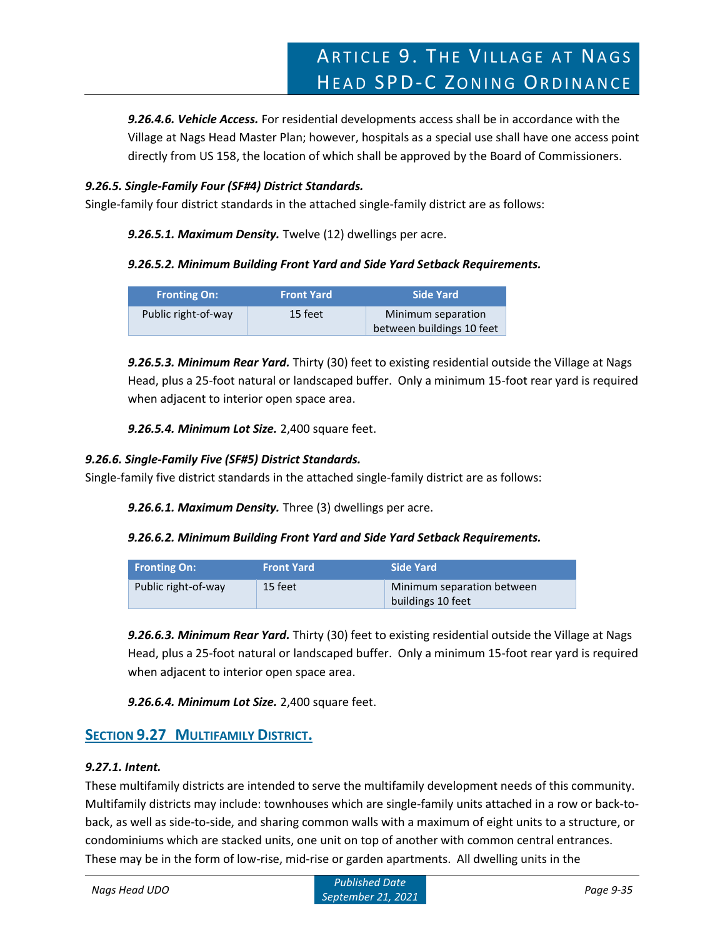*9.26.4.6. Vehicle Access.* For residential developments access shall be in accordance with the Village at Nags Head Master Plan; however, hospitals as a special use shall have one access point directly from US 158, the location of which shall be approved by the Board of Commissioners.

# *9.26.5. Single-Family Four (SF#4) District Standards.*

Single-family four district standards in the attached single-family district are as follows:

*9.26.5.1. Maximum Density.* Twelve (12) dwellings per acre.

# *9.26.5.2. Minimum Building Front Yard and Side Yard Setback Requirements.*

| <b>Fronting On:</b> | <b>Front Yard</b> | Side Yard                                       |
|---------------------|-------------------|-------------------------------------------------|
| Public right-of-way | 15 feet           | Minimum separation<br>between buildings 10 feet |

*9.26.5.3. Minimum Rear Yard.* Thirty (30) feet to existing residential outside the Village at Nags Head, plus a 25-foot natural or landscaped buffer. Only a minimum 15-foot rear yard is required when adjacent to interior open space area.

*9.26.5.4. Minimum Lot Size.* 2,400 square feet.

# *9.26.6. Single-Family Five (SF#5) District Standards.*

Single-family five district standards in the attached single-family district are as follows:

*9.26.6.1. Maximum Density.* Three (3) dwellings per acre.

# *9.26.6.2. Minimum Building Front Yard and Side Yard Setback Requirements.*

| <b>Fronting On:</b> | <b>Front Yard</b> | Side Yard                  |
|---------------------|-------------------|----------------------------|
| Public right-of-way | 15 feet           | Minimum separation between |
|                     |                   | buildings 10 feet          |

*9.26.6.3. Minimum Rear Yard.* Thirty (30) feet to existing residential outside the Village at Nags Head, plus a 25-foot natural or landscaped buffer. Only a minimum 15-foot rear yard is required when adjacent to interior open space area.

*9.26.6.4. Minimum Lot Size.* 2,400 square feet.

# **SECTION 9.27 MULTIFAMILY DISTRICT.**

# *9.27.1. Intent.*

These multifamily districts are intended to serve the multifamily development needs of this community. Multifamily districts may include: townhouses which are single-family units attached in a row or back-toback, as well as side-to-side, and sharing common walls with a maximum of eight units to a structure, or condominiums which are stacked units, one unit on top of another with common central entrances. These may be in the form of low-rise, mid-rise or garden apartments. All dwelling units in the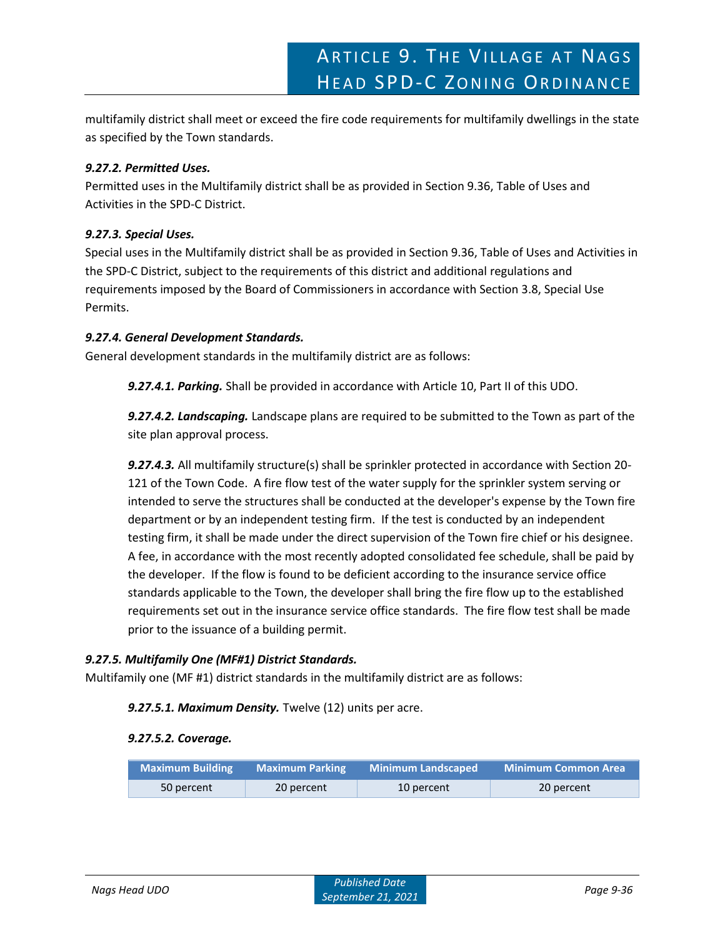multifamily district shall meet or exceed the fire code requirements for multifamily dwellings in the state as specified by the Town standards.

# *9.27.2. Permitted Uses.*

Permitted uses in the Multifamily district shall be as provided in Section 9.36, Table of Uses and Activities in the SPD-C District.

# *9.27.3. Special Uses.*

Special uses in the Multifamily district shall be as provided in Section 9.36, Table of Uses and Activities in the SPD-C District, subject to the requirements of this district and additional regulations and requirements imposed by the Board of Commissioners in accordance with Section 3.8, Special Use Permits.

# *9.27.4. General Development Standards.*

General development standards in the multifamily district are as follows:

*9.27.4.1. Parking.* Shall be provided in accordance with Article 10, Part II of this UDO.

*9.27.4.2. Landscaping.* Landscape plans are required to be submitted to the Town as part of the site plan approval process.

*9.27.4.3.* All multifamily structure(s) shall be sprinkler protected in accordance with Section 20- 121 of the Town Code. A fire flow test of the water supply for the sprinkler system serving or intended to serve the structures shall be conducted at the developer's expense by the Town fire department or by an independent testing firm. If the test is conducted by an independent testing firm, it shall be made under the direct supervision of the Town fire chief or his designee. A fee, in accordance with the most recently adopted consolidated fee schedule, shall be paid by the developer. If the flow is found to be deficient according to the insurance service office standards applicable to the Town, the developer shall bring the fire flow up to the established requirements set out in the insurance service office standards. The fire flow test shall be made prior to the issuance of a building permit.

# *9.27.5. Multifamily One (MF#1) District Standards.*

Multifamily one (MF #1) district standards in the multifamily district are as follows:

# *9.27.5.1. Maximum Density.* Twelve (12) units per acre.

# *9.27.5.2. Coverage.*

| <b>Maximum Building</b> | <b>Maximum Parking</b> | <b>Minimum Landscaped</b> | <b>Minimum Common Area</b> |
|-------------------------|------------------------|---------------------------|----------------------------|
| 50 percent              | 20 percent             | 10 percent                | 20 percent                 |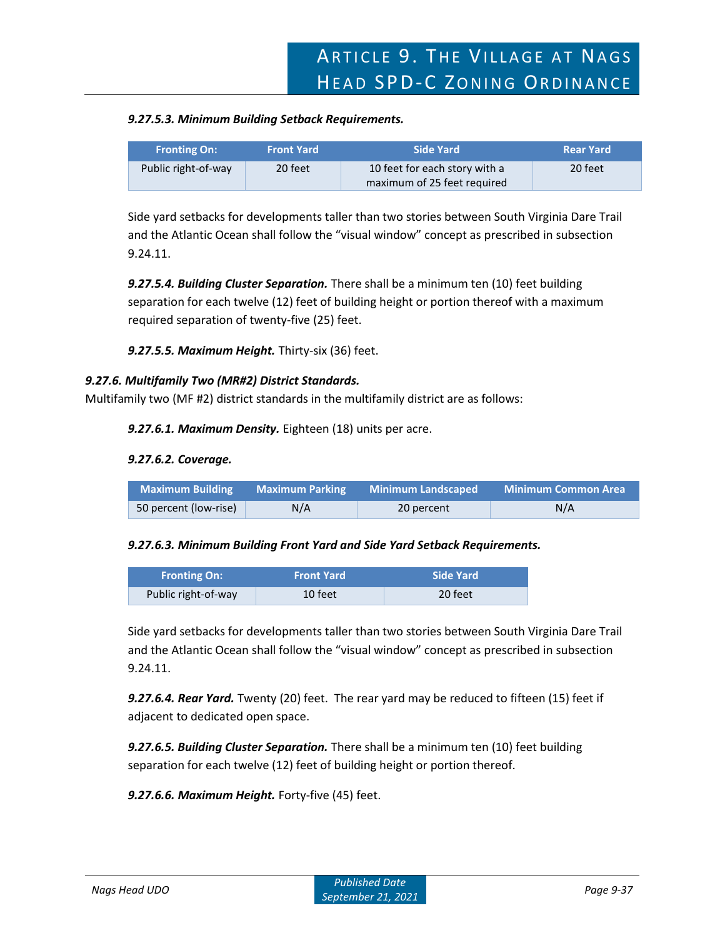#### *9.27.5.3. Minimum Building Setback Requirements.*

| <b>Fronting On:</b> | <b>Front Yard</b> | Side Yard                     | <b>Rear Yard</b> |
|---------------------|-------------------|-------------------------------|------------------|
| Public right-of-way | 20 feet           | 10 feet for each story with a | 20 feet          |
|                     |                   | maximum of 25 feet required   |                  |

Side yard setbacks for developments taller than two stories between South Virginia Dare Trail and the Atlantic Ocean shall follow the "visual window" concept as prescribed in subsection 9.24.11.

*9.27.5.4. Building Cluster Separation.* There shall be a minimum ten (10) feet building separation for each twelve (12) feet of building height or portion thereof with a maximum required separation of twenty-five (25) feet.

*9.27.5.5. Maximum Height.* Thirty-six (36) feet.

#### *9.27.6. Multifamily Two (MR#2) District Standards.*

Multifamily two (MF #2) district standards in the multifamily district are as follows:

*9.27.6.1. Maximum Density.* Eighteen (18) units per acre.

#### *9.27.6.2. Coverage.*

| <b>Maximum Building</b> | <b>Maximum Parking</b> | Minimum Landscaped | Minimum Common Area |
|-------------------------|------------------------|--------------------|---------------------|
| 50 percent (low-rise)   | N/A                    | 20 percent         | N/A                 |

#### *9.27.6.3. Minimum Building Front Yard and Side Yard Setback Requirements.*

| <b>Fronting On:</b> | <b>Front Yard</b> | Side Yard |
|---------------------|-------------------|-----------|
| Public right-of-way | 10 feet           | 20 feet   |

Side yard setbacks for developments taller than two stories between South Virginia Dare Trail and the Atlantic Ocean shall follow the "visual window" concept as prescribed in subsection 9.24.11.

*9.27.6.4. Rear Yard.* Twenty (20) feet. The rear yard may be reduced to fifteen (15) feet if adjacent to dedicated open space.

*9.27.6.5. Building Cluster Separation.* There shall be a minimum ten (10) feet building separation for each twelve (12) feet of building height or portion thereof.

*9.27.6.6. Maximum Height.* Forty-five (45) feet.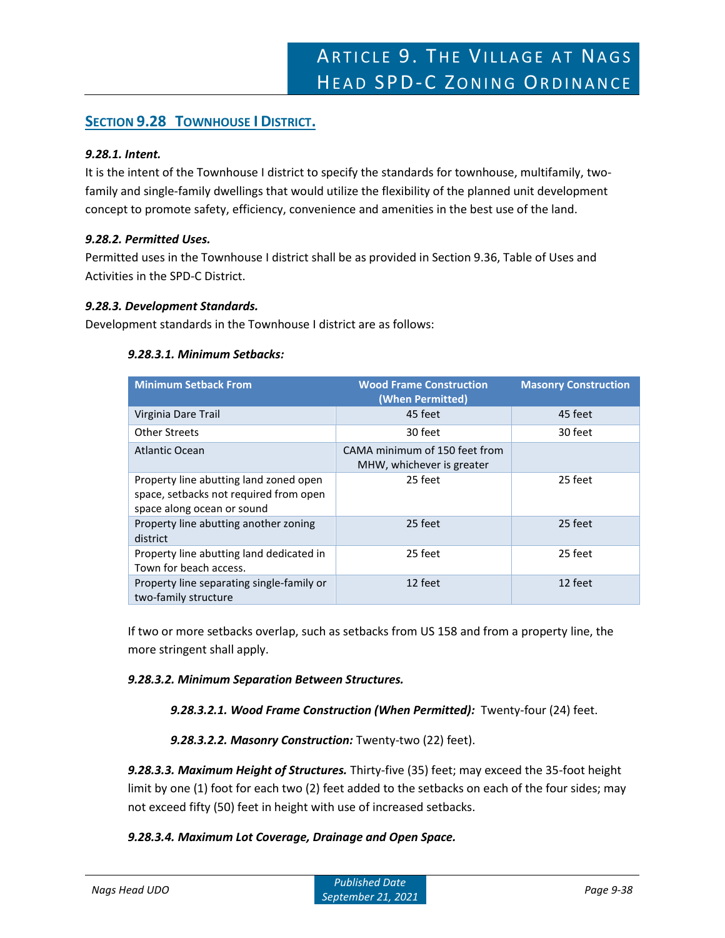# **SECTION 9.28 TOWNHOUSE I DISTRICT.**

# *9.28.1. Intent.*

It is the intent of the Townhouse I district to specify the standards for townhouse, multifamily, twofamily and single-family dwellings that would utilize the flexibility of the planned unit development concept to promote safety, efficiency, convenience and amenities in the best use of the land.

# *9.28.2. Permitted Uses.*

Permitted uses in the Townhouse I district shall be as provided in Section 9.36, Table of Uses and Activities in the SPD-C District.

# *9.28.3. Development Standards.*

Development standards in the Townhouse I district are as follows:

# *9.28.3.1. Minimum Setbacks:*

| <b>Minimum Setback From</b>                                                                                    | <b>Wood Frame Construction</b><br>(When Permitted)         | <b>Masonry Construction</b> |
|----------------------------------------------------------------------------------------------------------------|------------------------------------------------------------|-----------------------------|
| Virginia Dare Trail                                                                                            | 45 feet                                                    | 45 feet                     |
| <b>Other Streets</b>                                                                                           | 30 feet                                                    | 30 feet                     |
| Atlantic Ocean                                                                                                 | CAMA minimum of 150 feet from<br>MHW, whichever is greater |                             |
| Property line abutting land zoned open<br>space, setbacks not required from open<br>space along ocean or sound | 25 feet                                                    | 25 feet                     |
| Property line abutting another zoning<br>district                                                              | 25 feet                                                    | 25 feet                     |
| Property line abutting land dedicated in<br>Town for beach access.                                             | 25 feet                                                    | 25 feet                     |
| Property line separating single-family or<br>two-family structure                                              | 12 feet                                                    | 12 feet                     |

If two or more setbacks overlap, such as setbacks from US 158 and from a property line, the more stringent shall apply.

# *9.28.3.2. Minimum Separation Between Structures.*

*9.28.3.2.1. Wood Frame Construction (When Permitted):* Twenty-four (24) feet.

# *9.28.3.2.2. Masonry Construction:* Twenty-two (22) feet).

*9.28.3.3. Maximum Height of Structures.* Thirty-five (35) feet; may exceed the 35-foot height limit by one (1) foot for each two (2) feet added to the setbacks on each of the four sides; may not exceed fifty (50) feet in height with use of increased setbacks.

# *9.28.3.4. Maximum Lot Coverage, Drainage and Open Space.*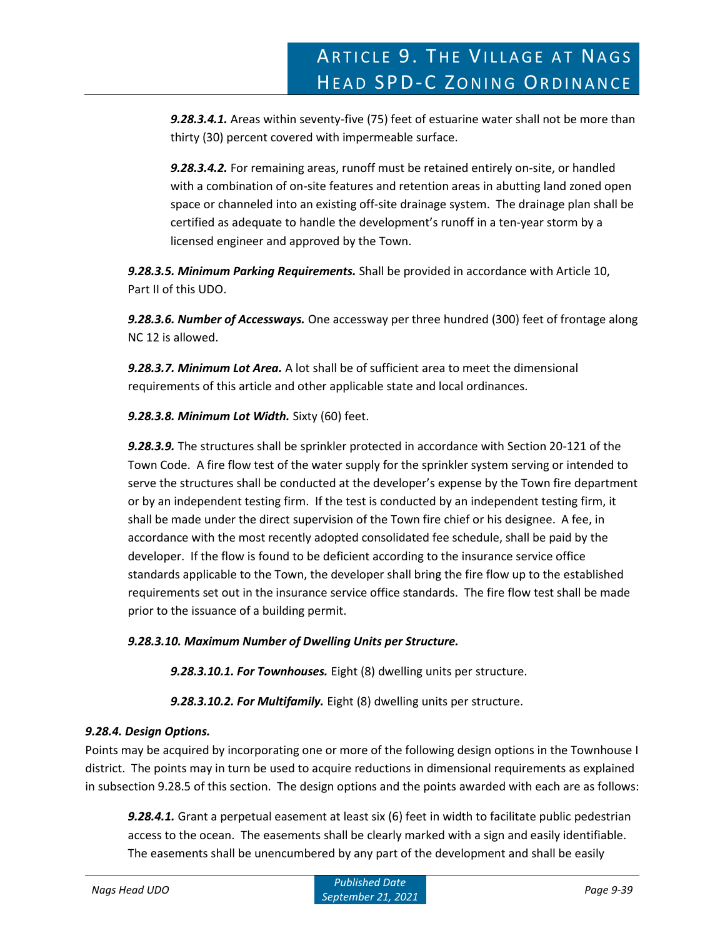*9.28.3.4.1.* Areas within seventy-five (75) feet of estuarine water shall not be more than thirty (30) percent covered with impermeable surface.

*9.28.3.4.2.* For remaining areas, runoff must be retained entirely on-site, or handled with a combination of on-site features and retention areas in abutting land zoned open space or channeled into an existing off-site drainage system. The drainage plan shall be certified as adequate to handle the development's runoff in a ten-year storm by a licensed engineer and approved by the Town.

*9.28.3.5. Minimum Parking Requirements.* Shall be provided in accordance with Article 10, Part II of this UDO.

*9.28.3.6. Number of Accessways.* One accessway per three hundred (300) feet of frontage along NC 12 is allowed.

*9.28.3.7. Minimum Lot Area.* A lot shall be of sufficient area to meet the dimensional requirements of this article and other applicable state and local ordinances.

*9.28.3.8. Minimum Lot Width.* Sixty (60) feet.

*9.28.3.9.* The structures shall be sprinkler protected in accordance with Section 20-121 of the Town Code. A fire flow test of the water supply for the sprinkler system serving or intended to serve the structures shall be conducted at the developer's expense by the Town fire department or by an independent testing firm. If the test is conducted by an independent testing firm, it shall be made under the direct supervision of the Town fire chief or his designee. A fee, in accordance with the most recently adopted consolidated fee schedule, shall be paid by the developer. If the flow is found to be deficient according to the insurance service office standards applicable to the Town, the developer shall bring the fire flow up to the established requirements set out in the insurance service office standards. The fire flow test shall be made prior to the issuance of a building permit.

# *9.28.3.10. Maximum Number of Dwelling Units per Structure.*

*9.28.3.10.1. For Townhouses.* Eight (8) dwelling units per structure.

*9.28.3.10.2. For Multifamily.* Eight (8) dwelling units per structure.

# *9.28.4. Design Options.*

Points may be acquired by incorporating one or more of the following design options in the Townhouse I district. The points may in turn be used to acquire reductions in dimensional requirements as explained in subsection 9.28.5 of this section. The design options and the points awarded with each are as follows:

*9.28.4.1.* Grant a perpetual easement at least six (6) feet in width to facilitate public pedestrian access to the ocean. The easements shall be clearly marked with a sign and easily identifiable. The easements shall be unencumbered by any part of the development and shall be easily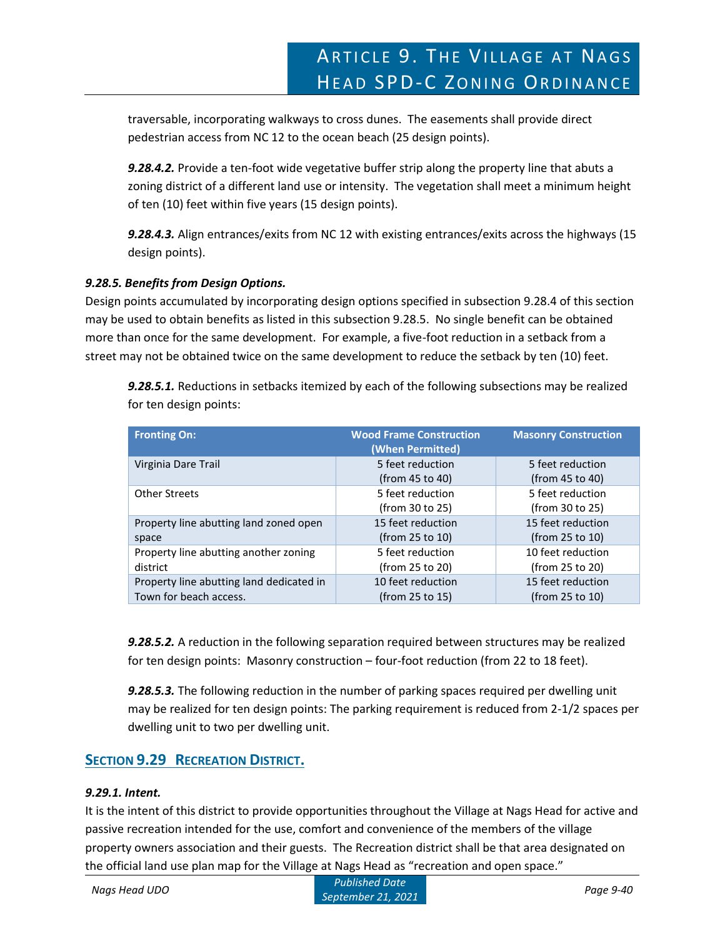traversable, incorporating walkways to cross dunes. The easements shall provide direct pedestrian access from NC 12 to the ocean beach (25 design points).

*9.28.4.2.* Provide a ten-foot wide vegetative buffer strip along the property line that abuts a zoning district of a different land use or intensity. The vegetation shall meet a minimum height of ten (10) feet within five years (15 design points).

*9.28.4.3.* Align entrances/exits from NC 12 with existing entrances/exits across the highways (15 design points).

# *9.28.5. Benefits from Design Options.*

Design points accumulated by incorporating design options specified in subsection 9.28.4 of this section may be used to obtain benefits as listed in this subsection 9.28.5. No single benefit can be obtained more than once for the same development. For example, a five-foot reduction in a setback from a street may not be obtained twice on the same development to reduce the setback by ten (10) feet.

*9.28.5.1.* Reductions in setbacks itemized by each of the following subsections may be realized for ten design points:

| <b>Fronting On:</b>                      | <b>Wood Frame Construction</b><br>(When Permitted) | <b>Masonry Construction</b> |
|------------------------------------------|----------------------------------------------------|-----------------------------|
| Virginia Dare Trail                      | 5 feet reduction                                   | 5 feet reduction            |
|                                          | (from 45 to 40)                                    | (from 45 to 40)             |
| <b>Other Streets</b>                     | 5 feet reduction                                   | 5 feet reduction            |
|                                          | (from 30 to 25)                                    | (from 30 to 25)             |
| Property line abutting land zoned open   | 15 feet reduction                                  | 15 feet reduction           |
| space                                    | (from 25 to 10)                                    | (from 25 to 10)             |
| Property line abutting another zoning    | 5 feet reduction                                   | 10 feet reduction           |
| district                                 | (from 25 to 20)                                    | (from 25 to 20)             |
| Property line abutting land dedicated in | 10 feet reduction                                  | 15 feet reduction           |
| Town for beach access.                   | (from 25 to 15)                                    | (from 25 to 10)             |

*9.28.5.2.* A reduction in the following separation required between structures may be realized for ten design points: Masonry construction – four-foot reduction (from 22 to 18 feet).

*9.28.5.3.* The following reduction in the number of parking spaces required per dwelling unit may be realized for ten design points: The parking requirement is reduced from 2-1/2 spaces per dwelling unit to two per dwelling unit.

# **SECTION 9.29 RECREATION DISTRICT.**

# *9.29.1. Intent.*

It is the intent of this district to provide opportunities throughout the Village at Nags Head for active and passive recreation intended for the use, comfort and convenience of the members of the village property owners association and their guests. The Recreation district shall be that area designated on the official land use plan map for the Village at Nags Head as "recreation and open space."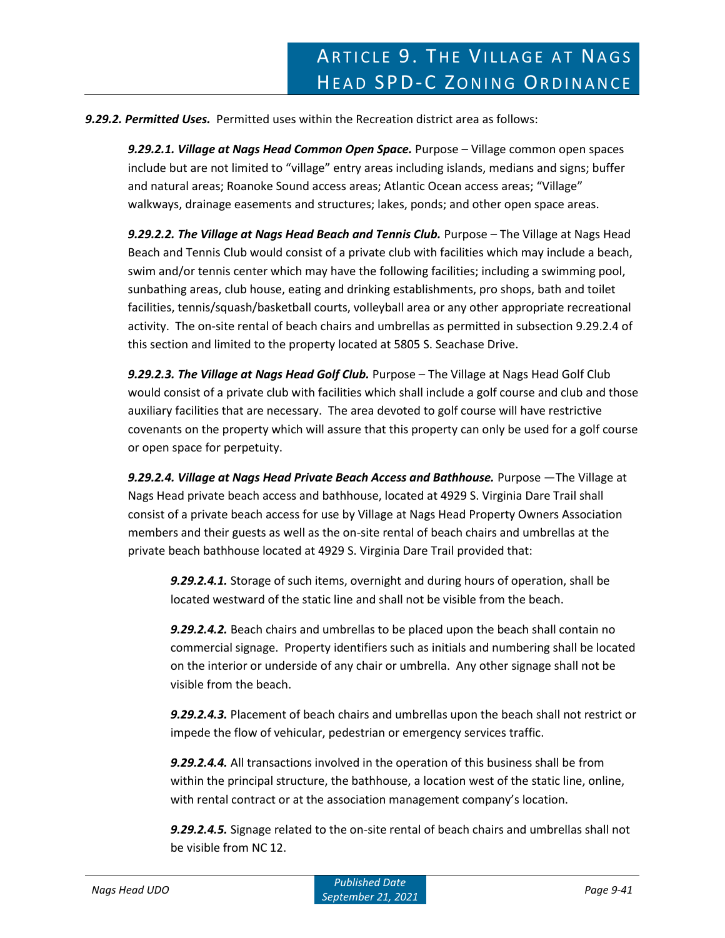### *9.29.2. Permitted Uses.* Permitted uses within the Recreation district area as follows:

*9.29.2.1. Village at Nags Head Common Open Space.* Purpose – Village common open spaces include but are not limited to "village" entry areas including islands, medians and signs; buffer and natural areas; Roanoke Sound access areas; Atlantic Ocean access areas; "Village" walkways, drainage easements and structures; lakes, ponds; and other open space areas.

*9.29.2.2. The Village at Nags Head Beach and Tennis Club.* Purpose – The Village at Nags Head Beach and Tennis Club would consist of a private club with facilities which may include a beach, swim and/or tennis center which may have the following facilities; including a swimming pool, sunbathing areas, club house, eating and drinking establishments, pro shops, bath and toilet facilities, tennis/squash/basketball courts, volleyball area or any other appropriate recreational activity. The on-site rental of beach chairs and umbrellas as permitted in subsection 9.29.2.4 of this section and limited to the property located at 5805 S. Seachase Drive.

*9.29.2.3. The Village at Nags Head Golf Club.* Purpose – The Village at Nags Head Golf Club would consist of a private club with facilities which shall include a golf course and club and those auxiliary facilities that are necessary. The area devoted to golf course will have restrictive covenants on the property which will assure that this property can only be used for a golf course or open space for perpetuity.

*9.29.2.4. Village at Nags Head Private Beach Access and Bathhouse.* Purpose —The Village at Nags Head private beach access and bathhouse, located at 4929 S. Virginia Dare Trail shall consist of a private beach access for use by Village at Nags Head Property Owners Association members and their guests as well as the on-site rental of beach chairs and umbrellas at the private beach bathhouse located at 4929 S. Virginia Dare Trail provided that:

*9.29.2.4.1.* Storage of such items, overnight and during hours of operation, shall be located westward of the static line and shall not be visible from the beach.

*9.29.2.4.2.* Beach chairs and umbrellas to be placed upon the beach shall contain no commercial signage. Property identifiers such as initials and numbering shall be located on the interior or underside of any chair or umbrella. Any other signage shall not be visible from the beach.

*9.29.2.4.3.* Placement of beach chairs and umbrellas upon the beach shall not restrict or impede the flow of vehicular, pedestrian or emergency services traffic.

*9.29.2.4.4.* All transactions involved in the operation of this business shall be from within the principal structure, the bathhouse, a location west of the static line, online, with rental contract or at the association management company's location.

*9.29.2.4.5.* Signage related to the on-site rental of beach chairs and umbrellas shall not be visible from NC 12.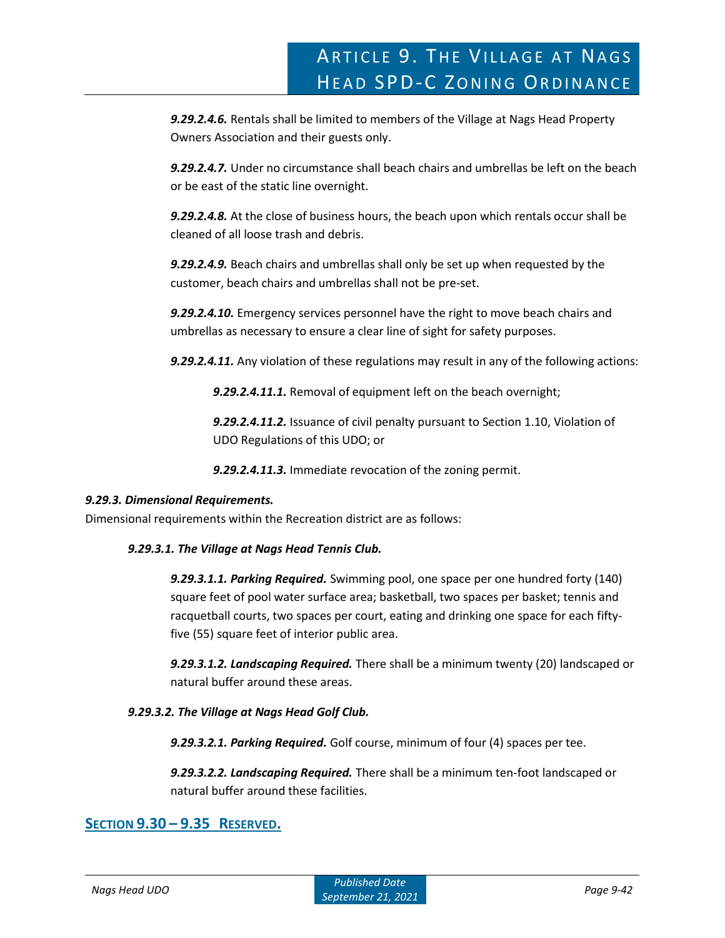*9.29.2.4.6.* Rentals shall be limited to members of the Village at Nags Head Property Owners Association and their guests only.

*9.29.2.4.7.* Under no circumstance shall beach chairs and umbrellas be left on the beach or be east of the static line overnight.

*9.29.2.4.8.* At the close of business hours, the beach upon which rentals occur shall be cleaned of all loose trash and debris.

*9.29.2.4.9.* Beach chairs and umbrellas shall only be set up when requested by the customer, beach chairs and umbrellas shall not be pre-set.

*9.29.2.4.10.* Emergency services personnel have the right to move beach chairs and umbrellas as necessary to ensure a clear line of sight for safety purposes.

*9.29.2.4.11.* Any violation of these regulations may result in any of the following actions:

*9.29.2.4.11.1.* Removal of equipment left on the beach overnight;

*9.29.2.4.11.2.* Issuance of civil penalty pursuant to Section 1.10, Violation of UDO Regulations of this UDO; or

*9.29.2.4.11.3.* Immediate revocation of the zoning permit.

# *9.29.3. Dimensional Requirements.*

Dimensional requirements within the Recreation district are as follows:

# *9.29.3.1. The Village at Nags Head Tennis Club.*

*9.29.3.1.1. Parking Required.* Swimming pool, one space per one hundred forty (140) square feet of pool water surface area; basketball, two spaces per basket; tennis and racquetball courts, two spaces per court, eating and drinking one space for each fiftyfive (55) square feet of interior public area.

*9.29.3.1.2. Landscaping Required.* There shall be a minimum twenty (20) landscaped or natural buffer around these areas.

# *9.29.3.2. The Village at Nags Head Golf Club.*

*9.29.3.2.1. Parking Required.* Golf course, minimum of four (4) spaces per tee.

*9.29.3.2.2. Landscaping Required.* There shall be a minimum ten-foot landscaped or natural buffer around these facilities.

# **SECTION 9.30 – 9.35 RESERVED.**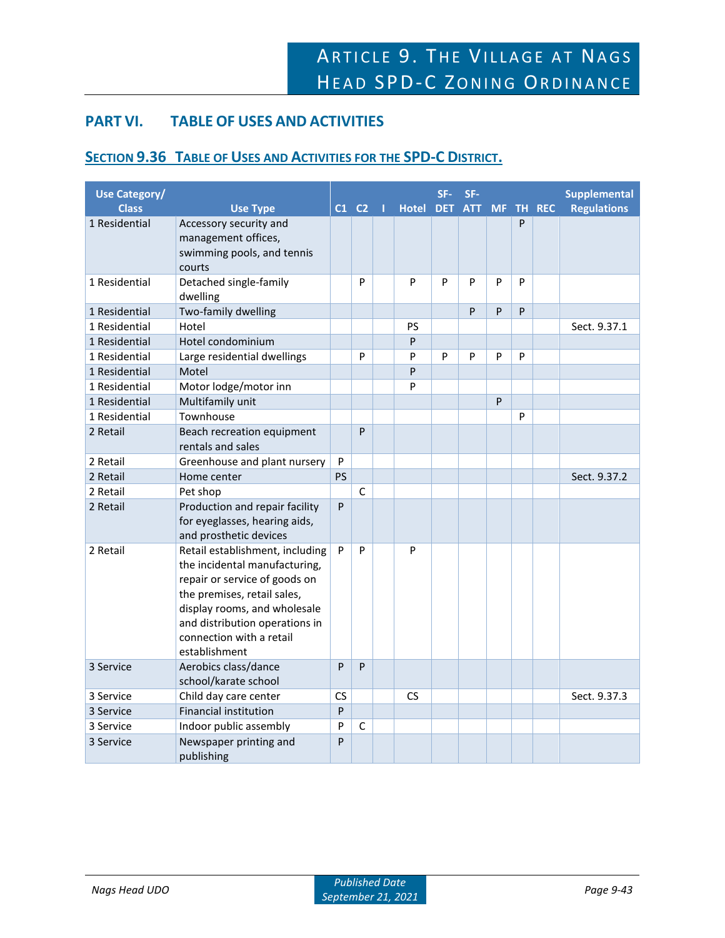# **PART VI. TABLE OF USES AND ACTIVITIES**

# **SECTION 9.36 TABLE OF USES AND ACTIVITIES FOR THE SPD-C DISTRICT.**

| <b>Use Category/</b><br><b>Class</b> | <b>Use Type</b>                                                                                                                                                                                                                                 |              | $C1$ $C2$ $1$ | Hotel DET ATT MF TH REC | SF- | SF- |   |   | <b>Supplemental</b><br><b>Regulations</b> |
|--------------------------------------|-------------------------------------------------------------------------------------------------------------------------------------------------------------------------------------------------------------------------------------------------|--------------|---------------|-------------------------|-----|-----|---|---|-------------------------------------------|
| 1 Residential                        | Accessory security and<br>management offices,<br>swimming pools, and tennis<br>courts                                                                                                                                                           |              |               |                         |     |     |   | P |                                           |
| 1 Residential                        | Detached single-family<br>dwelling                                                                                                                                                                                                              |              | P             | P                       | P   | P   | P | P |                                           |
| 1 Residential                        | Two-family dwelling                                                                                                                                                                                                                             |              |               |                         |     | P   | P | P |                                           |
| 1 Residential                        | Hotel                                                                                                                                                                                                                                           |              |               | PS                      |     |     |   |   | Sect. 9.37.1                              |
| 1 Residential                        | Hotel condominium                                                                                                                                                                                                                               |              |               | P                       |     |     |   |   |                                           |
| 1 Residential                        | Large residential dwellings                                                                                                                                                                                                                     |              | P             | P                       | P   | P   | P | P |                                           |
| 1 Residential                        | Motel                                                                                                                                                                                                                                           |              |               | P                       |     |     |   |   |                                           |
| 1 Residential                        | Motor lodge/motor inn                                                                                                                                                                                                                           |              |               | P                       |     |     |   |   |                                           |
| 1 Residential                        | Multifamily unit                                                                                                                                                                                                                                |              |               |                         |     |     | P |   |                                           |
| 1 Residential                        | Townhouse                                                                                                                                                                                                                                       |              |               |                         |     |     |   | P |                                           |
| 2 Retail                             | Beach recreation equipment<br>rentals and sales                                                                                                                                                                                                 |              | P             |                         |     |     |   |   |                                           |
| 2 Retail                             | Greenhouse and plant nursery                                                                                                                                                                                                                    | P            |               |                         |     |     |   |   |                                           |
| 2 Retail                             | Home center                                                                                                                                                                                                                                     | <b>PS</b>    |               |                         |     |     |   |   | Sect. 9.37.2                              |
| 2 Retail                             | Pet shop                                                                                                                                                                                                                                        |              | C             |                         |     |     |   |   |                                           |
| 2 Retail                             | Production and repair facility<br>for eyeglasses, hearing aids,<br>and prosthetic devices                                                                                                                                                       | $\mathsf{P}$ |               |                         |     |     |   |   |                                           |
| 2 Retail                             | Retail establishment, including<br>the incidental manufacturing,<br>repair or service of goods on<br>the premises, retail sales,<br>display rooms, and wholesale<br>and distribution operations in<br>connection with a retail<br>establishment | P            | P             | P                       |     |     |   |   |                                           |
| 3 Service                            | Aerobics class/dance<br>school/karate school                                                                                                                                                                                                    | P            | P             |                         |     |     |   |   |                                           |
| 3 Service                            | Child day care center                                                                                                                                                                                                                           | <b>CS</b>    |               | <b>CS</b>               |     |     |   |   | Sect. 9.37.3                              |
| 3 Service                            | <b>Financial institution</b>                                                                                                                                                                                                                    | P            |               |                         |     |     |   |   |                                           |
| 3 Service                            | Indoor public assembly                                                                                                                                                                                                                          | P            | $\mathsf{C}$  |                         |     |     |   |   |                                           |
| 3 Service                            | Newspaper printing and<br>publishing                                                                                                                                                                                                            | P            |               |                         |     |     |   |   |                                           |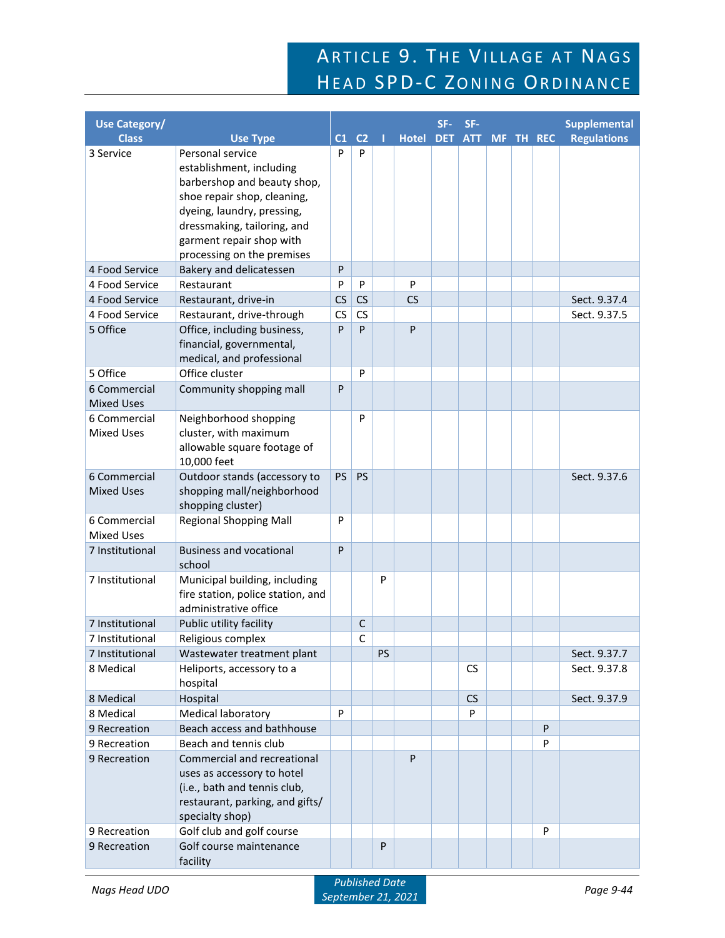# ARTICLE 9. THE VILLAGE AT NAGS HEAD SPD-C ZONING ORDINANCE

| <b>Use Category/</b>         |                                                         |                |                |    |              | SF-        | SF-        |  |           | <b>Supplemental</b> |
|------------------------------|---------------------------------------------------------|----------------|----------------|----|--------------|------------|------------|--|-----------|---------------------|
| <b>Class</b>                 | <b>Use Type</b>                                         | C <sub>1</sub> | C <sub>2</sub> | п  | <b>Hotel</b> | <b>DET</b> | <b>ATT</b> |  | MF TH REC | <b>Regulations</b>  |
| 3 Service                    | Personal service                                        | P              | P              |    |              |            |            |  |           |                     |
|                              | establishment, including                                |                |                |    |              |            |            |  |           |                     |
|                              | barbershop and beauty shop,                             |                |                |    |              |            |            |  |           |                     |
|                              | shoe repair shop, cleaning,                             |                |                |    |              |            |            |  |           |                     |
|                              | dyeing, laundry, pressing,                              |                |                |    |              |            |            |  |           |                     |
|                              | dressmaking, tailoring, and                             |                |                |    |              |            |            |  |           |                     |
|                              | garment repair shop with<br>processing on the premises  |                |                |    |              |            |            |  |           |                     |
| 4 Food Service               | Bakery and delicatessen                                 | P              |                |    |              |            |            |  |           |                     |
| 4 Food Service               | Restaurant                                              | P              | P              |    | P            |            |            |  |           |                     |
| 4 Food Service               | Restaurant, drive-in                                    | CS             | CS             |    | CS           |            |            |  |           | Sect. 9.37.4        |
| 4 Food Service               | Restaurant, drive-through                               | CS             | CS             |    |              |            |            |  |           | Sect. 9.37.5        |
| 5 Office                     | Office, including business,                             | P              | P              |    | P            |            |            |  |           |                     |
|                              | financial, governmental,                                |                |                |    |              |            |            |  |           |                     |
|                              | medical, and professional                               |                |                |    |              |            |            |  |           |                     |
| 5 Office                     | Office cluster                                          |                | P              |    |              |            |            |  |           |                     |
| 6 Commercial                 | Community shopping mall                                 | P              |                |    |              |            |            |  |           |                     |
| <b>Mixed Uses</b>            |                                                         |                |                |    |              |            |            |  |           |                     |
| 6 Commercial                 | Neighborhood shopping                                   |                | P              |    |              |            |            |  |           |                     |
| <b>Mixed Uses</b>            | cluster, with maximum                                   |                |                |    |              |            |            |  |           |                     |
|                              | allowable square footage of                             |                |                |    |              |            |            |  |           |                     |
|                              | 10,000 feet                                             |                |                |    |              |            |            |  |           |                     |
| 6 Commercial                 | Outdoor stands (accessory to                            | PS             | PS             |    |              |            |            |  |           | Sect. 9.37.6        |
| <b>Mixed Uses</b>            | shopping mall/neighborhood<br>shopping cluster)         |                |                |    |              |            |            |  |           |                     |
| 6 Commercial                 | <b>Regional Shopping Mall</b>                           | P              |                |    |              |            |            |  |           |                     |
| <b>Mixed Uses</b>            |                                                         |                |                |    |              |            |            |  |           |                     |
| 7 Institutional              | <b>Business and vocational</b>                          | P              |                |    |              |            |            |  |           |                     |
|                              | school                                                  |                |                |    |              |            |            |  |           |                     |
| 7 Institutional              | Municipal building, including                           |                |                | P  |              |            |            |  |           |                     |
|                              | fire station, police station, and                       |                |                |    |              |            |            |  |           |                     |
|                              | administrative office                                   |                |                |    |              |            |            |  |           |                     |
| 7 Institutional              | Public utility facility                                 |                | $\mathsf{C}$   |    |              |            |            |  |           |                     |
| 7 Institutional              | Religious complex                                       |                | Ċ              |    |              |            |            |  |           |                     |
| 7 Institutional              | Wastewater treatment plant                              |                |                | PS |              |            |            |  |           | Sect. 9.37.7        |
| 8 Medical                    | Heliports, accessory to a                               |                |                |    |              |            | <b>CS</b>  |  |           | Sect. 9.37.8        |
|                              | hospital                                                |                |                |    |              |            |            |  |           |                     |
| 8 Medical                    | Hospital                                                |                |                |    |              |            | CS<br>P    |  |           | Sect. 9.37.9        |
| 8 Medical                    | <b>Medical laboratory</b><br>Beach access and bathhouse | P              |                |    |              |            |            |  | P         |                     |
| 9 Recreation<br>9 Recreation | Beach and tennis club                                   |                |                |    |              |            |            |  | P         |                     |
| 9 Recreation                 | Commercial and recreational                             |                |                |    | P            |            |            |  |           |                     |
|                              | uses as accessory to hotel                              |                |                |    |              |            |            |  |           |                     |
|                              | (i.e., bath and tennis club,                            |                |                |    |              |            |            |  |           |                     |
|                              | restaurant, parking, and gifts/                         |                |                |    |              |            |            |  |           |                     |
|                              | specialty shop)                                         |                |                |    |              |            |            |  |           |                     |
| 9 Recreation                 | Golf club and golf course                               |                |                |    |              |            |            |  | P         |                     |
| 9 Recreation                 | Golf course maintenance                                 |                |                | P  |              |            |            |  |           |                     |
|                              | facility                                                |                |                |    |              |            |            |  |           |                     |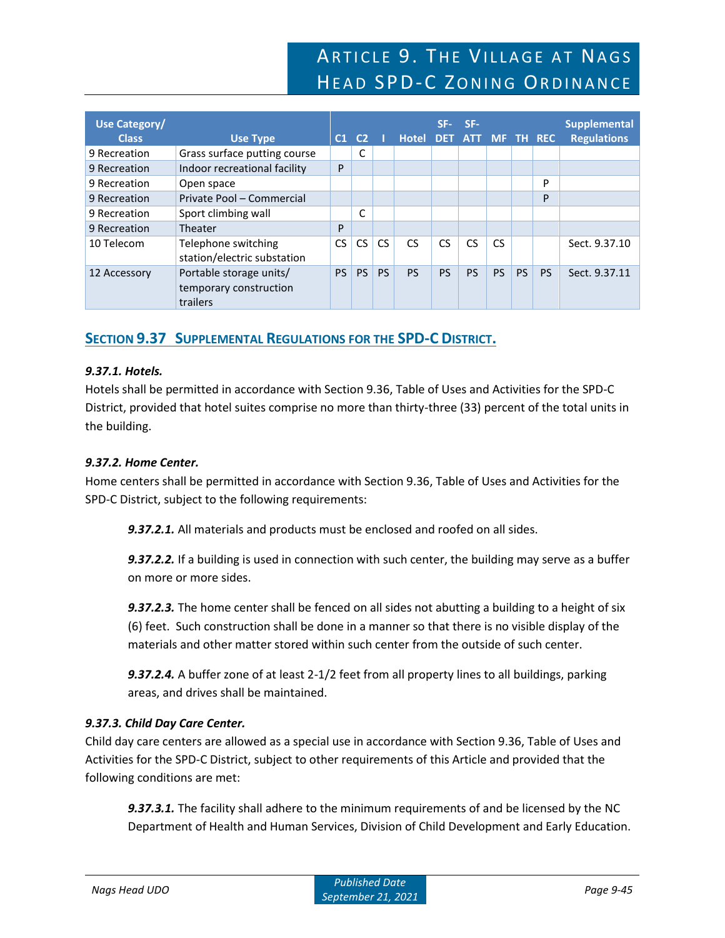| Use Category/<br><b>Class</b> | <b>Use Type</b>                                               | C1  | C <sub>2</sub> |           | <b>Hotel</b> | SF-<br>DET. | SF-<br>ATT MF TH REC |           |           |           | <b>Supplemental</b><br><b>Regulations</b> |
|-------------------------------|---------------------------------------------------------------|-----|----------------|-----------|--------------|-------------|----------------------|-----------|-----------|-----------|-------------------------------------------|
| 9 Recreation                  | Grass surface putting course                                  |     | C              |           |              |             |                      |           |           |           |                                           |
| 9 Recreation                  | Indoor recreational facility                                  | P   |                |           |              |             |                      |           |           |           |                                           |
| 9 Recreation                  | Open space                                                    |     |                |           |              |             |                      |           |           | P         |                                           |
| 9 Recreation                  | Private Pool - Commercial                                     |     |                |           |              |             |                      |           |           | P         |                                           |
| 9 Recreation                  | Sport climbing wall                                           |     | C              |           |              |             |                      |           |           |           |                                           |
| 9 Recreation                  | Theater                                                       | P   |                |           |              |             |                      |           |           |           |                                           |
| 10 Telecom                    | Telephone switching<br>station/electric substation            | CS. | <b>CS</b>      | <b>CS</b> | <b>CS</b>    | <b>CS</b>   | CS                   | CS.       |           |           | Sect. 9.37.10                             |
| 12 Accessory                  | Portable storage units/<br>temporary construction<br>trailers | PS. | <b>PS</b>      | <b>PS</b> | <b>PS</b>    | <b>PS</b>   | <b>PS</b>            | <b>PS</b> | <b>PS</b> | <b>PS</b> | Sect. 9.37.11                             |

# **SECTION 9.37 SUPPLEMENTAL REGULATIONS FOR THE SPD-C DISTRICT.**

# *9.37.1. Hotels.*

Hotels shall be permitted in accordance with Section 9.36, Table of Uses and Activities for the SPD-C District, provided that hotel suites comprise no more than thirty-three (33) percent of the total units in the building.

# *9.37.2. Home Center.*

Home centers shall be permitted in accordance with Section 9.36, Table of Uses and Activities for the SPD-C District, subject to the following requirements:

*9.37.2.1.* All materials and products must be enclosed and roofed on all sides.

*9.37.2.2.* If a building is used in connection with such center, the building may serve as a buffer on more or more sides.

*9.37.2.3.* The home center shall be fenced on all sides not abutting a building to a height of six (6) feet. Such construction shall be done in a manner so that there is no visible display of the materials and other matter stored within such center from the outside of such center.

*9.37.2.4.* A buffer zone of at least 2-1/2 feet from all property lines to all buildings, parking areas, and drives shall be maintained.

# *9.37.3. Child Day Care Center.*

Child day care centers are allowed as a special use in accordance with Section 9.36, Table of Uses and Activities for the SPD-C District, subject to other requirements of this Article and provided that the following conditions are met:

*9.37.3.1.* The facility shall adhere to the minimum requirements of and be licensed by the NC Department of Health and Human Services, Division of Child Development and Early Education.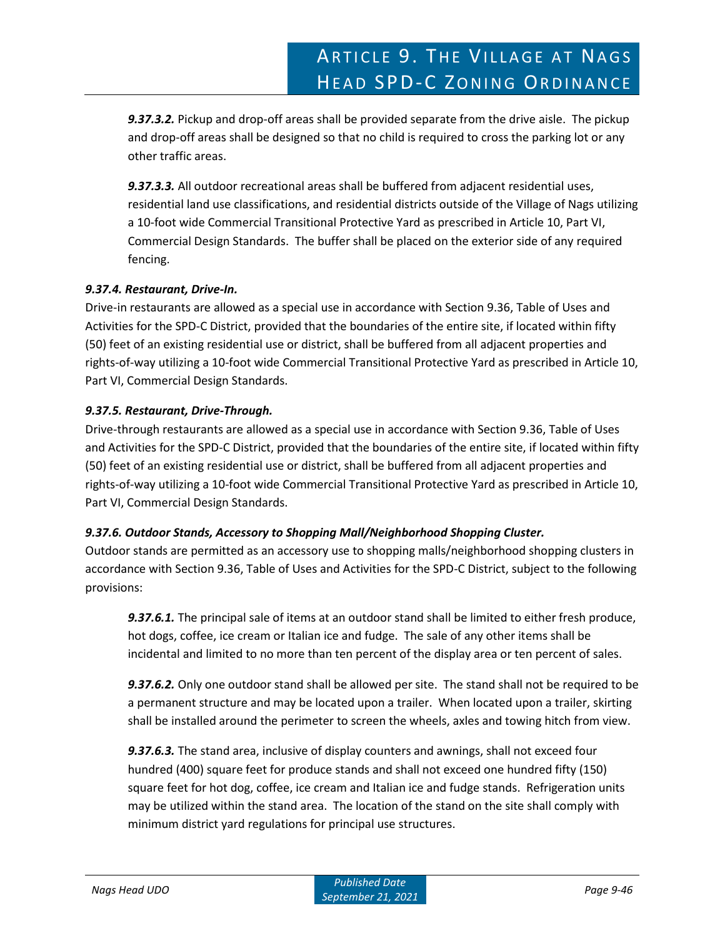*9.37.3.2.* Pickup and drop-off areas shall be provided separate from the drive aisle. The pickup and drop-off areas shall be designed so that no child is required to cross the parking lot or any other traffic areas.

*9.37.3.3.* All outdoor recreational areas shall be buffered from adjacent residential uses, residential land use classifications, and residential districts outside of the Village of Nags utilizing a 10-foot wide Commercial Transitional Protective Yard as prescribed in Article 10, Part VI, Commercial Design Standards. The buffer shall be placed on the exterior side of any required fencing.

# *9.37.4. Restaurant, Drive-In.*

Drive-in restaurants are allowed as a special use in accordance with Section 9.36, Table of Uses and Activities for the SPD-C District, provided that the boundaries of the entire site, if located within fifty (50) feet of an existing residential use or district, shall be buffered from all adjacent properties and rights-of-way utilizing a 10-foot wide Commercial Transitional Protective Yard as prescribed in Article 10, Part VI, Commercial Design Standards.

# *9.37.5. Restaurant, Drive-Through.*

Drive-through restaurants are allowed as a special use in accordance with Section 9.36, Table of Uses and Activities for the SPD-C District, provided that the boundaries of the entire site, if located within fifty (50) feet of an existing residential use or district, shall be buffered from all adjacent properties and rights-of-way utilizing a 10-foot wide Commercial Transitional Protective Yard as prescribed in Article 10, Part VI, Commercial Design Standards.

# *9.37.6. Outdoor Stands, Accessory to Shopping Mall/Neighborhood Shopping Cluster.*

Outdoor stands are permitted as an accessory use to shopping malls/neighborhood shopping clusters in accordance with Section 9.36, Table of Uses and Activities for the SPD-C District, subject to the following provisions:

*9.37.6.1.* The principal sale of items at an outdoor stand shall be limited to either fresh produce, hot dogs, coffee, ice cream or Italian ice and fudge. The sale of any other items shall be incidental and limited to no more than ten percent of the display area or ten percent of sales.

*9.37.6.2.* Only one outdoor stand shall be allowed per site. The stand shall not be required to be a permanent structure and may be located upon a trailer. When located upon a trailer, skirting shall be installed around the perimeter to screen the wheels, axles and towing hitch from view.

*9.37.6.3.* The stand area, inclusive of display counters and awnings, shall not exceed four hundred (400) square feet for produce stands and shall not exceed one hundred fifty (150) square feet for hot dog, coffee, ice cream and Italian ice and fudge stands. Refrigeration units may be utilized within the stand area. The location of the stand on the site shall comply with minimum district yard regulations for principal use structures.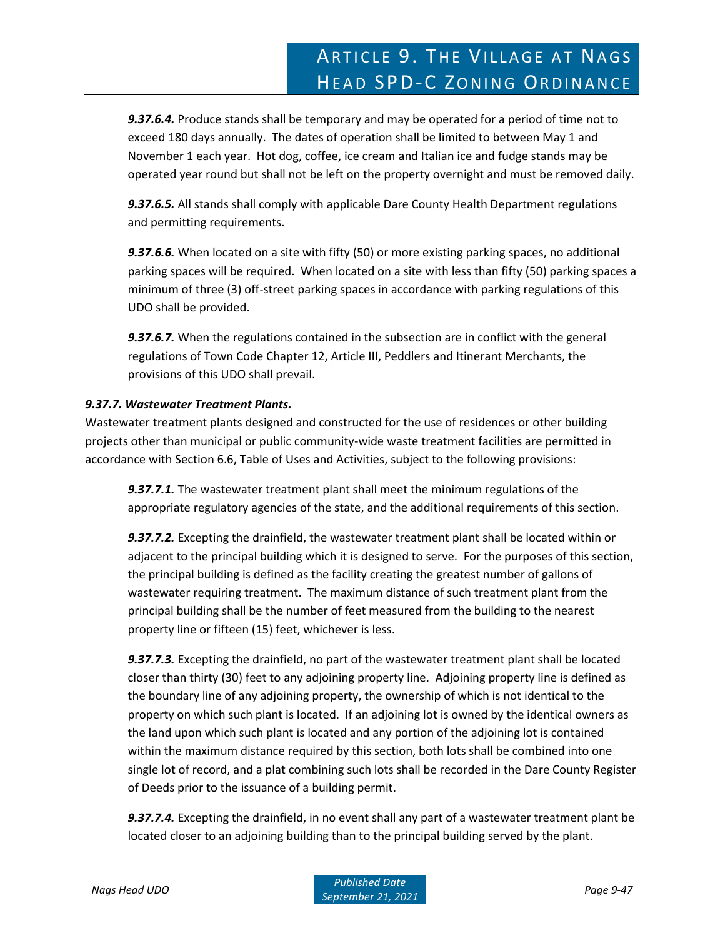*9.37.6.4.* Produce stands shall be temporary and may be operated for a period of time not to exceed 180 days annually. The dates of operation shall be limited to between May 1 and November 1 each year. Hot dog, coffee, ice cream and Italian ice and fudge stands may be operated year round but shall not be left on the property overnight and must be removed daily.

*9.37.6.5.* All stands shall comply with applicable Dare County Health Department regulations and permitting requirements.

*9.37.6.6.* When located on a site with fifty (50) or more existing parking spaces, no additional parking spaces will be required. When located on a site with less than fifty (50) parking spaces a minimum of three (3) off-street parking spaces in accordance with parking regulations of this UDO shall be provided.

*9.37.6.7.* When the regulations contained in the subsection are in conflict with the general regulations of Town Code Chapter 12, Article III, Peddlers and Itinerant Merchants, the provisions of this UDO shall prevail.

# *9.37.7. Wastewater Treatment Plants.*

Wastewater treatment plants designed and constructed for the use of residences or other building projects other than municipal or public community-wide waste treatment facilities are permitted in accordance with Section 6.6, Table of Uses and Activities, subject to the following provisions:

*9.37.7.1.* The wastewater treatment plant shall meet the minimum regulations of the appropriate regulatory agencies of the state, and the additional requirements of this section.

*9.37.7.2.* Excepting the drainfield, the wastewater treatment plant shall be located within or adjacent to the principal building which it is designed to serve. For the purposes of this section, the principal building is defined as the facility creating the greatest number of gallons of wastewater requiring treatment. The maximum distance of such treatment plant from the principal building shall be the number of feet measured from the building to the nearest property line or fifteen (15) feet, whichever is less.

*9.37.7.3.* Excepting the drainfield, no part of the wastewater treatment plant shall be located closer than thirty (30) feet to any adjoining property line. Adjoining property line is defined as the boundary line of any adjoining property, the ownership of which is not identical to the property on which such plant is located. If an adjoining lot is owned by the identical owners as the land upon which such plant is located and any portion of the adjoining lot is contained within the maximum distance required by this section, both lots shall be combined into one single lot of record, and a plat combining such lots shall be recorded in the Dare County Register of Deeds prior to the issuance of a building permit.

*9.37.7.4.* Excepting the drainfield, in no event shall any part of a wastewater treatment plant be located closer to an adjoining building than to the principal building served by the plant.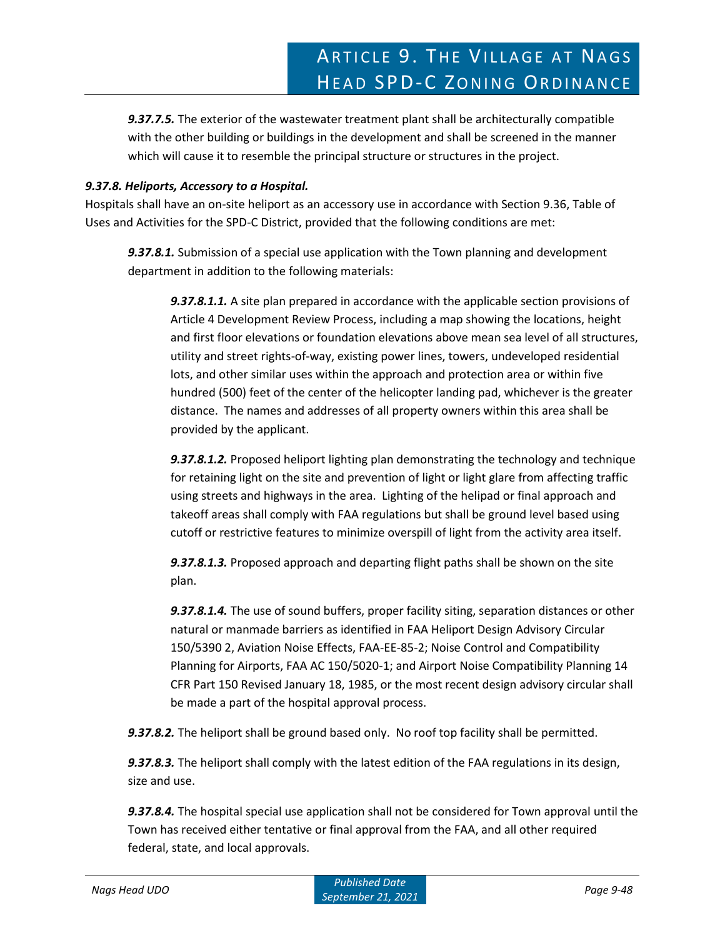*9.37.7.5.* The exterior of the wastewater treatment plant shall be architecturally compatible with the other building or buildings in the development and shall be screened in the manner which will cause it to resemble the principal structure or structures in the project.

### *9.37.8. Heliports, Accessory to a Hospital.*

Hospitals shall have an on-site heliport as an accessory use in accordance with Section 9.36, Table of Uses and Activities for the SPD-C District, provided that the following conditions are met:

*9.37.8.1.* Submission of a special use application with the Town planning and development department in addition to the following materials:

*9.37.8.1.1.* A site plan prepared in accordance with the applicable section provisions of Article 4 Development Review Process, including a map showing the locations, height and first floor elevations or foundation elevations above mean sea level of all structures, utility and street rights-of-way, existing power lines, towers, undeveloped residential lots, and other similar uses within the approach and protection area or within five hundred (500) feet of the center of the helicopter landing pad, whichever is the greater distance. The names and addresses of all property owners within this area shall be provided by the applicant.

*9.37.8.1.2.* Proposed heliport lighting plan demonstrating the technology and technique for retaining light on the site and prevention of light or light glare from affecting traffic using streets and highways in the area. Lighting of the helipad or final approach and takeoff areas shall comply with FAA regulations but shall be ground level based using cutoff or restrictive features to minimize overspill of light from the activity area itself.

*9.37.8.1.3.* Proposed approach and departing flight paths shall be shown on the site plan.

*9.37.8.1.4.* The use of sound buffers, proper facility siting, separation distances or other natural or manmade barriers as identified in FAA Heliport Design Advisory Circular 150/5390 2, Aviation Noise Effects, FAA-EE-85-2; Noise Control and Compatibility Planning for Airports, FAA AC 150/5020-1; and Airport Noise Compatibility Planning 14 CFR Part 150 Revised January 18, 1985, or the most recent design advisory circular shall be made a part of the hospital approval process.

*9.37.8.2.* The heliport shall be ground based only. No roof top facility shall be permitted.

*9.37.8.3.* The heliport shall comply with the latest edition of the FAA regulations in its design, size and use.

*9.37.8.4.* The hospital special use application shall not be considered for Town approval until the Town has received either tentative or final approval from the FAA, and all other required federal, state, and local approvals.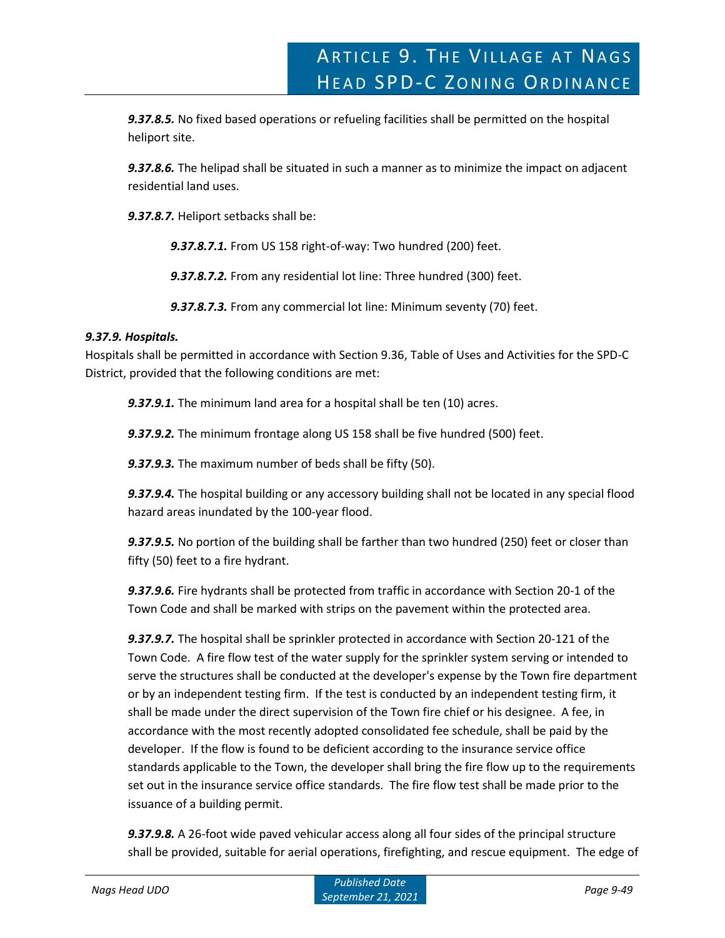*9.37.8.5.* No fixed based operations or refueling facilities shall be permitted on the hospital heliport site.

*9.37.8.6.* The helipad shall be situated in such a manner as to minimize the impact on adjacent residential land uses.

*9.37.8.7.* Heliport setbacks shall be:

*9.37.8.7.1.* From US 158 right-of-way: Two hundred (200) feet.

*9.37.8.7.2.* From any residential lot line: Three hundred (300) feet.

*9.37.8.7.3.* From any commercial lot line: Minimum seventy (70) feet.

# *9.37.9. Hospitals.*

Hospitals shall be permitted in accordance with Section 9.36, Table of Uses and Activities for the SPD-C District, provided that the following conditions are met:

*9.37.9.1.* The minimum land area for a hospital shall be ten (10) acres.

*9.37.9.2.* The minimum frontage along US 158 shall be five hundred (500) feet.

*9.37.9.3.* The maximum number of beds shall be fifty (50).

*9.37.9.4.* The hospital building or any accessory building shall not be located in any special flood hazard areas inundated by the 100-year flood.

*9.37.9.5.* No portion of the building shall be farther than two hundred (250) feet or closer than fifty (50) feet to a fire hydrant.

*9.37.9.6.* Fire hydrants shall be protected from traffic in accordance with Section 20-1 of the Town Code and shall be marked with strips on the pavement within the protected area.

*9.37.9.7.* The hospital shall be sprinkler protected in accordance with Section 20-121 of the Town Code. A fire flow test of the water supply for the sprinkler system serving or intended to serve the structures shall be conducted at the developer's expense by the Town fire department or by an independent testing firm. If the test is conducted by an independent testing firm, it shall be made under the direct supervision of the Town fire chief or his designee. A fee, in accordance with the most recently adopted consolidated fee schedule, shall be paid by the developer. If the flow is found to be deficient according to the insurance service office standards applicable to the Town, the developer shall bring the fire flow up to the requirements set out in the insurance service office standards. The fire flow test shall be made prior to the issuance of a building permit.

*9.37.9.8.* A 26-foot wide paved vehicular access along all four sides of the principal structure shall be provided, suitable for aerial operations, firefighting, and rescue equipment. The edge of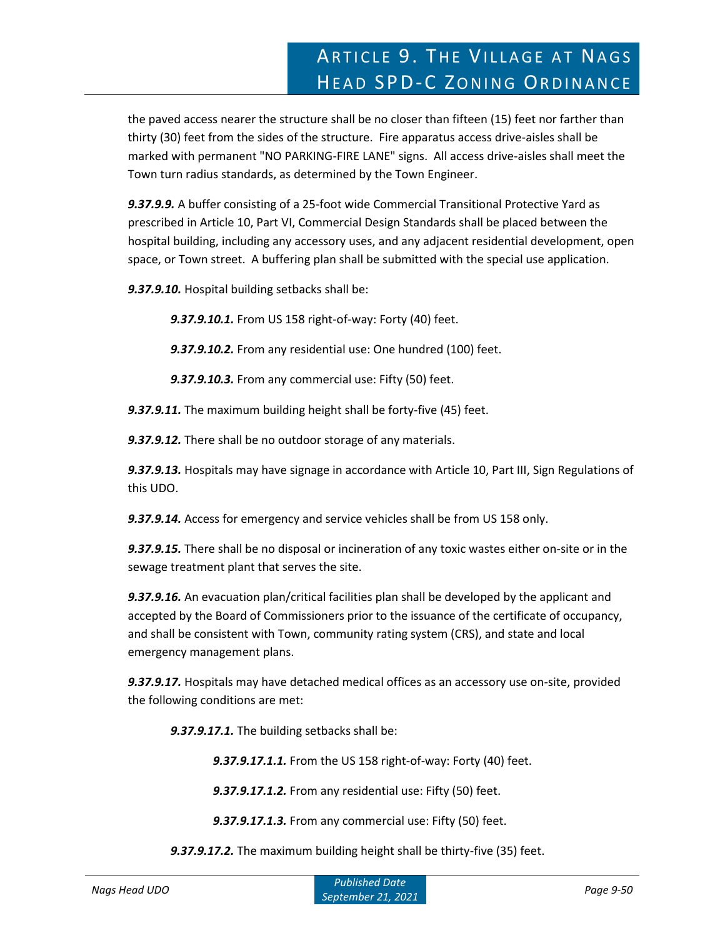the paved access nearer the structure shall be no closer than fifteen (15) feet nor farther than thirty (30) feet from the sides of the structure. Fire apparatus access drive-aisles shall be marked with permanent "NO PARKING-FIRE LANE" signs. All access drive-aisles shall meet the Town turn radius standards, as determined by the Town Engineer.

*9.37.9.9.* A buffer consisting of a 25-foot wide Commercial Transitional Protective Yard as prescribed in Article 10, Part VI, Commercial Design Standards shall be placed between the hospital building, including any accessory uses, and any adjacent residential development, open space, or Town street. A buffering plan shall be submitted with the special use application.

*9.37.9.10.* Hospital building setbacks shall be:

*9.37.9.10.1.* From US 158 right-of-way: Forty (40) feet.

*9.37.9.10.2.* From any residential use: One hundred (100) feet.

*9.37.9.10.3.* From any commercial use: Fifty (50) feet.

*9.37.9.11.* The maximum building height shall be forty-five (45) feet.

*9.37.9.12.* There shall be no outdoor storage of any materials.

*9.37.9.13.* Hospitals may have signage in accordance with Article 10, Part III, Sign Regulations of this UDO.

*9.37.9.14.* Access for emergency and service vehicles shall be from US 158 only.

*9.37.9.15.* There shall be no disposal or incineration of any toxic wastes either on-site or in the sewage treatment plant that serves the site.

*9.37.9.16.* An evacuation plan/critical facilities plan shall be developed by the applicant and accepted by the Board of Commissioners prior to the issuance of the certificate of occupancy, and shall be consistent with Town, community rating system (CRS), and state and local emergency management plans.

*9.37.9.17.* Hospitals may have detached medical offices as an accessory use on-site, provided the following conditions are met:

*9.37.9.17.1.* The building setbacks shall be:

*9.37.9.17.1.1.* From the US 158 right-of-way: Forty (40) feet.

*9.37.9.17.1.2.* From any residential use: Fifty (50) feet.

*9.37.9.17.1.3.* From any commercial use: Fifty (50) feet.

*9.37.9.17.2.* The maximum building height shall be thirty-five (35) feet.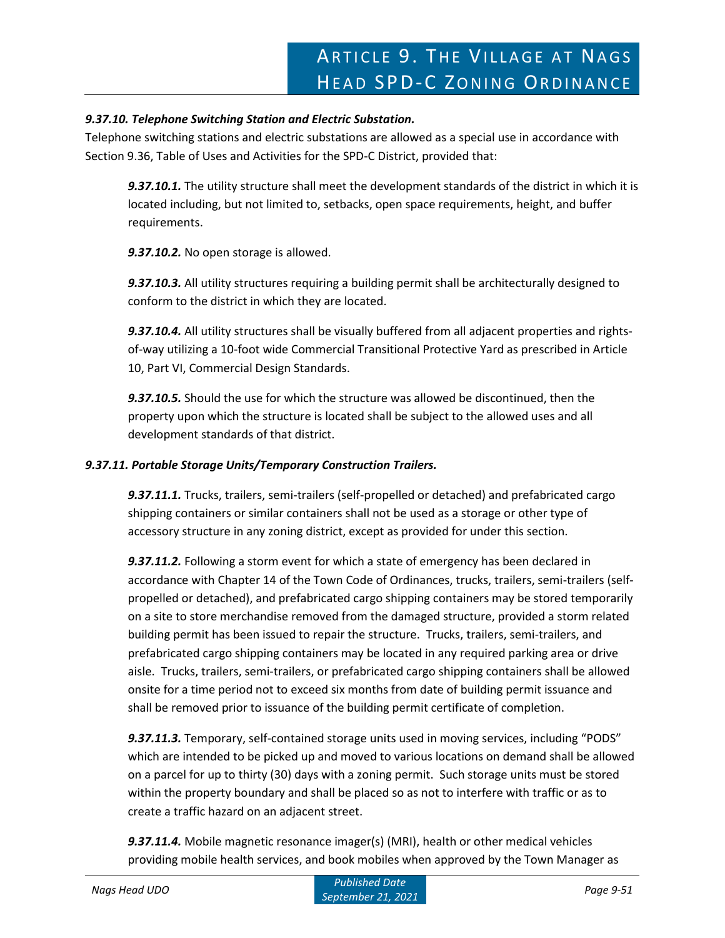### *9.37.10. Telephone Switching Station and Electric Substation.*

Telephone switching stations and electric substations are allowed as a special use in accordance with Section 9.36, Table of Uses and Activities for the SPD-C District, provided that:

*9.37.10.1.* The utility structure shall meet the development standards of the district in which it is located including, but not limited to, setbacks, open space requirements, height, and buffer requirements.

*9.37.10.2.* No open storage is allowed.

*9.37.10.3.* All utility structures requiring a building permit shall be architecturally designed to conform to the district in which they are located.

*9.37.10.4.* All utility structures shall be visually buffered from all adjacent properties and rightsof-way utilizing a 10-foot wide Commercial Transitional Protective Yard as prescribed in Article 10, Part VI, Commercial Design Standards.

*9.37.10.5.* Should the use for which the structure was allowed be discontinued, then the property upon which the structure is located shall be subject to the allowed uses and all development standards of that district.

### *9.37.11. Portable Storage Units/Temporary Construction Trailers.*

*9.37.11.1.* Trucks, trailers, semi-trailers (self-propelled or detached) and prefabricated cargo shipping containers or similar containers shall not be used as a storage or other type of accessory structure in any zoning district, except as provided for under this section.

*9.37.11.2.* Following a storm event for which a state of emergency has been declared in accordance with Chapter 14 of the Town Code of Ordinances, trucks, trailers, semi-trailers (selfpropelled or detached), and prefabricated cargo shipping containers may be stored temporarily on a site to store merchandise removed from the damaged structure, provided a storm related building permit has been issued to repair the structure. Trucks, trailers, semi-trailers, and prefabricated cargo shipping containers may be located in any required parking area or drive aisle. Trucks, trailers, semi-trailers, or prefabricated cargo shipping containers shall be allowed onsite for a time period not to exceed six months from date of building permit issuance and shall be removed prior to issuance of the building permit certificate of completion.

*9.37.11.3.* Temporary, self-contained storage units used in moving services, including "PODS" which are intended to be picked up and moved to various locations on demand shall be allowed on a parcel for up to thirty (30) days with a zoning permit. Such storage units must be stored within the property boundary and shall be placed so as not to interfere with traffic or as to create a traffic hazard on an adjacent street.

*9.37.11.4.* Mobile magnetic resonance imager(s) (MRI), health or other medical vehicles providing mobile health services, and book mobiles when approved by the Town Manager as